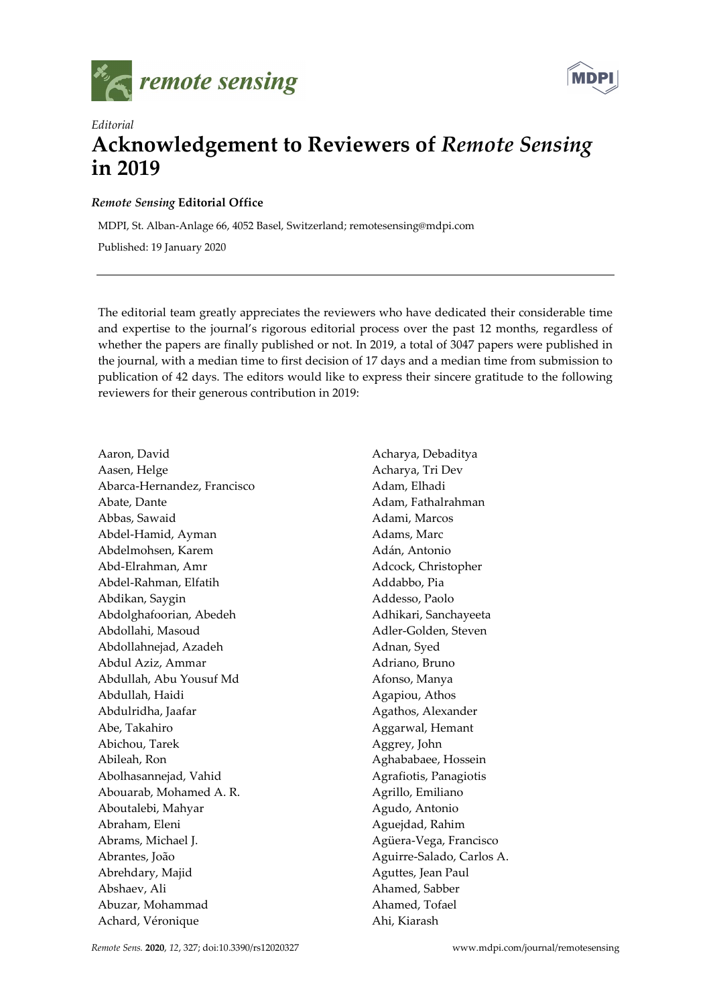



## Editorial Acknowledgement to Reviewers of Remote Sensing in 2019

## Remote Sensing Editorial Office

MDPI, St. Alban-Anlage 66, 4052 Basel, Switzerland; remotesensing@mdpi.com

Published: 19 January 2020

The editorial team greatly appreciates the reviewers who have dedicated their considerable time and expertise to the journal's rigorous editorial process over the past 12 months, regardless of whether the papers are finally published or not. In 2019, a total of 3047 papers were published in the journal, with a median time to first decision of 17 days and a median time from submission to publication of 42 days. The editors would like to express their sincere gratitude to the following reviewers for their generous contribution in 2019:

Aaron, David Aasen, Helge Abarca-Hernandez, Francisco Abate, Dante Abbas, Sawaid Abdel-Hamid, Ayman Abdelmohsen, Karem Abd-Elrahman, Amr Abdel-Rahman, Elfatih Abdikan, Saygin Abdolghafoorian, Abedeh Abdollahi, Masoud Abdollahnejad, Azadeh Abdul Aziz, Ammar Abdullah, Abu Yousuf Md Abdullah, Haidi Abdulridha, Jaafar Abe, Takahiro Abichou, Tarek Abileah, Ron Abolhasannejad, Vahid Abouarab, Mohamed A. R. Aboutalebi, Mahyar Abraham, Eleni Abrams, Michael J. Abrantes, João Abrehdary, Majid Abshaev, Ali Abuzar, Mohammad Achard, Véronique

Acharya, Debaditya Acharya, Tri Dev Adam, Elhadi Adam, Fathalrahman Adami, Marcos Adams, Marc Adán, Antonio Adcock, Christopher Addabbo, Pia Addesso, Paolo Adhikari, Sanchayeeta Adler-Golden, Steven Adnan, Syed Adriano, Bruno Afonso, Manya Agapiou, Athos Agathos, Alexander Aggarwal, Hemant Aggrey, John Aghababaee, Hossein Agrafiotis, Panagiotis Agrillo, Emiliano Agudo, Antonio Aguejdad, Rahim Agüera-Vega, Francisco Aguirre-Salado, Carlos A. Aguttes, Jean Paul Ahamed, Sabber Ahamed, Tofael Ahi, Kiarash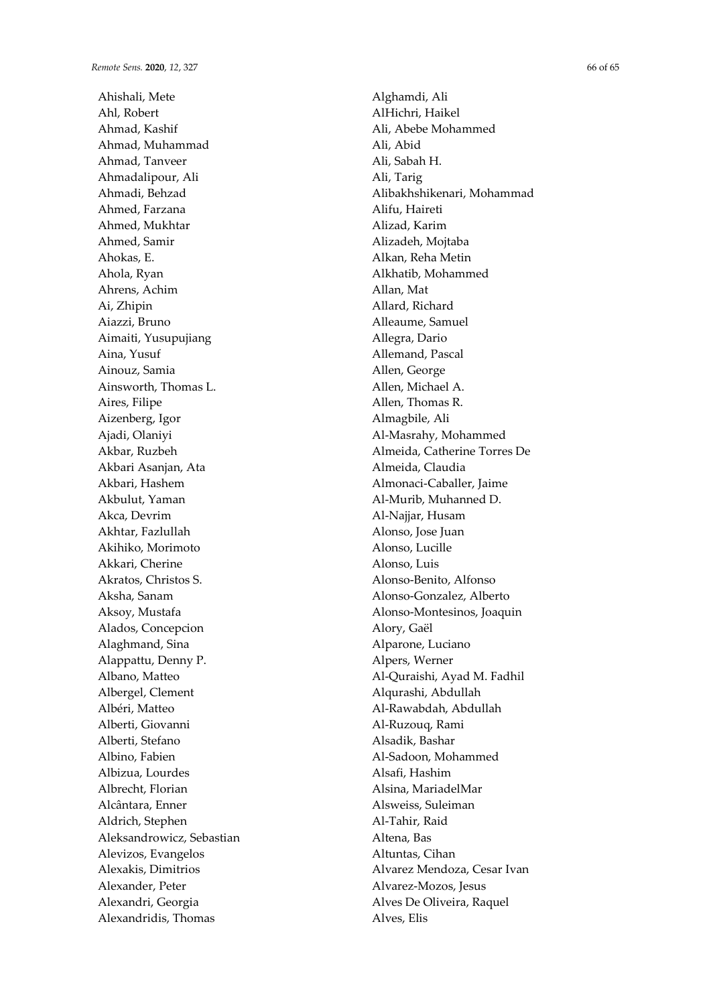Ahishali, Mete Ahl, Robert Ahmad, Kashif Ahmad, Muhammad Ahmad, Tanveer Ahmadalipour, Ali Ahmadi, Behzad Ahmed, Farzana Ahmed, Mukhtar Ahmed, Samir Ahokas, E. Ahola, Ryan Ahrens, Achim Ai, Zhipin Aiazzi, Bruno Aimaiti, Yusupujiang Aina, Yusuf Ainouz, Samia Ainsworth, Thomas L. Aires, Filipe Aizenberg, Igor Ajadi, Olaniyi Akbar, Ruzbeh Akbari Asanjan, Ata Akbari, Hashem Akbulut, Yaman Akca, Devrim Akhtar, Fazlullah Akihiko, Morimoto Akkari, Cherine Akratos, Christos S. Aksha, Sanam Aksoy, Mustafa Alados, Concepcion Alaghmand, Sina Alappattu, Denny P. Albano, Matteo Albergel, Clement Albéri, Matteo Alberti, Giovanni Alberti, Stefano Albino, Fabien Albizua, Lourdes Albrecht, Florian Alcântara, Enner Aldrich, Stephen Aleksandrowicz, Sebastian Alevizos, Evangelos Alexakis, Dimitrios Alexander, Peter Alexandri, Georgia Alexandridis, Thomas

Alghamdi, Ali AlHichri, Haikel Ali, Abebe Mohammed Ali, Abid Ali, Sabah H. Ali, Tarig Alibakhshikenari, Mohammad Alifu, Haireti Alizad, Karim Alizadeh, Mojtaba Alkan, Reha Metin Alkhatib, Mohammed Allan, Mat Allard, Richard Alleaume, Samuel Allegra, Dario Allemand, Pascal Allen, George Allen, Michael A. Allen, Thomas R. Almagbile, Ali Al-Masrahy, Mohammed Almeida, Catherine Torres De Almeida, Claudia Almonaci-Caballer, Jaime Al-Murib, Muhanned D. Al-Najjar, Husam Alonso, Jose Juan Alonso, Lucille Alonso, Luis Alonso-Benito, Alfonso Alonso-Gonzalez, Alberto Alonso-Montesinos, Joaquin Alory, Gaël Alparone, Luciano Alpers, Werner Al-Quraishi, Ayad M. Fadhil Alqurashi, Abdullah Al-Rawabdah, Abdullah Al-Ruzouq, Rami Alsadik, Bashar Al-Sadoon, Mohammed Alsafi, Hashim Alsina, MariadelMar Alsweiss, Suleiman Al-Tahir, Raid Altena, Bas Altuntas, Cihan Alvarez Mendoza, Cesar Ivan Alvarez-Mozos, Jesus Alves De Oliveira, Raquel Alves, Elis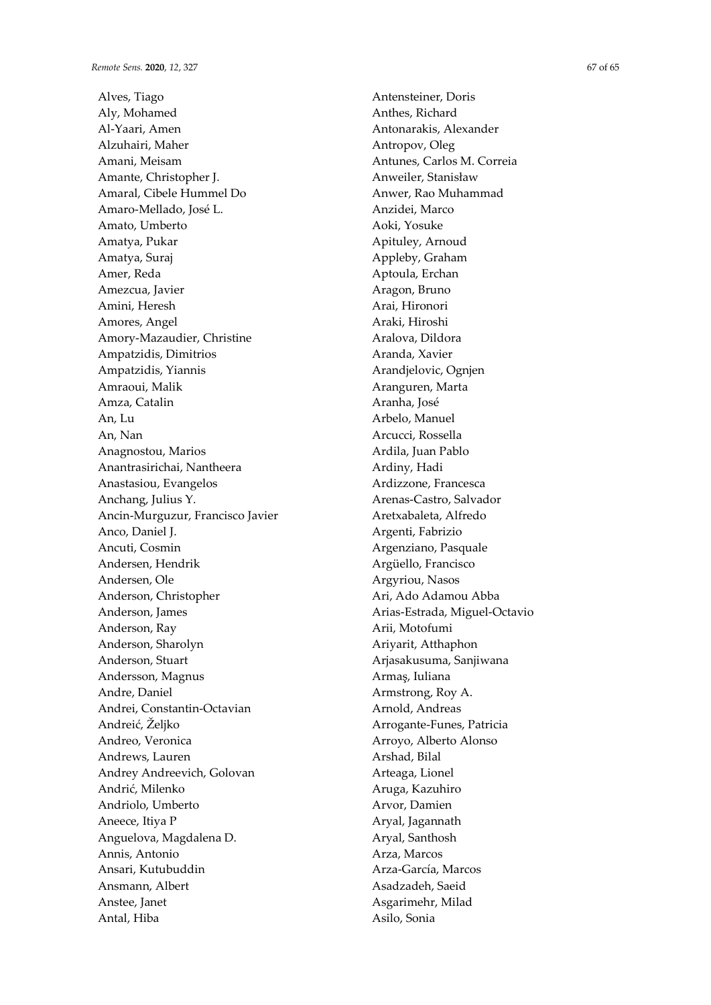Alves, Tiago Aly, Mohamed Al-Yaari, Amen Alzuhairi, Maher Amani, Meisam Amante, Christopher J. Amaral, Cibele Hummel Do Amaro-Mellado, José L. Amato, Umberto Amatya, Pukar Amatya, Suraj Amer, Reda Amezcua, Javier Amini, Heresh Amores, Angel Amory-Mazaudier, Christine Ampatzidis, Dimitrios Ampatzidis, Yiannis Amraoui, Malik Amza, Catalin An, Lu An, Nan Anagnostou, Marios Anantrasirichai, Nantheera Anastasiou, Evangelos Anchang, Julius Y. Ancin-Murguzur, Francisco Javier Anco, Daniel J. Ancuti, Cosmin Andersen, Hendrik Andersen, Ole Anderson, Christopher Anderson, James Anderson, Ray Anderson, Sharolyn Anderson, Stuart Andersson, Magnus Andre, Daniel Andrei, Constantin-Octavian Andreić, Željko Andreo, Veronica Andrews, Lauren Andrey Andreevich, Golovan Andrić, Milenko Andriolo, Umberto Aneece, Itiya P Anguelova, Magdalena D. Annis, Antonio Ansari, Kutubuddin Ansmann, Albert Anstee, Janet Antal, Hiba

Antensteiner, Doris Anthes, Richard Antonarakis, Alexander Antropov, Oleg Antunes, Carlos M. Correia Anweiler, Stanisław Anwer, Rao Muhammad Anzidei, Marco Aoki, Yosuke Apituley, Arnoud Appleby, Graham Aptoula, Erchan Aragon, Bruno Arai, Hironori Araki, Hiroshi Aralova, Dildora Aranda, Xavier Arandjelovic, Ognjen Aranguren, Marta Aranha, José Arbelo, Manuel Arcucci, Rossella Ardila, Juan Pablo Ardiny, Hadi Ardizzone, Francesca Arenas-Castro, Salvador Aretxabaleta, Alfredo Argenti, Fabrizio Argenziano, Pasquale Argüello, Francisco Argyriou, Nasos Ari, Ado Adamou Abba Arias-Estrada, Miguel-Octavio Arii, Motofumi Ariyarit, Atthaphon Arjasakusuma, Sanjiwana Armaş, Iuliana Armstrong, Roy A. Arnold, Andreas Arrogante-Funes, Patricia Arroyo, Alberto Alonso Arshad, Bilal Arteaga, Lionel Aruga, Kazuhiro Arvor, Damien Aryal, Jagannath Aryal, Santhosh Arza, Marcos Arza-García, Marcos Asadzadeh, Saeid Asgarimehr, Milad Asilo, Sonia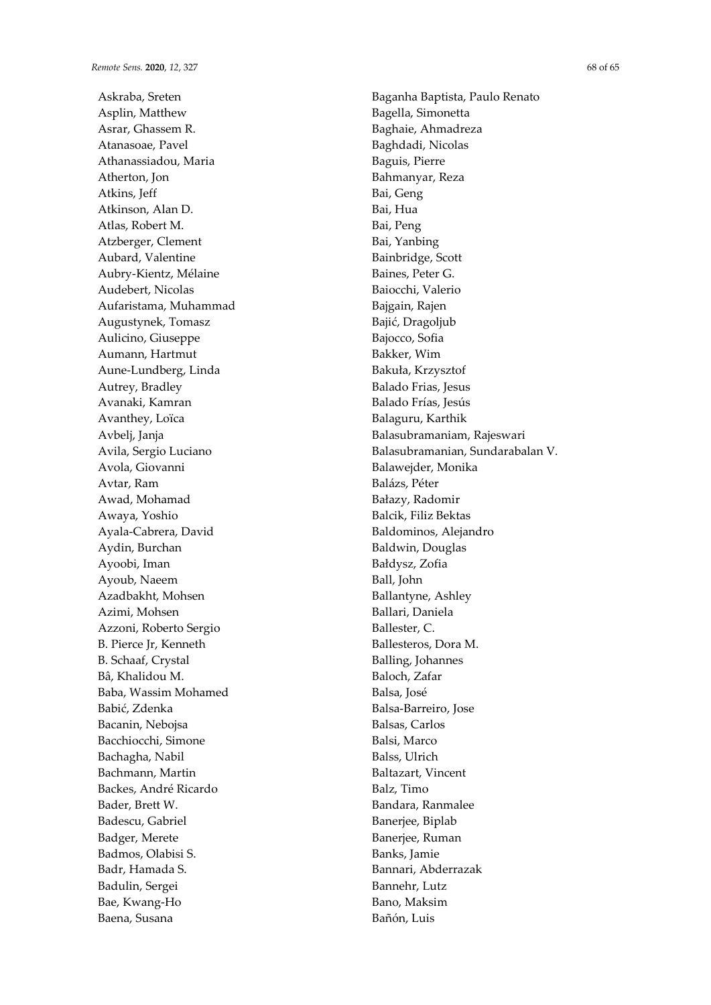Askraba, Sreten Asplin, Matthew Asrar, Ghassem R. Atanasoae, Pavel Athanassiadou, Maria Atherton, Jon Atkins, Jeff Atkinson, Alan D. Atlas, Robert M. Atzberger, Clement Aubard, Valentine Aubry-Kientz, Mélaine Audebert, Nicolas Aufaristama, Muhammad Augustynek, Tomasz Aulicino, Giuseppe Aumann, Hartmut Aune-Lundberg, Linda Autrey, Bradley Avanaki, Kamran Avanthey, Loïca Avbelj, Janja Avila, Sergio Luciano Avola, Giovanni Avtar, Ram Awad, Mohamad Awaya, Yoshio Ayala-Cabrera, David Aydin, Burchan Ayoobi, Iman Ayoub, Naeem Azadbakht, Mohsen Azimi, Mohsen Azzoni, Roberto Sergio B. Pierce Jr, Kenneth B. Schaaf, Crystal Bâ, Khalidou M. Baba, Wassim Mohamed Babić, Zdenka Bacanin, Nebojsa Bacchiocchi, Simone Bachagha, Nabil Bachmann, Martin Backes, André Ricardo Bader, Brett W. Badescu, Gabriel Badger, Merete Badmos, Olabisi S. Badr, Hamada S. Badulin, Sergei Bae, Kwang-Ho Baena, Susana

Baganha Baptista, Paulo Renato Bagella, Simonetta Baghaie, Ahmadreza Baghdadi, Nicolas Baguis, Pierre Bahmanyar, Reza Bai, Geng Bai, Hua Bai, Peng Bai, Yanbing Bainbridge, Scott Baines, Peter G. Baiocchi, Valerio Bajgain, Rajen Bajić, Dragoljub Bajocco, Sofia Bakker, Wim Bakuła, Krzysztof Balado Frias, Jesus Balado Frías, Jesús Balaguru, Karthik Balasubramaniam, Rajeswari Balasubramanian, Sundarabalan V. Balawejder, Monika Balázs, Péter Bałazy, Radomir Balcik, Filiz Bektas Baldominos, Alejandro Baldwin, Douglas Bałdysz, Zofia Ball, John Ballantyne, Ashley Ballari, Daniela Ballester, C. Ballesteros, Dora M. Balling, Johannes Baloch, Zafar Balsa, José Balsa-Barreiro, Jose Balsas, Carlos Balsi, Marco Balss, Ulrich Baltazart, Vincent Balz, Timo Bandara, Ranmalee Banerjee, Biplab Banerjee, Ruman Banks, Jamie Bannari, Abderrazak Bannehr, Lutz Bano, Maksim Bañón, Luis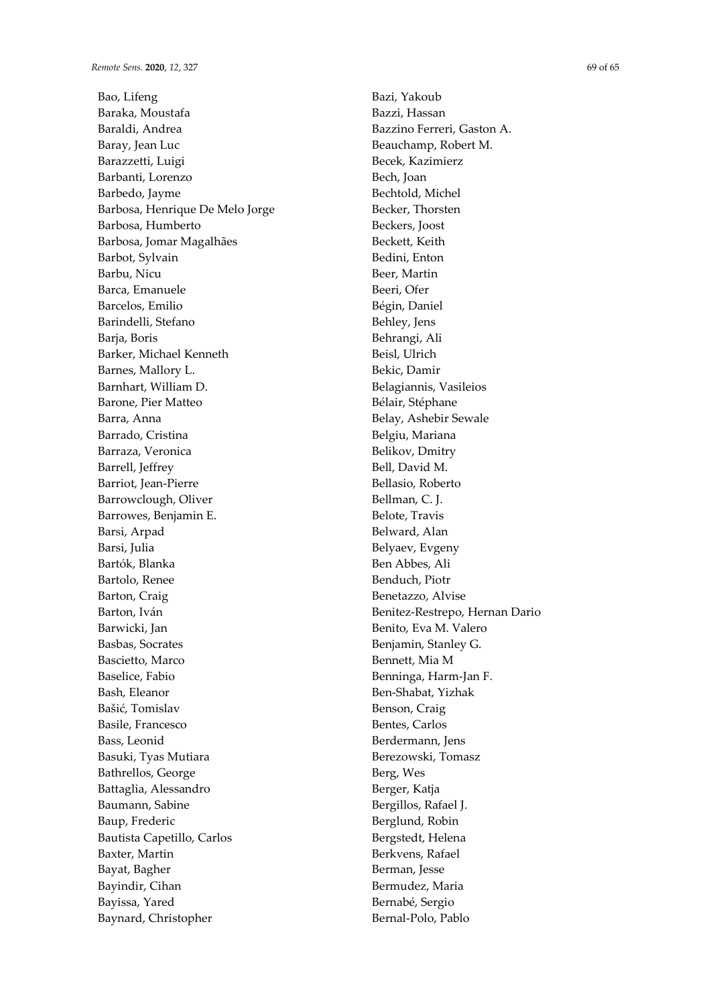Bao, Lifeng Baraka, Moustafa Baraldi, Andrea Baray, Jean Luc Barazzetti, Luigi Barbanti, Lorenzo Barbedo, Jayme Barbosa, Henrique De Melo Jorge Barbosa, Humberto Barbosa, Jomar Magalhães Barbot, Sylvain Barbu, Nicu Barca, Emanuele Barcelos, Emilio Barindelli, Stefano Baria, Boris Barker, Michael Kenneth Barnes, Mallory L. Barnhart, William D. Barone, Pier Matteo Barra, Anna Barrado, Cristina Barraza, Veronica Barrell, Jeffrey Barriot, Jean-Pierre Barrowclough, Oliver Barrowes, Benjamin E. Barsi, Arpad Barsi, Julia Bartók, Blanka Bartolo, Renee Barton, Craig Barton, Iván Barwicki, Jan Basbas, Socrates Bascietto, Marco Baselice, Fabio Bash, Eleanor Bašić, Tomislav Basile, Francesco Bass, Leonid Basuki, Tyas Mutiara Bathrellos, George Battaglia, Alessandro Baumann, Sabine Baup, Frederic Bautista Capetillo, Carlos Baxter, Martin Bayat, Bagher Bayindir, Cihan Bayissa, Yared Baynard, Christopher

Bazi, Yakoub Bazzi, Hassan Bazzino Ferreri, Gaston A. Beauchamp, Robert M. Becek, Kazimierz Bech, Joan Bechtold, Michel Becker, Thorsten Beckers, Joost Beckett, Keith Bedini, Enton Beer, Martin Beeri, Ofer Bégin, Daniel Behley, Jens Behrangi, Ali Beisl, Ulrich Bekic, Damir Belagiannis, Vasileios Bélair, Stéphane Belay, Ashebir Sewale Belgiu, Mariana Belikov, Dmitry Bell, David M. Bellasio, Roberto Bellman, C. J. Belote, Travis Belward, Alan Belyaev, Evgeny Ben Abbes, Ali Benduch, Piotr Benetazzo, Alvise Benitez-Restrepo, Hernan Dario Benito, Eva M. Valero Benjamin, Stanley G. Bennett, Mia M Benninga, Harm-Jan F. Ben-Shabat, Yizhak Benson, Craig Bentes, Carlos Berdermann, Jens Berezowski, Tomasz Berg, Wes Berger, Katja Bergillos, Rafael J. Berglund, Robin Bergstedt, Helena Berkvens, Rafael Berman, Jesse Bermudez, Maria Bernabé, Sergio

Bernal-Polo, Pablo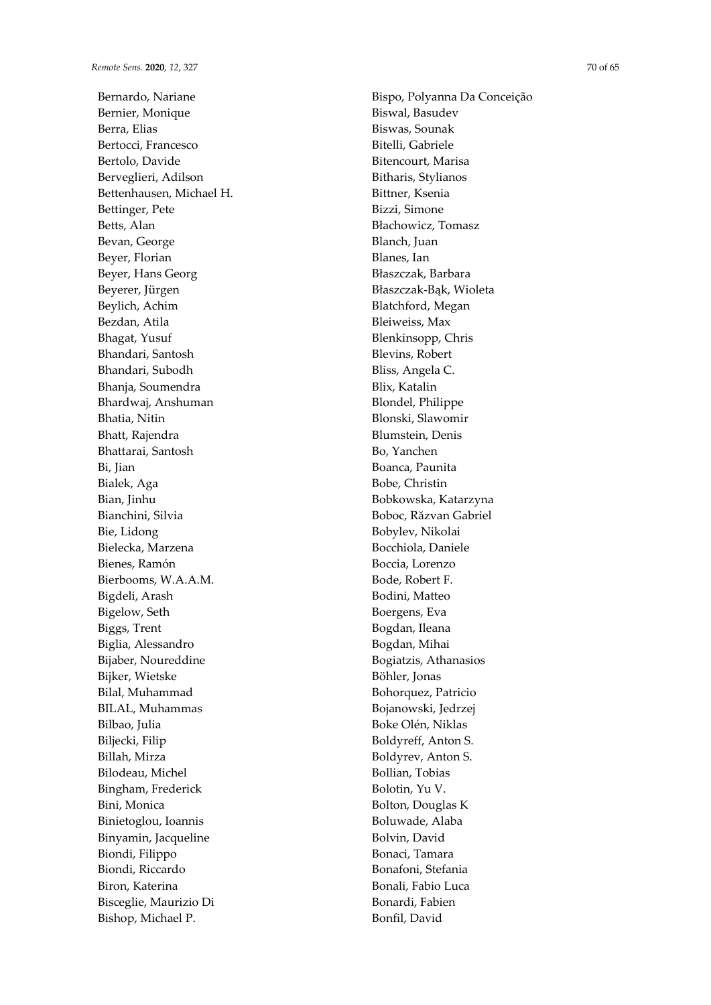Bernardo, Nariane Bernier, Monique Berra, Elias Bertocci, Francesco Bertolo, Davide Berveglieri, Adilson Bettenhausen, Michael H. Bettinger, Pete Betts, Alan Bevan, George Beyer, Florian Beyer, Hans Georg Beyerer, Jürgen Beylich, Achim Bezdan, Atila Bhagat, Yusuf Bhandari, Santosh Bhandari, Subodh Bhanja, Soumendra Bhardwaj, Anshuman Bhatia, Nitin Bhatt, Rajendra Bhattarai, Santosh Bi, Jian Bialek, Aga Bian, Jinhu Bianchini, Silvia Bie, Lidong Bielecka, Marzena Bienes, Ramón Bierbooms, W.A.A.M. Bigdeli, Arash Bigelow, Seth Biggs, Trent Biglia, Alessandro Bijaber, Noureddine Bijker, Wietske Bilal, Muhammad BILAL, Muhammas Bilbao, Julia Biljecki, Filip Billah, Mirza Bilodeau, Michel Bingham, Frederick Bini, Monica Binietoglou, Ioannis Binyamin, Jacqueline Biondi, Filippo Biondi, Riccardo Biron, Katerina Bisceglie, Maurizio Di Bishop, Michael P.

Bispo, Polyanna Da Conceição Biswal, Basudev Biswas, Sounak Bitelli, Gabriele Bitencourt, Marisa Bitharis, Stylianos Bittner, Ksenia Bizzi, Simone Błachowicz, Tomasz Blanch, Juan Blanes, Ian Błaszczak, Barbara Błaszczak-Bąk, Wioleta Blatchford, Megan Bleiweiss, Max Blenkinsopp, Chris Blevins, Robert Bliss, Angela C. Blix, Katalin Blondel, Philippe Blonski, Slawomir Blumstein, Denis Bo, Yanchen Boanca, Paunita Bobe, Christin Bobkowska, Katarzyna Boboc, Răzvan Gabriel Bobylev, Nikolai Bocchiola, Daniele Boccia, Lorenzo Bode, Robert F. Bodini, Matteo Boergens, Eva Bogdan, Ileana Bogdan, Mihai Bogiatzis, Athanasios Böhler, Jonas Bohorquez, Patricio Bojanowski, Jedrzej Boke Olén, Niklas Boldyreff, Anton S. Boldyrev, Anton S. Bollian, Tobias Bolotin, Yu V. Bolton, Douglas K Boluwade, Alaba Bolvin, David Bonaci, Tamara Bonafoni, Stefania Bonali, Fabio Luca Bonardi, Fabien

Bonfil, David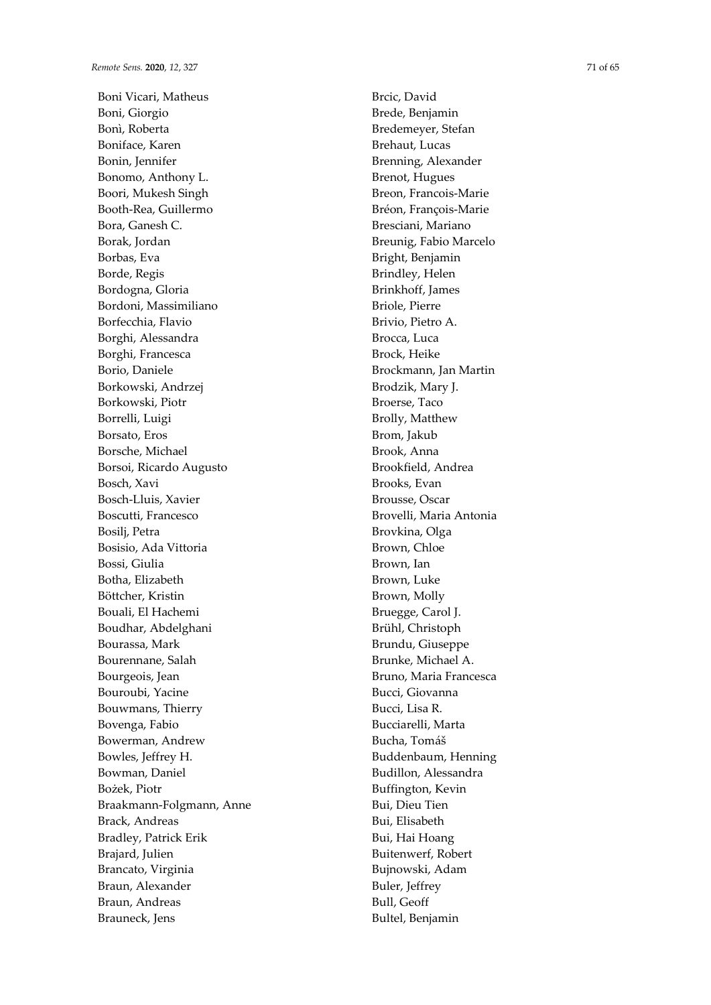Boni Vicari, Matheus Boni, Giorgio Bonì, Roberta Boniface, Karen Bonin, Jennifer Bonomo, Anthony L. Boori, Mukesh Singh Booth-Rea, Guillermo Bora, Ganesh C. Borak, Jordan Borbas, Eva Borde, Regis Bordogna, Gloria Bordoni, Massimiliano Borfecchia, Flavio Borghi, Alessandra Borghi, Francesca Borio, Daniele Borkowski, Andrzej Borkowski, Piotr Borrelli, Luigi Borsato, Eros Borsche, Michael Borsoi, Ricardo Augusto Bosch, Xavi Bosch-Lluis, Xavier Boscutti, Francesco Bosilj, Petra Bosisio, Ada Vittoria Bossi, Giulia Botha, Elizabeth Böttcher, Kristin Bouali, El Hachemi Boudhar, Abdelghani Bourassa, Mark Bourennane, Salah Bourgeois, Jean Bouroubi, Yacine Bouwmans, Thierry Bovenga, Fabio Bowerman, Andrew Bowles, Jeffrey H. Bowman, Daniel Bożek, Piotr Braakmann-Folgmann, Anne Brack, Andreas Bradley, Patrick Erik Brajard, Julien Brancato, Virginia Braun, Alexander Braun, Andreas Brauneck, Jens

Brcic, David Brede, Benjamin Bredemeyer, Stefan Brehaut, Lucas Brenning, Alexander Brenot, Hugues Breon, Francois-Marie Bréon, François-Marie Bresciani, Mariano Breunig, Fabio Marcelo Bright, Benjamin Brindley, Helen Brinkhoff, James Briole, Pierre Brivio, Pietro A. Brocca, Luca Brock, Heike Brockmann, Jan Martin Brodzik, Mary J. Broerse, Taco Brolly, Matthew Brom, Jakub Brook, Anna Brookfield, Andrea Brooks, Evan Brousse, Oscar Brovelli, Maria Antonia Brovkina, Olga Brown, Chloe Brown, Ian Brown, Luke Brown, Molly Bruegge, Carol J. Brühl, Christoph Brundu, Giuseppe Brunke, Michael A. Bruno, Maria Francesca Bucci, Giovanna Bucci, Lisa R. Bucciarelli, Marta Bucha, Tomáš Buddenbaum, Henning Budillon, Alessandra Buffington, Kevin Bui, Dieu Tien Bui, Elisabeth Bui, Hai Hoang Buitenwerf, Robert Bujnowski, Adam Buler, Jeffrey Bull, Geoff

Bultel, Benjamin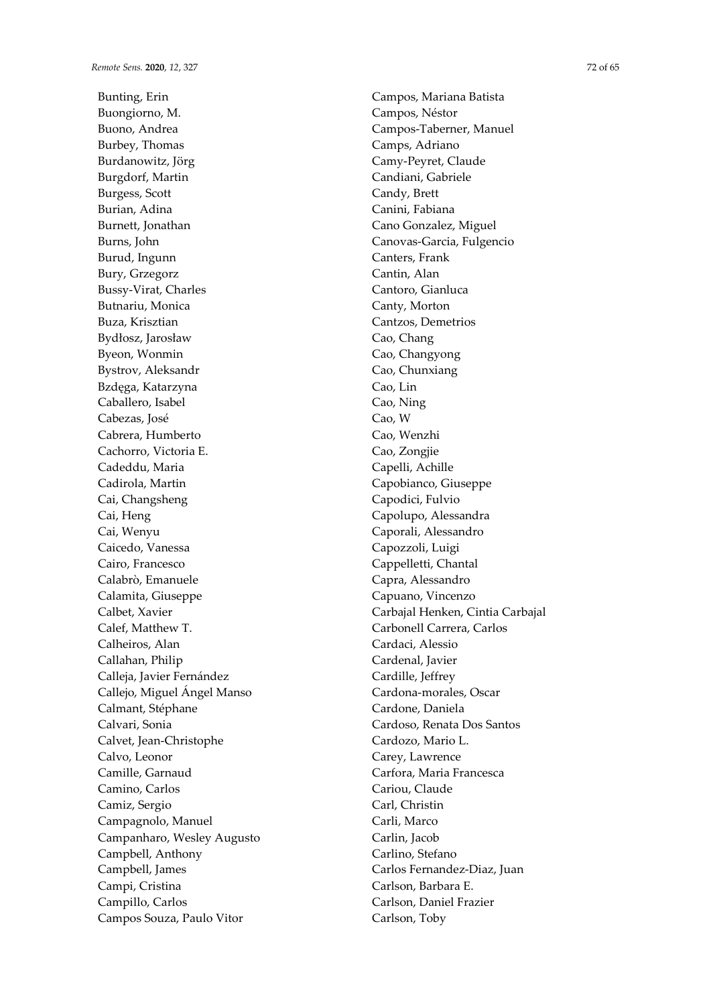Bunting, Erin Buongiorno, M. Buono, Andrea Burbey, Thomas Burdanowitz, Jörg Burgdorf, Martin Burgess, Scott Burian, Adina Burnett, Jonathan Burns, John Burud, Ingunn Bury, Grzegorz Bussy-Virat, Charles Butnariu, Monica Buza, Krisztian Bydłosz, Jarosław Byeon, Wonmin Bystrov, Aleksandr Bzdęga, Katarzyna Caballero, Isabel Cabezas, José Cabrera, Humberto Cachorro, Victoria E. Cadeddu, Maria Cadirola, Martin Cai, Changsheng Cai, Heng Cai, Wenyu Caicedo, Vanessa Cairo, Francesco Calabrò, Emanuele Calamita, Giuseppe Calbet, Xavier Calef, Matthew T. Calheiros, Alan Callahan, Philip Calleja, Javier Fernández Callejo, Miguel Ángel Manso Calmant, Stéphane Calvari, Sonia Calvet, Jean-Christophe Calvo, Leonor Camille, Garnaud Camino, Carlos Camiz, Sergio Campagnolo, Manuel Campanharo, Wesley Augusto Campbell, Anthony Campbell, James Campi, Cristina Campillo, Carlos Campos Souza, Paulo Vitor

Campos, Mariana Batista Campos, Néstor Campos-Taberner, Manuel Camps, Adriano Camy-Peyret, Claude Candiani, Gabriele Candy, Brett Canini, Fabiana Cano Gonzalez, Miguel Canovas-Garcia, Fulgencio Canters, Frank Cantin, Alan Cantoro, Gianluca Canty, Morton Cantzos, Demetrios Cao, Chang Cao, Changyong Cao, Chunxiang Cao, Lin Cao, Ning Cao, W Cao, Wenzhi Cao, Zongjie Capelli, Achille Capobianco, Giuseppe Capodici, Fulvio Capolupo, Alessandra Caporali, Alessandro Capozzoli, Luigi Cappelletti, Chantal Capra, Alessandro Capuano, Vincenzo Carbajal Henken, Cintia Carbajal Carbonell Carrera, Carlos Cardaci, Alessio Cardenal, Javier Cardille, Jeffrey Cardona-morales, Oscar Cardone, Daniela Cardoso, Renata Dos Santos Cardozo, Mario L. Carey, Lawrence Carfora, Maria Francesca Cariou, Claude Carl, Christin Carli, Marco Carlin, Jacob Carlino, Stefano Carlos Fernandez-Diaz, Juan Carlson, Barbara E. Carlson, Daniel Frazier Carlson, Toby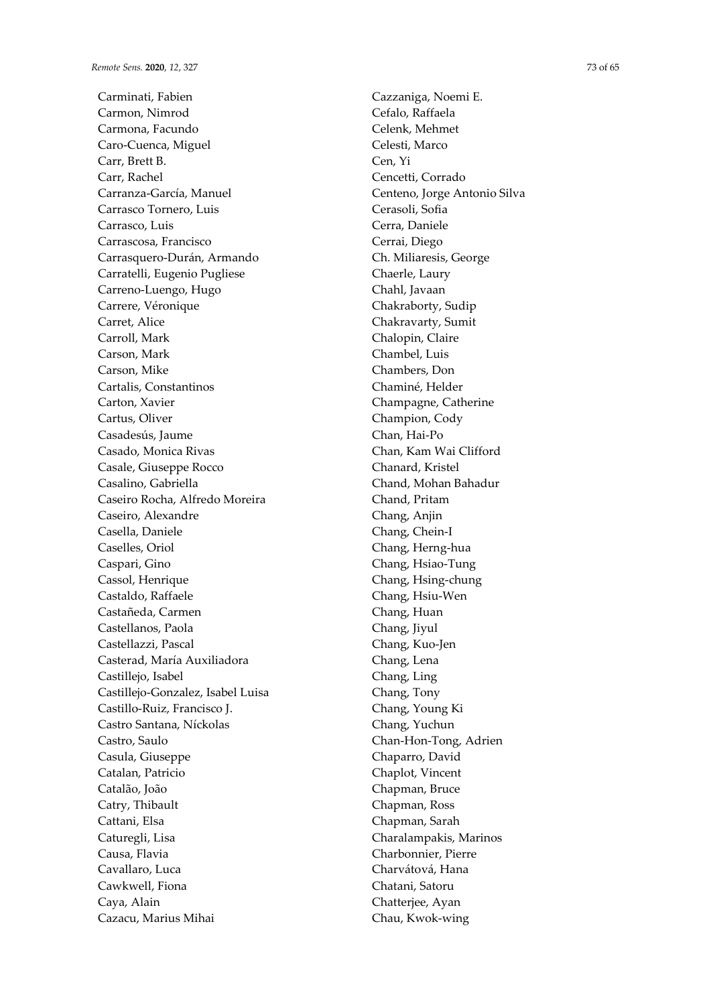Carminati, Fabien Carmon, Nimrod Carmona, Facundo Caro-Cuenca, Miguel Carr, Brett B. Carr, Rachel Carranza-García, Manuel Carrasco Tornero, Luis Carrasco, Luis Carrascosa, Francisco Carrasquero-Durán, Armando Carratelli, Eugenio Pugliese Carreno-Luengo, Hugo Carrere, Véronique Carret, Alice Carroll, Mark Carson, Mark Carson, Mike Cartalis, Constantinos Carton, Xavier Cartus, Oliver Casadesús, Jaume Casado, Monica Rivas Casale, Giuseppe Rocco Casalino, Gabriella Caseiro Rocha, Alfredo Moreira Caseiro, Alexandre Casella, Daniele Caselles, Oriol Caspari, Gino Cassol, Henrique Castaldo, Raffaele Castañeda, Carmen Castellanos, Paola Castellazzi, Pascal Casterad, María Auxiliadora Castillejo, Isabel Castillejo-Gonzalez, Isabel Luisa Castillo-Ruiz, Francisco J. Castro Santana, Níckolas Castro, Saulo Casula, Giuseppe Catalan, Patricio Catalão, João Catry, Thibault Cattani, Elsa Caturegli, Lisa Causa, Flavia Cavallaro, Luca Cawkwell, Fiona Caya, Alain Cazacu, Marius Mihai

Cazzaniga, Noemi E. Cefalo, Raffaela Celenk, Mehmet Celesti, Marco Cen, Yi Cencetti, Corrado Centeno, Jorge Antonio Silva Cerasoli, Sofia Cerra, Daniele Cerrai, Diego Ch. Miliaresis, George Chaerle, Laury Chahl, Javaan Chakraborty, Sudip Chakravarty, Sumit Chalopin, Claire Chambel, Luis Chambers, Don Chaminé, Helder Champagne, Catherine Champion, Cody Chan, Hai-Po Chan, Kam Wai Clifford Chanard, Kristel Chand, Mohan Bahadur Chand, Pritam Chang, Anjin Chang, Chein-I Chang, Herng-hua Chang, Hsiao-Tung Chang, Hsing-chung Chang, Hsiu-Wen Chang, Huan Chang, Jiyul Chang, Kuo-Jen Chang, Lena Chang, Ling Chang, Tony Chang, Young Ki Chang, Yuchun Chan-Hon-Tong, Adrien Chaparro, David Chaplot, Vincent Chapman, Bruce Chapman, Ross Chapman, Sarah Charalampakis, Marinos Charbonnier, Pierre Charvátová, Hana Chatani, Satoru Chatterjee, Ayan Chau, Kwok-wing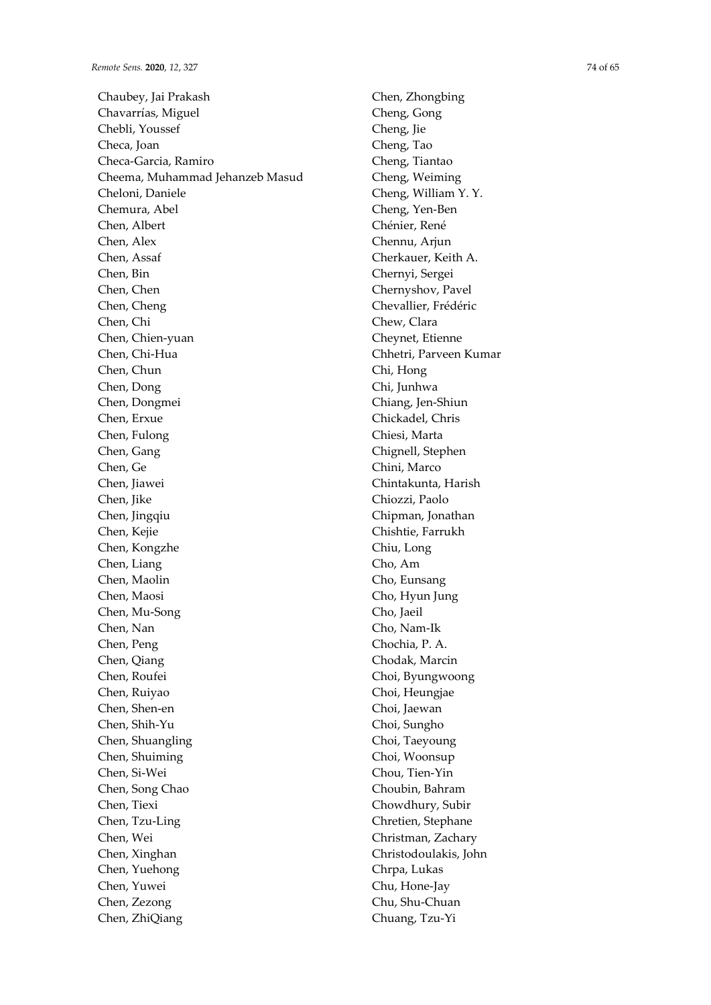Chaubey, Jai Prakash Chavarrías, Miguel Chebli, Youssef Checa, Joan Checa-Garcia, Ramiro Cheema, Muhammad Jehanzeb Masud Cheloni, Daniele Chemura, Abel Chen, Albert Chen, Alex Chen, Assaf Chen, Bin Chen, Chen Chen, Cheng Chen, Chi Chen, Chien-yuan Chen, Chi-Hua Chen, Chun Chen, Dong Chen, Dongmei Chen, Erxue Chen, Fulong Chen, Gang Chen, Ge Chen, Jiawei Chen, Jike Chen, Jingqiu Chen, Kejie Chen, Kongzhe Chen, Liang Chen, Maolin Chen, Maosi Chen, Mu-Song Chen, Nan Chen, Peng Chen, Qiang Chen, Roufei Chen, Ruiyao Chen, Shen-en Chen, Shih-Yu Chen, Shuangling Chen, Shuiming Chen, Si-Wei Chen, Song Chao Chen, Tiexi Chen, Tzu-Ling Chen, Wei Chen, Xinghan Chen, Yuehong Chen, Yuwei Chen, Zezong Chen, ZhiQiang

Chen, Zhongbing Cheng, Gong Cheng, Jie Cheng, Tao Cheng, Tiantao Cheng, Weiming Cheng, William Y. Y. Cheng, Yen-Ben Chénier, René Chennu, Arjun Cherkauer, Keith A. Chernyi, Sergei Chernyshov, Pavel Chevallier, Frédéric Chew, Clara Cheynet, Etienne Chhetri, Parveen Kumar Chi, Hong Chi, Junhwa Chiang, Jen-Shiun Chickadel, Chris Chiesi, Marta Chignell, Stephen Chini, Marco Chintakunta, Harish Chiozzi, Paolo Chipman, Jonathan Chishtie, Farrukh Chiu, Long Cho, Am Cho, Eunsang Cho, Hyun Jung Cho, Jaeil Cho, Nam-Ik Chochia, P. A. Chodak, Marcin Choi, Byungwoong Choi, Heungjae Choi, Jaewan Choi, Sungho Choi, Taeyoung Choi, Woonsup Chou, Tien-Yin Choubin, Bahram Chowdhury, Subir Chretien, Stephane Christman, Zachary Christodoulakis, John Chrpa, Lukas Chu, Hone-Jay Chu, Shu-Chuan Chuang, Tzu-Yi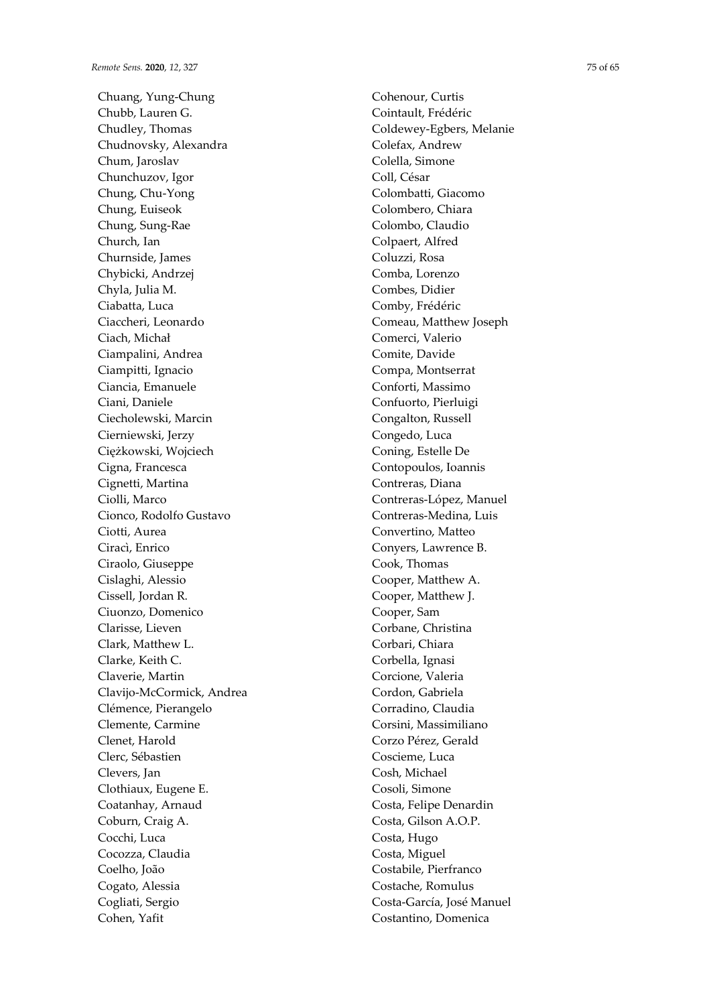Chuang, Yung-Chung Chubb, Lauren G. Chudley, Thomas Chudnovsky, Alexandra Chum, Jaroslav Chunchuzov, Igor Chung, Chu-Yong Chung, Euiseok Chung, Sung-Rae Church, Ian Churnside, James Chybicki, Andrzej Chyla, Julia M. Ciabatta, Luca Ciaccheri, Leonardo Ciach, Michał Ciampalini, Andrea Ciampitti, Ignacio Ciancia, Emanuele Ciani, Daniele Ciecholewski, Marcin Cierniewski, Jerzy Ciężkowski, Wojciech Cigna, Francesca Cignetti, Martina Ciolli, Marco Cionco, Rodolfo Gustavo Ciotti, Aurea Ciracì, Enrico Ciraolo, Giuseppe Cislaghi, Alessio Cissell, Jordan R. Ciuonzo, Domenico Clarisse, Lieven Clark, Matthew L. Clarke, Keith C. Claverie, Martin Clavijo-McCormick, Andrea Clémence, Pierangelo Clemente, Carmine Clenet, Harold Clerc, Sébastien Clevers, Jan Clothiaux, Eugene E. Coatanhay, Arnaud Coburn, Craig A. Cocchi, Luca Cocozza, Claudia Coelho, João Cogato, Alessia Cogliati, Sergio Cohen, Yafit

Cohenour, Curtis Cointault, Frédéric Coldewey-Egbers, Melanie Colefax, Andrew Colella, Simone Coll, César Colombatti, Giacomo Colombero, Chiara Colombo, Claudio Colpaert, Alfred Coluzzi, Rosa Comba, Lorenzo Combes, Didier Comby, Frédéric Comeau, Matthew Joseph Comerci, Valerio Comite, Davide Compa, Montserrat Conforti, Massimo Confuorto, Pierluigi Congalton, Russell Congedo, Luca Coning, Estelle De Contopoulos, Ioannis Contreras, Diana Contreras-López, Manuel Contreras-Medina, Luis Convertino, Matteo Conyers, Lawrence B. Cook, Thomas Cooper, Matthew A. Cooper, Matthew J. Cooper, Sam Corbane, Christina Corbari, Chiara Corbella, Ignasi Corcione, Valeria Cordon, Gabriela Corradino, Claudia Corsini, Massimiliano Corzo Pérez, Gerald Coscieme, Luca Cosh, Michael Cosoli, Simone Costa, Felipe Denardin Costa, Gilson A.O.P. Costa, Hugo Costa, Miguel Costabile, Pierfranco Costache, Romulus Costa-García, José Manuel Costantino, Domenica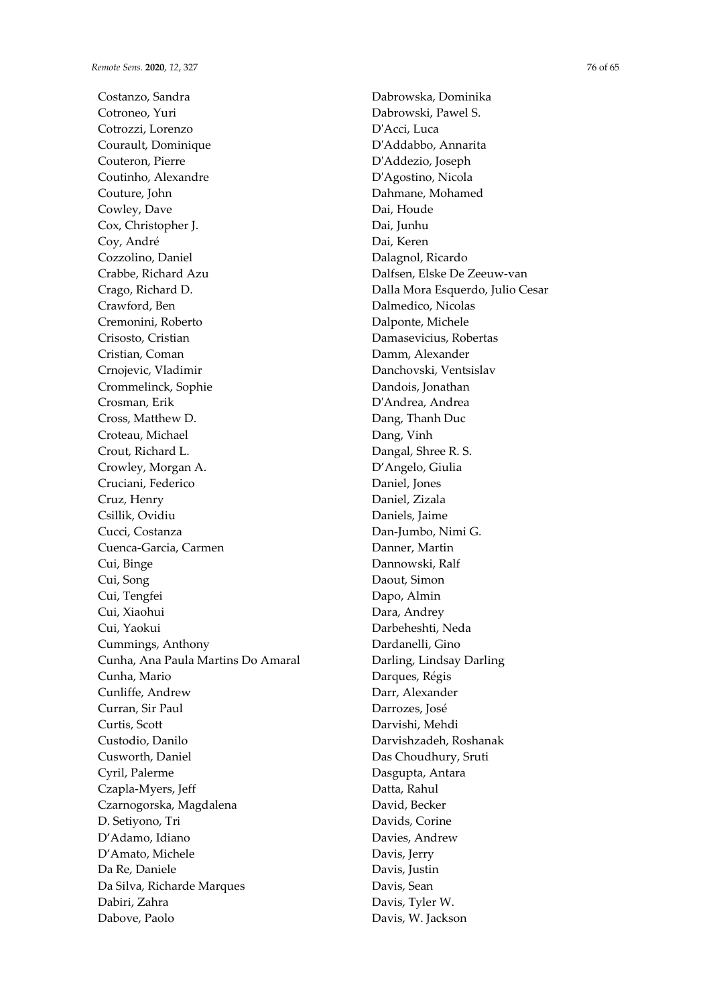Costanzo, Sandra Cotroneo, Yuri Cotrozzi, Lorenzo Courault, Dominique Couteron, Pierre Coutinho, Alexandre Couture, John Cowley, Dave Cox, Christopher J. Coy, André Cozzolino, Daniel Crabbe, Richard Azu Crago, Richard D. Crawford, Ben Cremonini, Roberto Crisosto, Cristian Cristian, Coman Crnojevic, Vladimir Crommelinck, Sophie Crosman, Erik Cross, Matthew D. Croteau, Michael Crout, Richard L. Crowley, Morgan A. Cruciani, Federico Cruz, Henry Csillik, Ovidiu Cucci, Costanza Cuenca-Garcia, Carmen Cui, Binge Cui, Song Cui, Tengfei Cui, Xiaohui Cui, Yaokui Cummings, Anthony Cunha, Ana Paula Martins Do Amaral Cunha, Mario Cunliffe, Andrew Curran, Sir Paul Curtis, Scott Custodio, Danilo Cusworth, Daniel Cyril, Palerme Czapla-Myers, Jeff Czarnogorska, Magdalena D. Setiyono, Tri D'Adamo, Idiano D'Amato, Michele Da Re, Daniele Da Silva, Richarde Marques Dabiri, Zahra Dabove, Paolo

Dabrowska, Dominika Dabrowski, Pawel S. D'Acci, Luca D'Addabbo, Annarita D'Addezio, Joseph D'Agostino, Nicola Dahmane, Mohamed Dai, Houde Dai, Junhu Dai, Keren Dalagnol, Ricardo Dalfsen, Elske De Zeeuw-van Dalla Mora Esquerdo, Julio Cesar Dalmedico, Nicolas Dalponte, Michele Damasevicius, Robertas Damm, Alexander Danchovski, Ventsislav Dandois, Jonathan D'Andrea, Andrea Dang, Thanh Duc Dang, Vinh Dangal, Shree R. S. D'Angelo, Giulia Daniel, Jones Daniel, Zizala Daniels, Jaime Dan-Jumbo, Nimi G. Danner, Martin Dannowski, Ralf Daout, Simon Dapo, Almin Dara, Andrey Darbeheshti, Neda Dardanelli, Gino Darling, Lindsay Darling Darques, Régis Darr, Alexander Darrozes, José Darvishi, Mehdi Darvishzadeh, Roshanak Das Choudhury, Sruti Dasgupta, Antara Datta, Rahul David, Becker Davids, Corine Davies, Andrew Davis, Jerry Davis, Justin Davis, Sean Davis, Tyler W. Davis, W. Jackson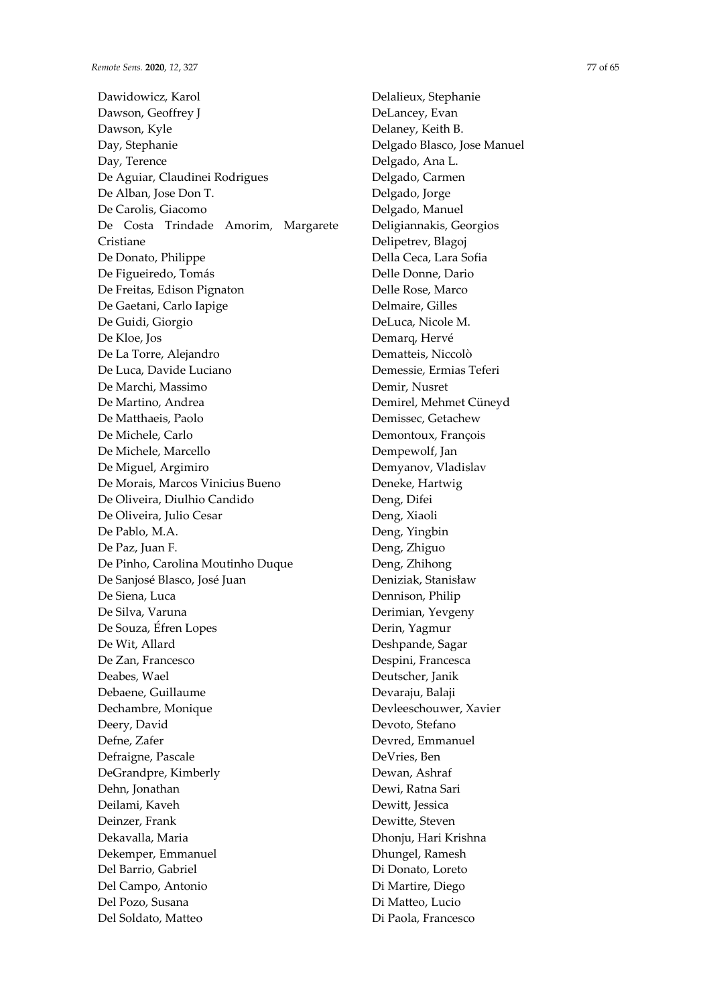Dawidowicz, Karol Dawson, Geoffrey J Dawson, Kyle Day, Stephanie Day, Terence De Aguiar, Claudinei Rodrigues De Alban, Jose Don T. De Carolis, Giacomo De Costa Trindade Amorim, Margarete Cristiane De Donato, Philippe De Figueiredo, Tomás De Freitas, Edison Pignaton De Gaetani, Carlo Iapige De Guidi, Giorgio De Kloe, Jos De La Torre, Alejandro De Luca, Davide Luciano De Marchi, Massimo De Martino, Andrea De Matthaeis, Paolo De Michele, Carlo De Michele, Marcello De Miguel, Argimiro De Morais, Marcos Vinicius Bueno De Oliveira, Diulhio Candido De Oliveira, Julio Cesar De Pablo, M.A. De Paz, Juan F. De Pinho, Carolina Moutinho Duque De Sanjosé Blasco, José Juan De Siena, Luca De Silva, Varuna De Souza, Éfren Lopes De Wit, Allard De Zan, Francesco Deabes, Wael Debaene, Guillaume Dechambre, Monique Deery, David Defne, Zafer Defraigne, Pascale DeGrandpre, Kimberly Dehn, Jonathan Deilami, Kaveh Deinzer, Frank Dekavalla, Maria Dekemper, Emmanuel Del Barrio, Gabriel Del Campo, Antonio Del Pozo, Susana Del Soldato, Matteo

Delalieux, Stephanie DeLancey, Evan Delaney, Keith B. Delgado Blasco, Jose Manuel Delgado, Ana L. Delgado, Carmen Delgado, Jorge Delgado, Manuel Deligiannakis, Georgios Delipetrev, Blagoj Della Ceca, Lara Sofia Delle Donne, Dario Delle Rose, Marco Delmaire, Gilles DeLuca, Nicole M. Demarq, Hervé Dematteis, Niccolò Demessie, Ermias Teferi Demir, Nusret Demirel, Mehmet Cüneyd Demissec, Getachew Demontoux, François Dempewolf, Jan Demyanov, Vladislav Deneke, Hartwig Deng, Difei Deng, Xiaoli Deng, Yingbin Deng, Zhiguo Deng, Zhihong Deniziak, Stanisław Dennison, Philip Derimian, Yevgeny Derin, Yagmur Deshpande, Sagar Despini, Francesca Deutscher, Janik Devaraju, Balaji Devleeschouwer, Xavier Devoto, Stefano Devred, Emmanuel DeVries, Ben Dewan, Ashraf Dewi, Ratna Sari Dewitt, Jessica Dewitte, Steven Dhonju, Hari Krishna Dhungel, Ramesh Di Donato, Loreto Di Martire, Diego Di Matteo, Lucio

Di Paola, Francesco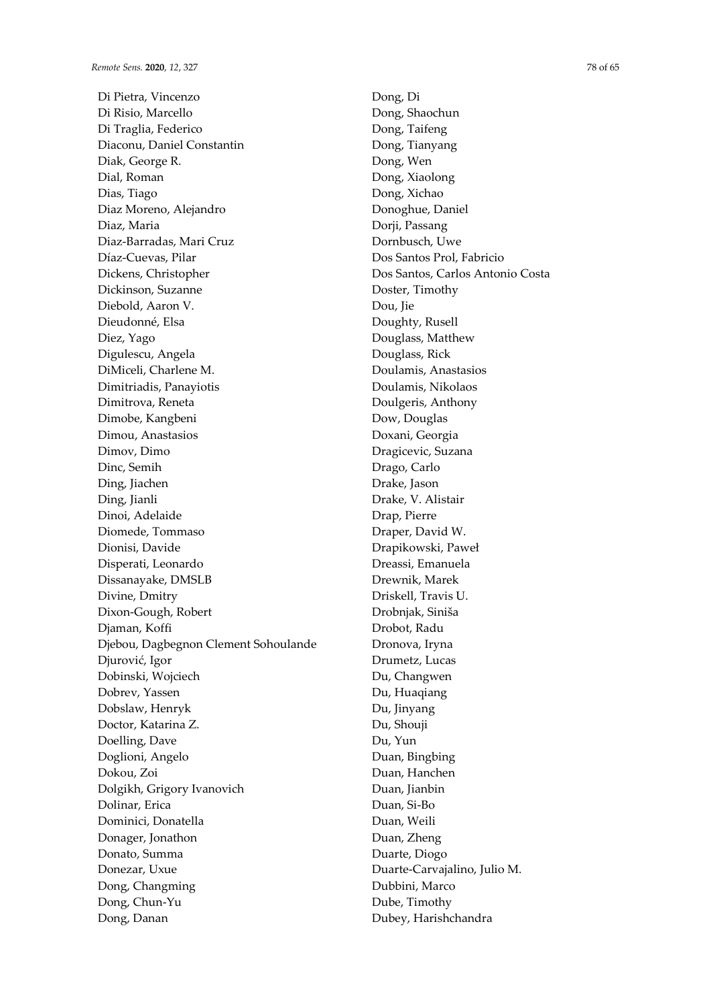Di Pietra, Vincenzo Di Risio, Marcello Di Traglia, Federico Diaconu, Daniel Constantin Diak, George R. Dial, Roman Dias, Tiago Diaz Moreno, Alejandro Diaz, Maria Diaz-Barradas, Mari Cruz Díaz-Cuevas, Pilar Dickens, Christopher Dickinson, Suzanne Diebold, Aaron V. Dieudonné, Elsa Diez, Yago Digulescu, Angela DiMiceli, Charlene M. Dimitriadis, Panayiotis Dimitrova, Reneta Dimobe, Kangbeni Dimou, Anastasios Dimov, Dimo Dinc, Semih Ding, Jiachen Ding, Jianli Dinoi, Adelaide Diomede, Tommaso Dionisi, Davide Disperati, Leonardo Dissanayake, DMSLB Divine, Dmitry Dixon-Gough, Robert Djaman, Koffi Djebou, Dagbegnon Clement Sohoulande Djurović, Igor Dobinski, Wojciech Dobrev, Yassen Dobslaw, Henryk Doctor, Katarina Z. Doelling, Dave Doglioni, Angelo Dokou, Zoi Dolgikh, Grigory Ivanovich Dolinar, Erica Dominici, Donatella Donager, Jonathon Donato, Summa Donezar, Uxue Dong, Changming Dong, Chun-Yu Dong, Danan

Dong, Di Dong, Shaochun Dong, Taifeng Dong, Tianyang Dong, Wen Dong, Xiaolong Dong, Xichao Donoghue, Daniel Dorji, Passang Dornbusch, Uwe Dos Santos Prol, Fabricio Dos Santos, Carlos Antonio Costa Doster, Timothy Dou, Jie Doughty, Rusell Douglass, Matthew Douglass, Rick Doulamis, Anastasios Doulamis, Nikolaos Doulgeris, Anthony Dow, Douglas Doxani, Georgia Dragicevic, Suzana Drago, Carlo Drake, Jason Drake, V. Alistair Drap, Pierre Draper, David W. Drapikowski, Paweł Dreassi, Emanuela Drewnik, Marek Driskell, Travis U. Drobnjak, Siniša Drobot, Radu Dronova, Iryna Drumetz, Lucas Du, Changwen Du, Huaqiang Du, Jinyang Du, Shouji Du, Yun Duan, Bingbing Duan, Hanchen Duan, Jianbin Duan, Si-Bo Duan, Weili Duan, Zheng Duarte, Diogo Duarte-Carvajalino, Julio M. Dubbini, Marco Dube, Timothy Dubey, Harishchandra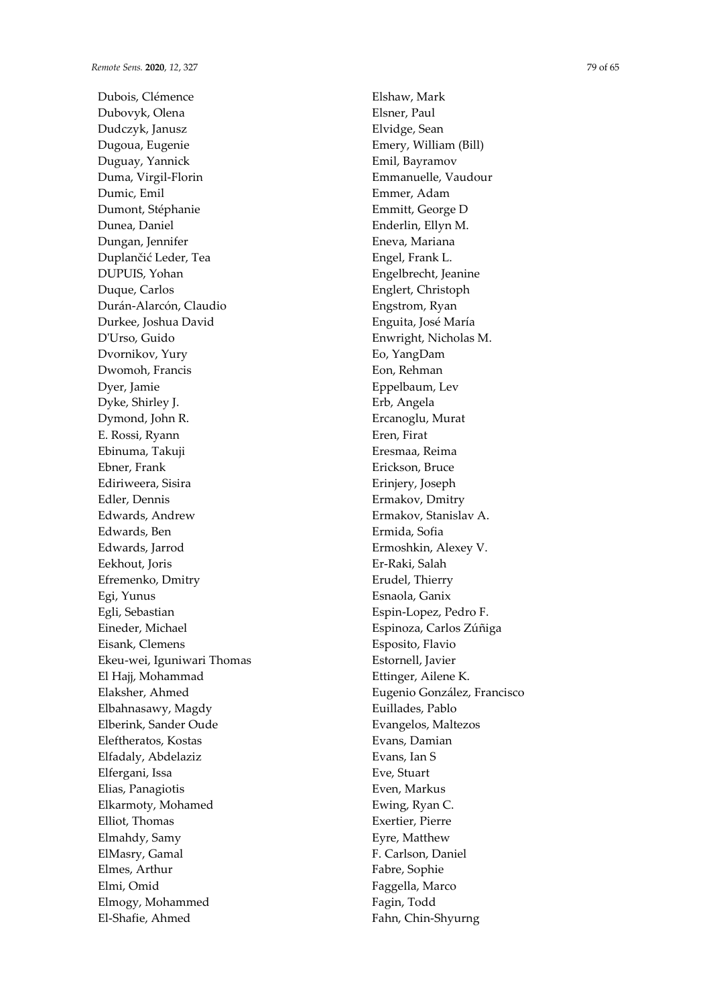Dubois, Clémence Dubovyk, Olena Dudczyk, Janusz Dugoua, Eugenie Duguay, Yannick Duma, Virgil-Florin Dumic, Emil Dumont, Stéphanie Dunea, Daniel Dungan, Jennifer Duplančić Leder, Tea DUPUIS, Yohan Duque, Carlos Durán-Alarcón, Claudio Durkee, Joshua David D'Urso, Guido Dvornikov, Yury Dwomoh, Francis Dyer, Jamie Dyke, Shirley J. Dymond, John R. E. Rossi, Ryann Ebinuma, Takuji Ebner, Frank Ediriweera, Sisira Edler, Dennis Edwards, Andrew Edwards, Ben Edwards, Jarrod Eekhout, Joris Efremenko, Dmitry Egi, Yunus Egli, Sebastian Eineder, Michael Eisank, Clemens Ekeu-wei, Iguniwari Thomas El Hajj, Mohammad Elaksher, Ahmed Elbahnasawy, Magdy Elberink, Sander Oude Eleftheratos, Kostas Elfadaly, Abdelaziz Elfergani, Issa Elias, Panagiotis Elkarmoty, Mohamed Elliot, Thomas Elmahdy, Samy ElMasry, Gamal Elmes, Arthur Elmi, Omid Elmogy, Mohammed El-Shafie, Ahmed

Elshaw, Mark Elsner, Paul Elvidge, Sean Emery, William (Bill) Emil, Bayramov Emmanuelle, Vaudour Emmer, Adam Emmitt, George D Enderlin, Ellyn M. Eneva, Mariana Engel, Frank L. Engelbrecht, Jeanine Englert, Christoph Engstrom, Ryan Enguita, José María Enwright, Nicholas M. Eo, YangDam Eon, Rehman Eppelbaum, Lev Erb, Angela Ercanoglu, Murat Eren, Firat Eresmaa, Reima Erickson, Bruce Erinjery, Joseph Ermakov, Dmitry Ermakov, Stanislav A. Ermida, Sofia Ermoshkin, Alexey V. Er-Raki, Salah Erudel, Thierry Esnaola, Ganix Espin-Lopez, Pedro F. Espinoza, Carlos Zúñiga Esposito, Flavio Estornell, Javier Ettinger, Ailene K. Eugenio González, Francisco Euillades, Pablo Evangelos, Maltezos Evans, Damian Evans, Ian S Eve, Stuart Even, Markus Ewing, Ryan C. Exertier, Pierre Eyre, Matthew F. Carlson, Daniel Fabre, Sophie Faggella, Marco Fagin, Todd

Fahn, Chin-Shyurng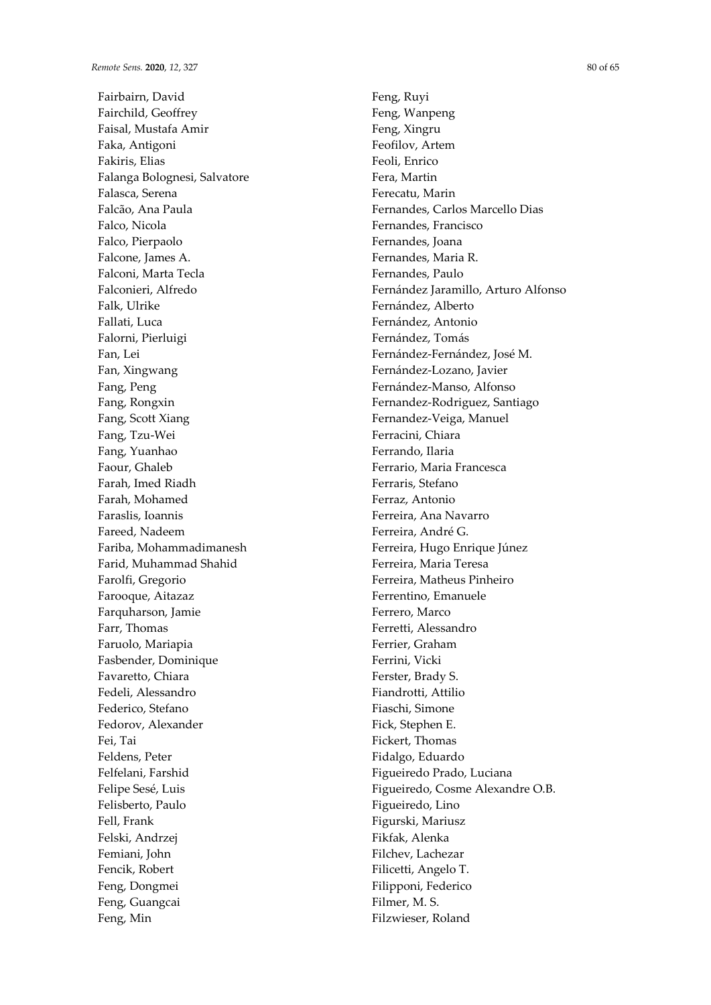Fairbairn, David Fairchild, Geoffrey Faisal, Mustafa Amir Faka, Antigoni Fakiris, Elias Falanga Bolognesi, Salvatore Falasca, Serena Falcão, Ana Paula Falco, Nicola Falco, Pierpaolo Falcone, James A. Falconi, Marta Tecla Falconieri, Alfredo Falk, Ulrike Fallati, Luca Falorni, Pierluigi Fan, Lei Fan, Xingwang Fang, Peng Fang, Rongxin Fang, Scott Xiang Fang, Tzu-Wei Fang, Yuanhao Faour, Ghaleb Farah, Imed Riadh Farah, Mohamed Faraslis, Ioannis Fareed, Nadeem Fariba, Mohammadimanesh Farid, Muhammad Shahid Farolfi, Gregorio Farooque, Aitazaz Farquharson, Jamie Farr, Thomas Faruolo, Mariapia Fasbender, Dominique Favaretto, Chiara Fedeli, Alessandro Federico, Stefano Fedorov, Alexander Fei, Tai Feldens, Peter Felfelani, Farshid Felipe Sesé, Luis Felisberto, Paulo Fell, Frank Felski, Andrzej Femiani, John Fencik, Robert Feng, Dongmei Feng, Guangcai Feng, Min

Feng, Ruyi Feng, Wanpeng Feng, Xingru Feofilov, Artem Feoli, Enrico Fera, Martin Ferecatu, Marin Fernandes, Carlos Marcello Dias Fernandes, Francisco Fernandes, Joana Fernandes, Maria R. Fernandes, Paulo Fernández Jaramillo, Arturo Alfonso Fernández, Alberto Fernández, Antonio Fernández, Tomás Fernández-Fernández, José M. Fernández-Lozano, Javier Fernández-Manso, Alfonso Fernandez-Rodriguez, Santiago Fernandez-Veiga, Manuel Ferracini, Chiara Ferrando, Ilaria Ferrario, Maria Francesca Ferraris, Stefano Ferraz, Antonio Ferreira, Ana Navarro Ferreira, André G. Ferreira, Hugo Enrique Júnez Ferreira, Maria Teresa Ferreira, Matheus Pinheiro Ferrentino, Emanuele Ferrero, Marco Ferretti, Alessandro Ferrier, Graham Ferrini, Vicki Ferster, Brady S. Fiandrotti, Attilio Fiaschi, Simone Fick, Stephen E. Fickert, Thomas Fidalgo, Eduardo Figueiredo Prado, Luciana Figueiredo, Cosme Alexandre O.B. Figueiredo, Lino Figurski, Mariusz Fikfak, Alenka Filchev, Lachezar Filicetti, Angelo T. Filipponi, Federico Filmer, M. S. Filzwieser, Roland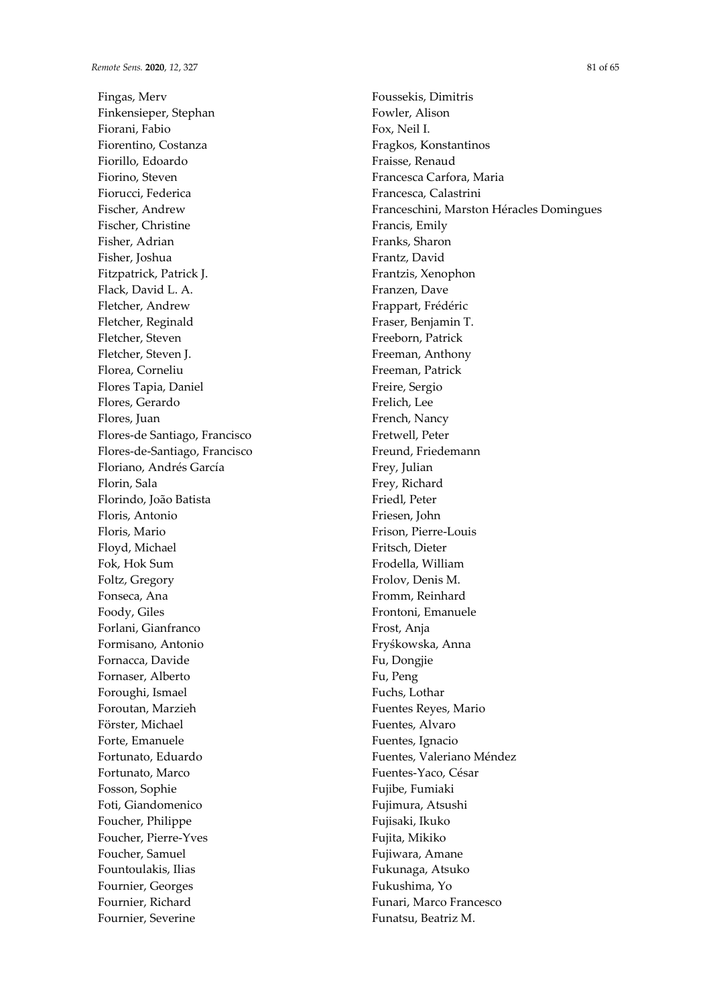Fingas, Merv Finkensieper, Stephan Fiorani, Fabio Fiorentino, Costanza Fiorillo, Edoardo Fiorino, Steven Fiorucci, Federica Fischer, Andrew Fischer, Christine Fisher, Adrian Fisher, Joshua Fitzpatrick, Patrick J. Flack, David L. A. Fletcher, Andrew Fletcher, Reginald Fletcher, Steven Fletcher, Steven J. Florea, Corneliu Flores Tapia, Daniel Flores, Gerardo Flores, Juan Flores-de Santiago, Francisco Flores-de-Santiago, Francisco Floriano, Andrés García Florin, Sala Florindo, João Batista Floris, Antonio Floris, Mario Floyd, Michael Fok, Hok Sum Foltz, Gregory Fonseca, Ana Foody, Giles Forlani, Gianfranco Formisano, Antonio Fornacca, Davide Fornaser, Alberto Foroughi, Ismael Foroutan, Marzieh Förster, Michael Forte, Emanuele Fortunato, Eduardo Fortunato, Marco Fosson, Sophie Foti, Giandomenico Foucher, Philippe Foucher, Pierre-Yves Foucher, Samuel Fountoulakis, Ilias Fournier, Georges Fournier, Richard Fournier, Severine

Foussekis, Dimitris Fowler, Alison Fox, Neil I. Fragkos, Konstantinos Fraisse, Renaud Francesca Carfora, Maria Francesca, Calastrini Franceschini, Marston Héracles Domingues Francis, Emily Franks, Sharon Frantz, David Frantzis, Xenophon Franzen, Dave Frappart, Frédéric Fraser, Benjamin T. Freeborn, Patrick Freeman, Anthony Freeman, Patrick Freire, Sergio Frelich, Lee French, Nancy Fretwell, Peter Freund, Friedemann Frey, Julian Frey, Richard Friedl, Peter Friesen, John Frison, Pierre-Louis Fritsch, Dieter Frodella, William Frolov, Denis M. Fromm, Reinhard Frontoni, Emanuele Frost, Anja Fryśkowska, Anna Fu, Dongjie Fu, Peng Fuchs, Lothar Fuentes Reyes, Mario Fuentes, Alvaro Fuentes, Ignacio Fuentes, Valeriano Méndez Fuentes-Yaco, César Fujibe, Fumiaki Fujimura, Atsushi Fujisaki, Ikuko Fujita, Mikiko Fujiwara, Amane Fukunaga, Atsuko Fukushima, Yo Funari, Marco Francesco Funatsu, Beatriz M.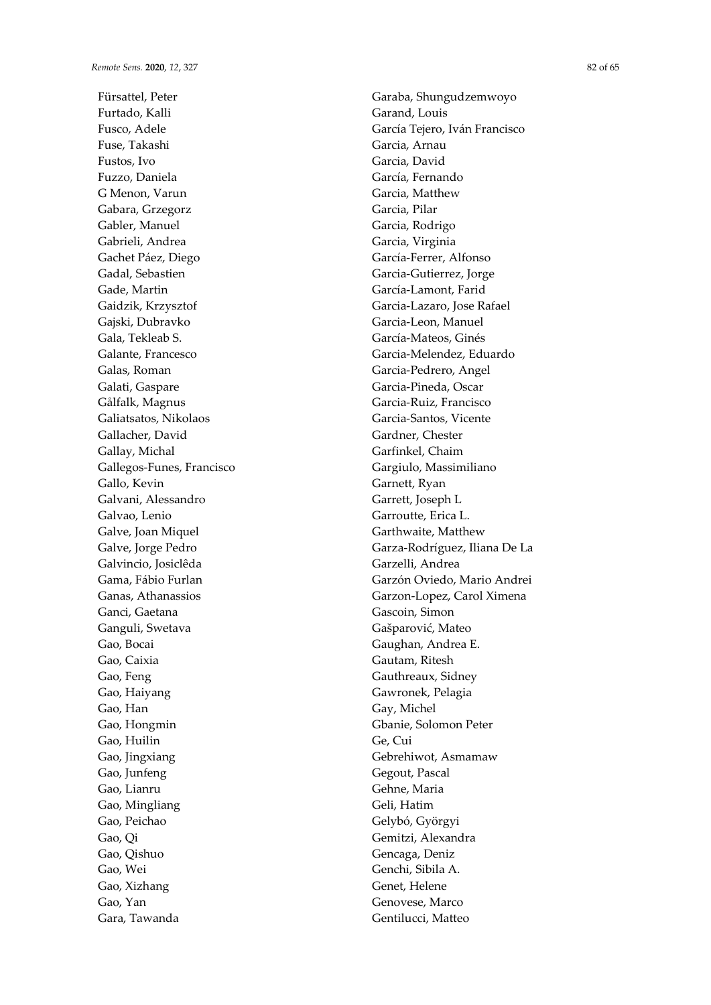Fürsattel, Peter Furtado, Kalli Fusco, Adele Fuse, Takashi Fustos, Ivo Fuzzo, Daniela G Menon, Varun Gabara, Grzegorz Gabler, Manuel Gabrieli, Andrea Gachet Páez, Diego Gadal, Sebastien Gade, Martin Gaidzik, Krzysztof Gajski, Dubravko Gala, Tekleab S. Galante, Francesco Galas, Roman Galati, Gaspare Gålfalk, Magnus Galiatsatos, Nikolaos Gallacher, David Gallay, Michal Gallegos-Funes, Francisco Gallo, Kevin Galvani, Alessandro Galvao, Lenio Galve, Joan Miquel Galve, Jorge Pedro Galvincio, Josiclêda Gama, Fábio Furlan Ganas, Athanassios Ganci, Gaetana Ganguli, Swetava Gao, Bocai Gao, Caixia Gao, Feng Gao, Haiyang Gao, Han Gao, Hongmin Gao, Huilin Gao, Jingxiang Gao, Junfeng Gao, Lianru Gao, Mingliang Gao, Peichao Gao, Qi Gao, Qishuo Gao, Wei Gao, Xizhang Gao, Yan Gara, Tawanda

Garaba, Shungudzemwoyo Garand, Louis García Tejero, Iván Francisco Garcia, Arnau Garcia, David García, Fernando Garcia, Matthew Garcia, Pilar Garcia, Rodrigo Garcia, Virginia García-Ferrer, Alfonso Garcia-Gutierrez, Jorge García-Lamont, Farid Garcia-Lazaro, Jose Rafael Garcia-Leon, Manuel García-Mateos, Ginés Garcia-Melendez, Eduardo Garcia-Pedrero, Angel Garcia-Pineda, Oscar Garcia-Ruiz, Francisco Garcia-Santos, Vicente Gardner, Chester Garfinkel, Chaim Gargiulo, Massimiliano Garnett, Ryan Garrett, Joseph L Garroutte, Erica L. Garthwaite, Matthew Garza-Rodríguez, Iliana De La Garzelli, Andrea Garzón Oviedo, Mario Andrei Garzon-Lopez, Carol Ximena Gascoin, Simon Gašparović, Mateo Gaughan, Andrea E. Gautam, Ritesh Gauthreaux, Sidney Gawronek, Pelagia Gay, Michel Gbanie, Solomon Peter Ge, Cui Gebrehiwot, Asmamaw Gegout, Pascal Gehne, Maria Geli, Hatim Gelybó, Györgyi Gemitzi, Alexandra Gencaga, Deniz Genchi, Sibila A. Genet, Helene Genovese, Marco

Gentilucci, Matteo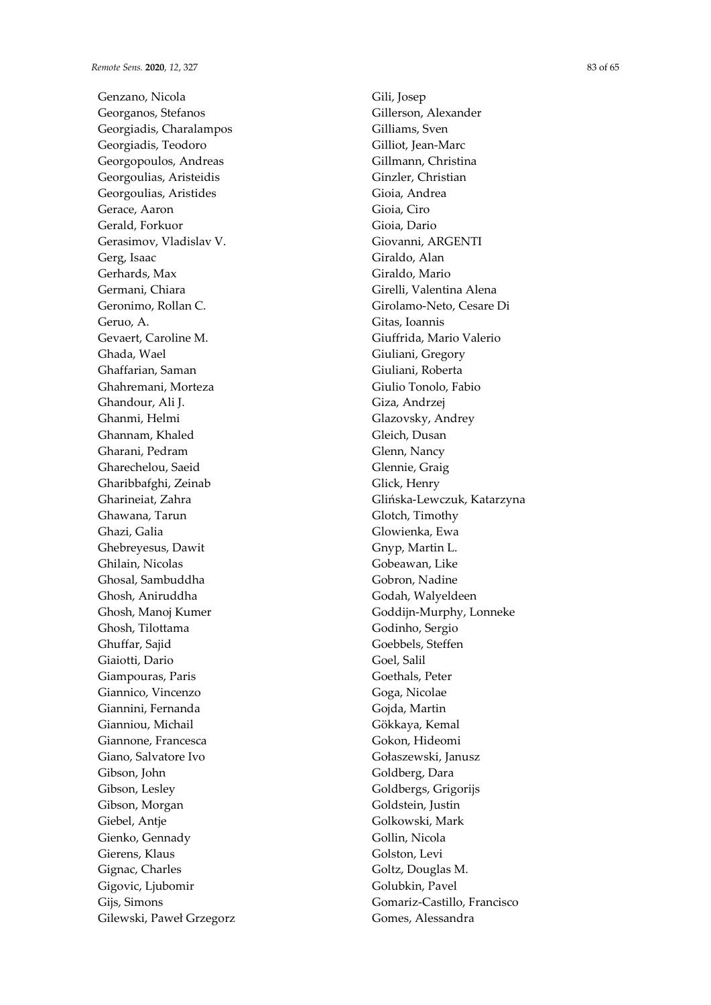Genzano, Nicola Georganos, Stefanos Georgiadis, Charalampos Georgiadis, Teodoro Georgopoulos, Andreas Georgoulias, Aristeidis Georgoulias, Aristides Gerace, Aaron Gerald, Forkuor Gerasimov, Vladislav V. Gerg, Isaac Gerhards, Max Germani, Chiara Geronimo, Rollan C. Geruo, A. Gevaert, Caroline M. Ghada, Wael Ghaffarian, Saman Ghahremani, Morteza Ghandour, Ali J. Ghanmi, Helmi Ghannam, Khaled Gharani, Pedram Gharechelou, Saeid Gharibbafghi, Zeinab Gharineiat, Zahra Ghawana, Tarun Ghazi, Galia Ghebreyesus, Dawit Ghilain, Nicolas Ghosal, Sambuddha Ghosh, Aniruddha Ghosh, Manoj Kumer Ghosh, Tilottama Ghuffar, Sajid Giaiotti, Dario Giampouras, Paris Giannico, Vincenzo Giannini, Fernanda Gianniou, Michail Giannone, Francesca Giano, Salvatore Ivo Gibson, John Gibson, Lesley Gibson, Morgan Giebel, Antje Gienko, Gennady Gierens, Klaus Gignac, Charles Gigovic, Ljubomir Gijs, Simons Gilewski, Paweł Grzegorz Gili, Josep Gillerson, Alexander Gilliams, Sven Gilliot, Jean-Marc Gillmann, Christina Ginzler, Christian Gioia, Andrea Gioia, Ciro Gioia, Dario Giovanni, ARGENTI Giraldo, Alan Giraldo, Mario Girelli, Valentina Alena Girolamo-Neto, Cesare Di Gitas, Ioannis Giuffrida, Mario Valerio Giuliani, Gregory Giuliani, Roberta Giulio Tonolo, Fabio Giza, Andrzej Glazovsky, Andrey Gleich, Dusan Glenn, Nancy Glennie, Graig Glick, Henry Glińska-Lewczuk, Katarzyna Glotch, Timothy Glowienka, Ewa Gnyp, Martin L. Gobeawan, Like Gobron, Nadine Godah, Walyeldeen Goddijn-Murphy, Lonneke Godinho, Sergio Goebbels, Steffen Goel, Salil Goethals, Peter Goga, Nicolae Gojda, Martin Gökkaya, Kemal Gokon, Hideomi Gołaszewski, Janusz Goldberg, Dara Goldbergs, Grigorijs Goldstein, Justin Golkowski, Mark Gollin, Nicola Golston, Levi Goltz, Douglas M. Golubkin, Pavel Gomariz-Castillo, Francisco Gomes, Alessandra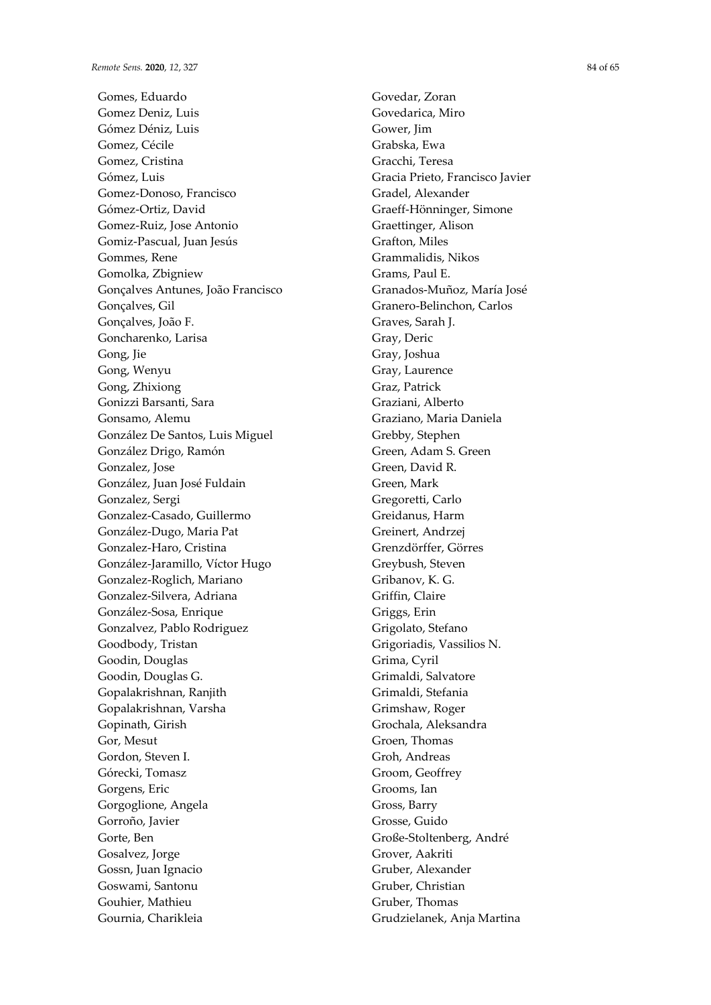Gomes, Eduardo Gomez Deniz, Luis Gómez Déniz, Luis Gomez, Cécile Gomez, Cristina Gómez, Luis Gomez-Donoso, Francisco Gómez-Ortiz, David Gomez-Ruiz, Jose Antonio Gomiz-Pascual, Juan Jesús Gommes, Rene Gomolka, Zbigniew Gonçalves Antunes, João Francisco Gonçalves, Gil Gonçalves, João F. Goncharenko, Larisa Gong, Jie Gong, Wenyu Gong, Zhixiong Gonizzi Barsanti, Sara Gonsamo, Alemu González De Santos, Luis Miguel González Drigo, Ramón Gonzalez, Jose González, Juan José Fuldain Gonzalez, Sergi Gonzalez-Casado, Guillermo González-Dugo, Maria Pat Gonzalez-Haro, Cristina González-Jaramillo, Víctor Hugo Gonzalez-Roglich, Mariano Gonzalez-Silvera, Adriana González-Sosa, Enrique Gonzalvez, Pablo Rodriguez Goodbody, Tristan Goodin, Douglas Goodin, Douglas G. Gopalakrishnan, Ranjith Gopalakrishnan, Varsha Gopinath, Girish Gor, Mesut Gordon, Steven I. Górecki, Tomasz Gorgens, Eric Gorgoglione, Angela Gorroño, Javier Gorte, Ben Gosalvez, Jorge Gossn, Juan Ignacio Goswami, Santonu Gouhier, Mathieu Gournia, Charikleia

Govedar, Zoran Govedarica, Miro Gower, Jim Grabska, Ewa Gracchi, Teresa Gracia Prieto, Francisco Javier Gradel, Alexander Graeff-Hönninger, Simone Graettinger, Alison Grafton, Miles Grammalidis, Nikos Grams, Paul E. Granados-Muñoz, María José Granero-Belinchon, Carlos Graves, Sarah J. Gray, Deric Gray, Joshua Gray, Laurence Graz, Patrick Graziani, Alberto Graziano, Maria Daniela Grebby, Stephen Green, Adam S. Green Green, David R. Green, Mark Gregoretti, Carlo Greidanus, Harm Greinert, Andrzej Grenzdörffer, Görres Greybush, Steven Gribanov, K. G. Griffin, Claire Griggs, Erin Grigolato, Stefano Grigoriadis, Vassilios N. Grima, Cyril Grimaldi, Salvatore Grimaldi, Stefania Grimshaw, Roger Grochala, Aleksandra Groen, Thomas Groh, Andreas Groom, Geoffrey Grooms, Ian Gross, Barry Grosse, Guido Große-Stoltenberg, André Grover, Aakriti Gruber, Alexander Gruber, Christian Gruber, Thomas Grudzielanek, Anja Martina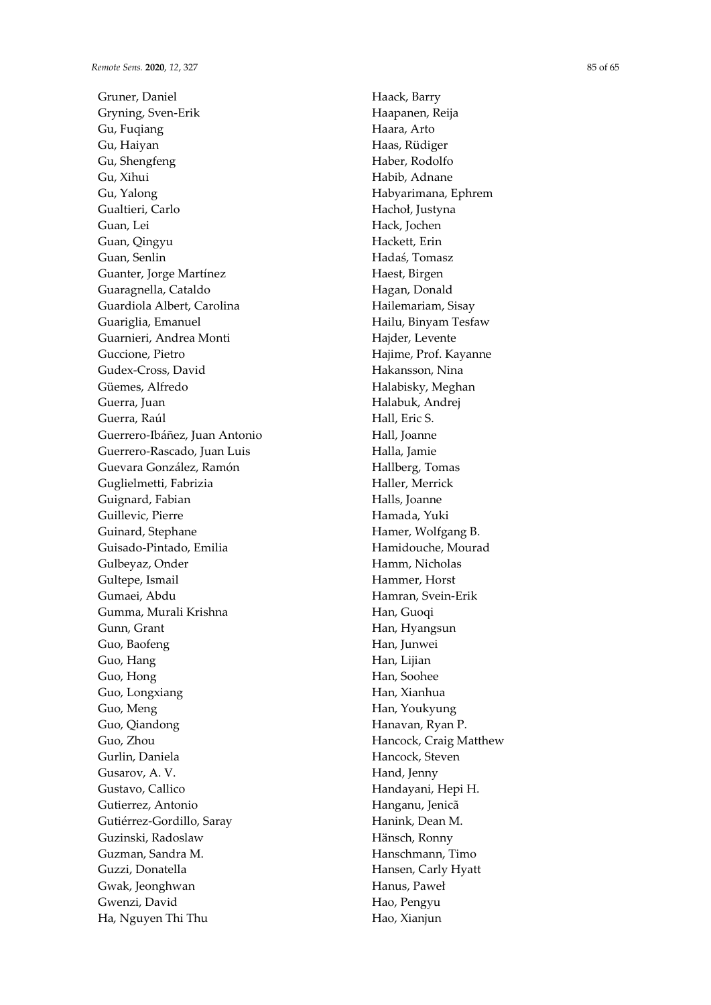Gruner, Daniel Gryning, Sven-Erik Gu, Fuqiang Gu, Haiyan Gu, Shengfeng Gu, Xihui Gu, Yalong Gualtieri, Carlo Guan, Lei Guan, Qingyu Guan, Senlin Guanter, Jorge Martínez Guaragnella, Cataldo Guardiola Albert, Carolina Guariglia, Emanuel Guarnieri, Andrea Monti Guccione, Pietro Gudex-Cross, David Güemes, Alfredo Guerra, Juan Guerra, Raúl Guerrero-Ibáñez, Juan Antonio Guerrero-Rascado, Juan Luis Guevara González, Ramón Guglielmetti, Fabrizia Guignard, Fabian Guillevic, Pierre Guinard, Stephane Guisado-Pintado, Emilia Gulbeyaz, Onder Gultepe, Ismail Gumaei, Abdu Gumma, Murali Krishna Gunn, Grant Guo, Baofeng Guo, Hang Guo, Hong Guo, Longxiang Guo, Meng Guo, Qiandong Guo, Zhou Gurlin, Daniela Gusarov, A. V. Gustavo, Callico Gutierrez, Antonio Gutiérrez-Gordillo, Saray Guzinski, Radoslaw Guzman, Sandra M. Guzzi, Donatella Gwak, Jeonghwan Gwenzi, David Ha, Nguyen Thi Thu

Haack, Barry Haapanen, Reija Haara, Arto Haas, Rüdiger Haber, Rodolfo Habib, Adnane Habyarimana, Ephrem Hachoł, Justyna Hack, Jochen Hackett, Erin Hadaś, Tomasz Haest, Birgen Hagan, Donald Hailemariam, Sisay Hailu, Binyam Tesfaw Hajder, Levente Hajime, Prof. Kayanne Hakansson, Nina Halabisky, Meghan Halabuk, Andrej Hall, Eric S. Hall, Joanne Halla, Jamie Hallberg, Tomas Haller, Merrick Halls, Joanne Hamada, Yuki Hamer, Wolfgang B. Hamidouche, Mourad Hamm, Nicholas Hammer, Horst Hamran, Svein-Erik Han, Guoqi Han, Hyangsun Han, Junwei Han, Lijian Han, Soohee Han, Xianhua Han, Youkyung Hanavan, Ryan P. Hancock, Craig Matthew Hancock, Steven Hand, Jenny Handayani, Hepi H. Hanganu, Jenicã Hanink, Dean M. Hänsch, Ronny Hanschmann, Timo Hansen, Carly Hyatt Hanus, Paweł Hao, Pengyu Hao, Xianjun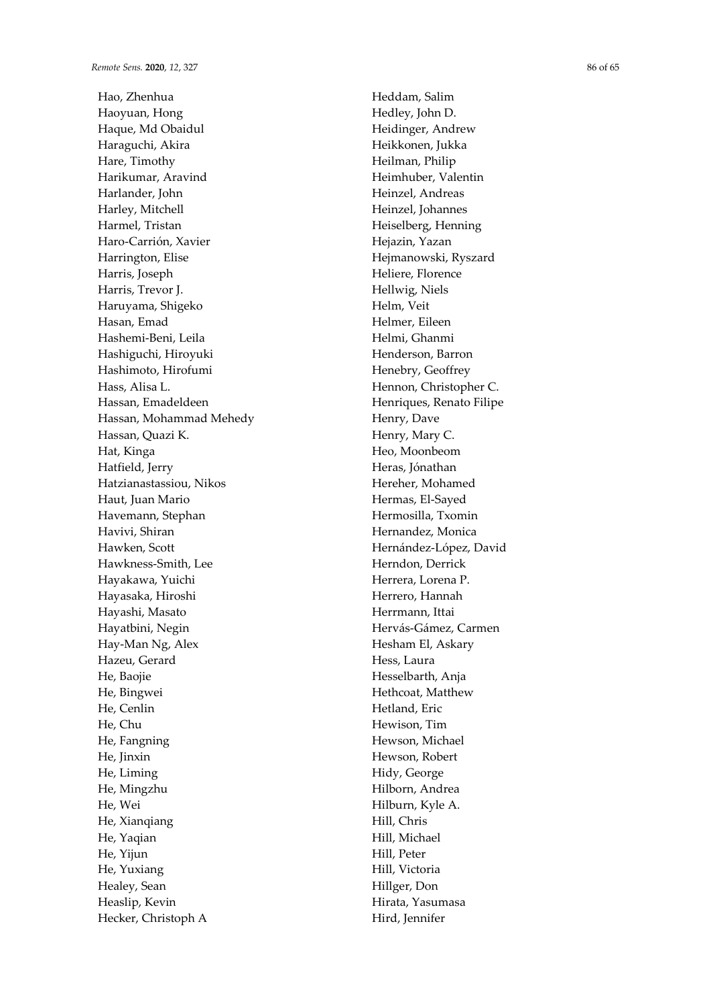Hao, Zhenhua Haoyuan, Hong Haque, Md Obaidul Haraguchi, Akira Hare, Timothy Harikumar, Aravind Harlander, John Harley, Mitchell Harmel, Tristan Haro-Carrión, Xavier Harrington, Elise Harris, Joseph Harris, Trevor J. Haruyama, Shigeko Hasan, Emad Hashemi-Beni, Leila Hashiguchi, Hiroyuki Hashimoto, Hirofumi Hass, Alisa L. Hassan, Emadeldeen Hassan, Mohammad Mehedy Hassan, Quazi K. Hat, Kinga Hatfield, Jerry Hatzianastassiou, Nikos Haut, Juan Mario Havemann, Stephan Havivi, Shiran Hawken, Scott Hawkness-Smith, Lee Hayakawa, Yuichi Hayasaka, Hiroshi Hayashi, Masato Hayatbini, Negin Hay-Man Ng, Alex Hazeu, Gerard He, Baojie He, Bingwei He, Cenlin He, Chu He, Fangning He, Jinxin He, Liming He, Mingzhu He, Wei He, Xianqiang He, Yaqian He, Yijun He, Yuxiang Healey, Sean Heaslip, Kevin Hecker, Christoph A

Heddam, Salim Hedley, John D. Heidinger, Andrew Heikkonen, Jukka Heilman, Philip Heimhuber, Valentin Heinzel, Andreas Heinzel, Johannes Heiselberg, Henning Hejazin, Yazan Hejmanowski, Ryszard Heliere, Florence Hellwig, Niels Helm, Veit Helmer, Eileen Helmi, Ghanmi Henderson, Barron Henebry, Geoffrey Hennon, Christopher C. Henriques, Renato Filipe Henry, Dave Henry, Mary C. Heo, Moonbeom Heras, Jónathan Hereher, Mohamed Hermas, El-Sayed Hermosilla, Txomin Hernandez, Monica Hernández-López, David Herndon, Derrick Herrera, Lorena P. Herrero, Hannah Herrmann, Ittai Hervás-Gámez, Carmen Hesham El, Askary Hess, Laura Hesselbarth, Anja Hethcoat, Matthew Hetland, Eric Hewison, Tim Hewson, Michael Hewson, Robert Hidy, George Hilborn, Andrea Hilburn, Kyle A. Hill, Chris Hill, Michael Hill, Peter Hill, Victoria Hillger, Don Hirata, Yasumasa Hird, Jennifer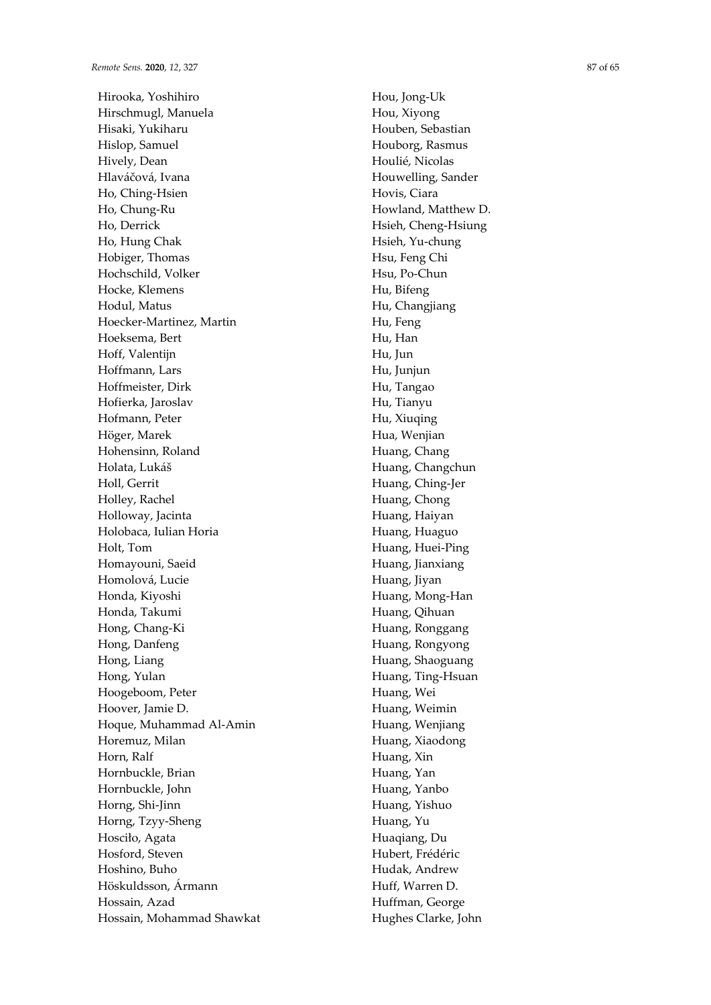Hirooka, Yoshihiro Hirschmugl, Manuela Hisaki, Yukiharu Hislop, Samuel Hively, Dean Hlaváčová, Ivana Ho, Ching-Hsien Ho, Chung-Ru Ho, Derrick Ho, Hung Chak Hobiger, Thomas Hochschild, Volker Hocke, Klemens Hodul, Matus Hoecker-Martinez, Martin Hoeksema, Bert Hoff, Valentijn Hoffmann, Lars Hoffmeister, Dirk Hofierka, Jaroslav Hofmann, Peter Höger, Marek Hohensinn, Roland Holata, Lukáš Holl, Gerrit Holley, Rachel Holloway, Jacinta Holobaca, Iulian Horia Holt, Tom Homayouni, Saeid Homolová, Lucie Honda, Kiyoshi Honda, Takumi Hong, Chang-Ki Hong, Danfeng Hong, Liang Hong, Yulan Hoogeboom, Peter Hoover, Jamie D. Hoque, Muhammad Al-Amin Horemuz, Milan Horn, Ralf Hornbuckle, Brian Hornbuckle, John Horng, Shi-Jinn Horng, Tzyy-Sheng Hosciło, Agata Hosford, Steven Hoshino, Buho Höskuldsson, Ármann Hossain, Azad Hossain, Mohammad Shawkat Hou, Jong-Uk Hou, Xiyong Houben, Sebastian Houborg, Rasmus Houlié, Nicolas Houwelling, Sander Hovis, Ciara Howland, Matthew D. Hsieh, Cheng-Hsiung Hsieh, Yu-chung Hsu, Feng Chi Hsu, Po-Chun Hu, Bifeng Hu, Changjiang Hu, Feng Hu, Han Hu, Jun Hu, Junjun Hu, Tangao Hu, Tianyu Hu, Xiuqing Hua, Wenjian Huang, Chang Huang, Changchun Huang, Ching-Jer Huang, Chong Huang, Haiyan Huang, Huaguo Huang, Huei-Ping Huang, Jianxiang Huang, Jiyan Huang, Mong-Han Huang, Qihuan Huang, Ronggang Huang, Rongyong Huang, Shaoguang Huang, Ting-Hsuan Huang, Wei Huang, Weimin Huang, Wenjiang Huang, Xiaodong Huang, Xin Huang, Yan Huang, Yanbo Huang, Yishuo Huang, Yu Huaqiang, Du Hubert, Frédéric Hudak, Andrew Huff, Warren D. Huffman, George Hughes Clarke, John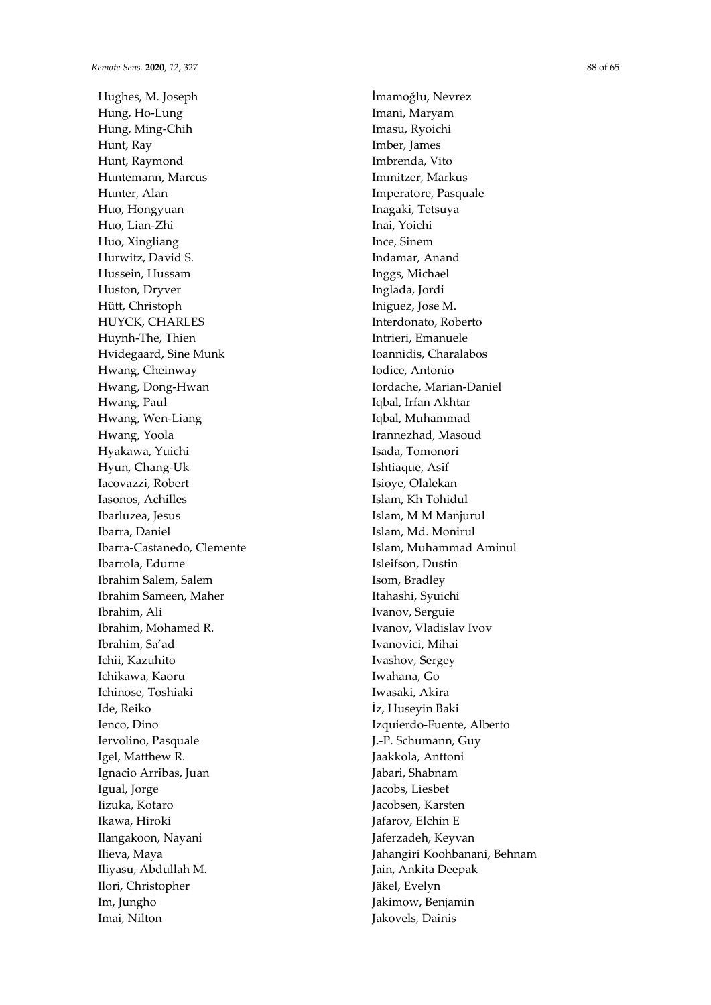Hughes, M. Joseph Hung, Ho-Lung Hung, Ming-Chih Hunt, Ray Hunt, Raymond Huntemann, Marcus Hunter, Alan Huo, Hongyuan Huo, Lian-Zhi Huo, Xingliang Hurwitz, David S. Hussein, Hussam Huston, Dryver Hütt, Christoph HUYCK, CHARLES Huynh-The, Thien Hvidegaard, Sine Munk Hwang, Cheinway Hwang, Dong-Hwan Hwang, Paul Hwang, Wen-Liang Hwang, Yoola Hyakawa, Yuichi Hyun, Chang-Uk Iacovazzi, Robert Iasonos, Achilles Ibarluzea, Jesus Ibarra, Daniel Ibarra-Castanedo, Clemente Ibarrola, Edurne Ibrahim Salem, Salem Ibrahim Sameen, Maher Ibrahim, Ali Ibrahim, Mohamed R. Ibrahim, Sa'ad Ichii, Kazuhito Ichikawa, Kaoru Ichinose, Toshiaki Ide, Reiko Ienco, Dino Iervolino, Pasquale Igel, Matthew R. Ignacio Arribas, Juan Igual, Jorge Iizuka, Kotaro Ikawa, Hiroki Ilangakoon, Nayani Ilieva, Maya Iliyasu, Abdullah M. Ilori, Christopher Im, Jungho Imai, Nilton

İmamoğlu, Nevrez Imani, Maryam Imasu, Ryoichi Imber, James Imbrenda, Vito Immitzer, Markus Imperatore, Pasquale Inagaki, Tetsuya Inai, Yoichi Ince, Sinem Indamar, Anand Inggs, Michael Inglada, Jordi Iniguez, Jose M. Interdonato, Roberto Intrieri, Emanuele Ioannidis, Charalabos Iodice, Antonio Iordache, Marian-Daniel Iqbal, Irfan Akhtar Iqbal, Muhammad Irannezhad, Masoud Isada, Tomonori Ishtiaque, Asif Isioye, Olalekan Islam, Kh Tohidul Islam, M M Manjurul Islam, Md. Monirul Islam, Muhammad Aminul Isleifson, Dustin Isom, Bradley Itahashi, Syuichi Ivanov, Serguie Ivanov, Vladislav Ivov Ivanovici, Mihai Ivashov, Sergey Iwahana, Go Iwasaki, Akira İz, Huseyin Baki Izquierdo-Fuente, Alberto J.-P. Schumann, Guy Jaakkola, Anttoni Jabari, Shabnam Jacobs, Liesbet Jacobsen, Karsten Jafarov, Elchin E Jaferzadeh, Keyvan Jahangiri Koohbanani, Behnam Jain, Ankita Deepak Jäkel, Evelyn Jakimow, Benjamin Jakovels, Dainis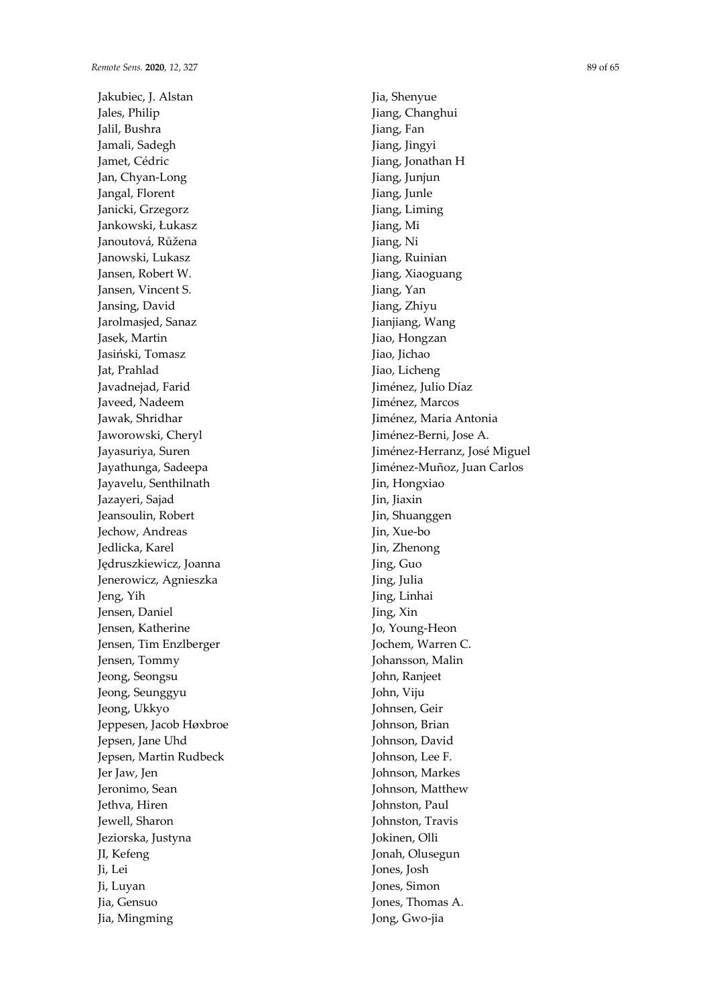Jakubiec, J. Alstan Jales, Philip Jalil, Bushra Jamali, Sadegh Jamet, Cédric Jan, Chyan-Long Jangal, Florent Janicki, Grzegorz Jankowski, Łukasz Janoutová, Růžena Janowski, Lukasz Jansen, Robert W. Jansen, Vincent S. Jansing, David Jarolmasjed, Sanaz Jasek, Martin Jasiński, Tomasz Jat, Prahlad Javadnejad, Farid Javeed, Nadeem Jawak, Shridhar Jaworowski, Cheryl Jayasuriya, Suren Jayathunga, Sadeepa Jayavelu, Senthilnath Jazayeri, Sajad Jeansoulin, Robert Jechow, Andreas Jedlicka, Karel Jędruszkiewicz, Joanna Jenerowicz, Agnieszka Jeng, Yih Jensen, Daniel Jensen, Katherine Jensen, Tim Enzlberger Jensen, Tommy Jeong, Seongsu Jeong, Seunggyu Jeong, Ukkyo Jeppesen, Jacob Høxbroe Jepsen, Jane Uhd Jepsen, Martin Rudbeck Jer Jaw, Jen Jeronimo, Sean Jethva, Hiren Jewell, Sharon Jeziorska, Justyna JI, Kefeng Ji, Lei Ji, Luyan Jia, Gensuo Jia, Mingming

Jia, Shenyue Jiang, Changhui Jiang, Fan Jiang, Jingyi Jiang, Jonathan H Jiang, Junjun Jiang, Junle Jiang, Liming Jiang, Mi Jiang, Ni Jiang, Ruinian Jiang, Xiaoguang Jiang, Yan Jiang, Zhiyu Jianjiang, Wang Jiao, Hongzan Jiao, Jichao Jiao, Licheng Jiménez, Julio Díaz Jiménez, Marcos Jiménez, Maria Antonia Jiménez-Berni, Jose A. Jiménez-Herranz, José Miguel Jiménez-Muñoz, Juan Carlos Jin, Hongxiao Jin, Jiaxin Jin, Shuanggen Jin, Xue-bo Jin, Zhenong Jing, Guo Jing, Julia Jing, Linhai Jing, Xin Jo, Young-Heon Jochem, Warren C. Johansson, Malin John, Ranjeet John, Viju Johnsen, Geir Johnson, Brian Johnson, David Johnson, Lee F. Johnson, Markes Johnson, Matthew Johnston, Paul Johnston, Travis Jokinen, Olli Jonah, Olusegun Jones, Josh Jones, Simon Jones, Thomas A. Jong, Gwo-jia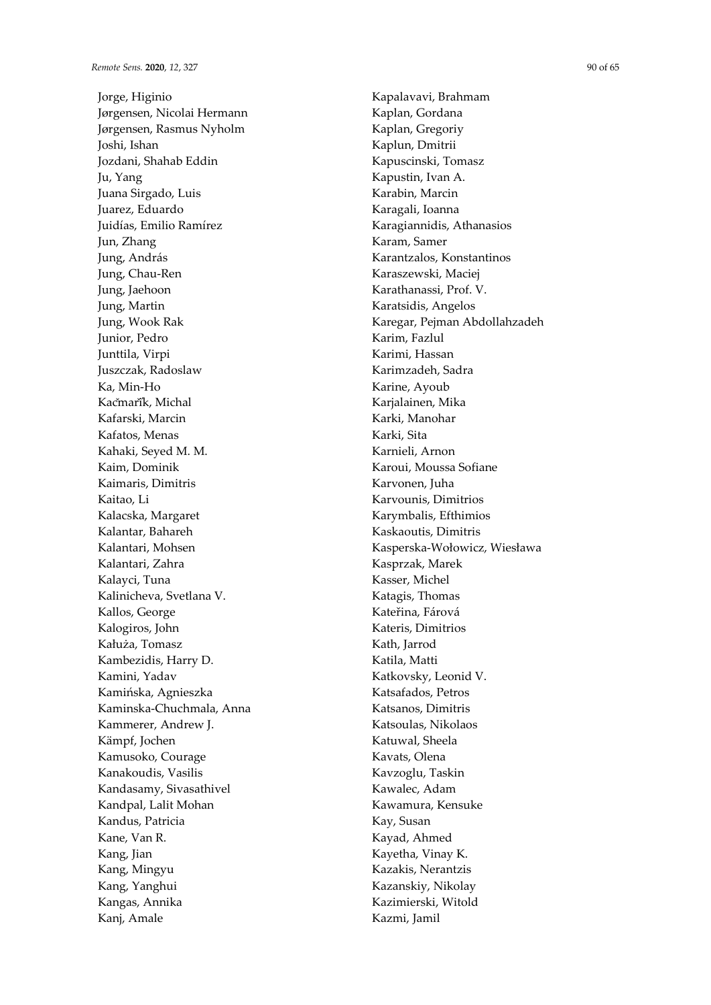Jorge, Higinio Jørgensen, Nicolai Hermann Jørgensen, Rasmus Nyholm Joshi, Ishan Jozdani, Shahab Eddin Ju, Yang Juana Sirgado, Luis Juarez, Eduardo Juidías, Emilio Ramírez Jun, Zhang Jung, András Jung, Chau-Ren Jung, Jaehoon Jung, Martin Jung, Wook Rak Junior, Pedro Junttila, Virpi Juszczak, Radoslaw Ka, Min-Ho Kačmařík, Michal Kafarski, Marcin Kafatos, Menas Kahaki, Seyed M. M. Kaim, Dominik Kaimaris, Dimitris Kaitao, Li Kalacska, Margaret Kalantar, Bahareh Kalantari, Mohsen Kalantari, Zahra Kalayci, Tuna Kalinicheva, Svetlana V. Kallos, George Kalogiros, John Kałuża, Tomasz Kambezidis, Harry D. Kamini, Yadav Kamińska, Agnieszka Kaminska-Chuchmala, Anna Kammerer, Andrew J. Kämpf, Jochen Kamusoko, Courage Kanakoudis, Vasilis Kandasamy, Sivasathivel Kandpal, Lalit Mohan Kandus, Patricia Kane, Van R. Kang, Jian Kang, Mingyu Kang, Yanghui Kangas, Annika Kanj, Amale

Kapalavavi, Brahmam Kaplan, Gordana Kaplan, Gregoriy Kaplun, Dmitrii Kapuscinski, Tomasz Kapustin, Ivan A. Karabin, Marcin Karagali, Ioanna Karagiannidis, Athanasios Karam, Samer Karantzalos, Konstantinos Karaszewski, Maciej Karathanassi, Prof. V. Karatsidis, Angelos Karegar, Pejman Abdollahzadeh Karim, Fazlul Karimi, Hassan Karimzadeh, Sadra Karine, Ayoub Karjalainen, Mika Karki, Manohar Karki, Sita Karnieli, Arnon Karoui, Moussa Sofiane Karvonen, Juha Karvounis, Dimitrios Karymbalis, Efthimios Kaskaoutis, Dimitris Kasperska-Wołowicz, Wiesława Kasprzak, Marek Kasser, Michel Katagis, Thomas Kateřina, Fárová Kateris, Dimitrios Kath, Jarrod Katila, Matti Katkovsky, Leonid V. Katsafados, Petros Katsanos, Dimitris Katsoulas, Nikolaos Katuwal, Sheela Kavats, Olena Kavzoglu, Taskin Kawalec, Adam Kawamura, Kensuke Kay, Susan Kayad, Ahmed Kayetha, Vinay K. Kazakis, Nerantzis Kazanskiy, Nikolay Kazimierski, Witold Kazmi, Jamil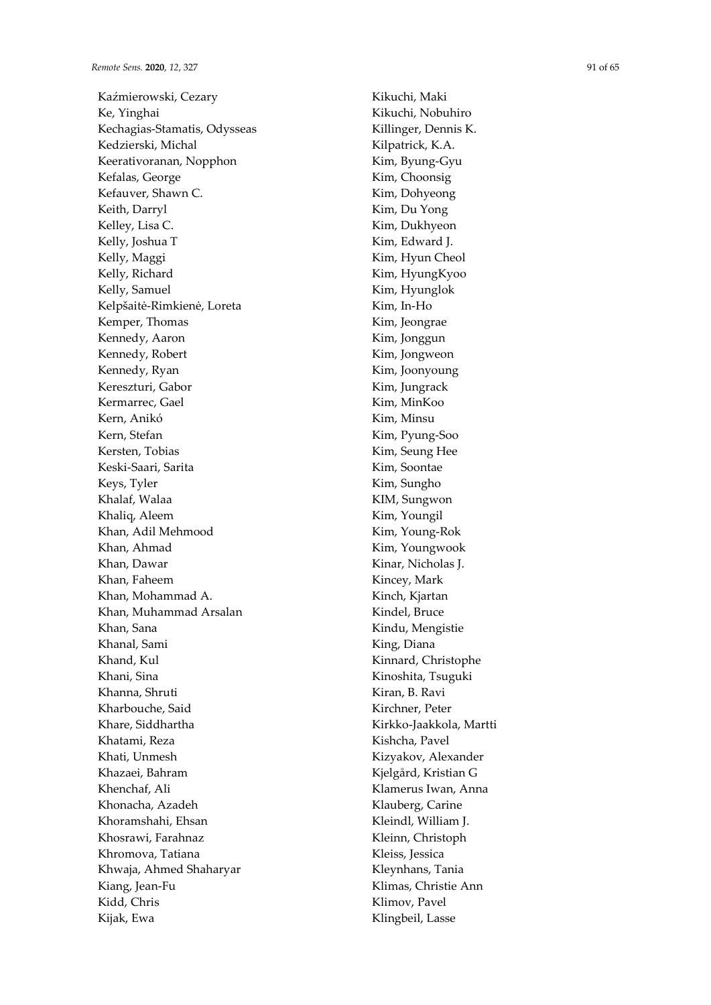Kaźmierowski, Cezary Ke, Yinghai Kechagias-Stamatis, Odysseas Kedzierski, Michal Keerativoranan, Nopphon Kefalas, George Kefauver, Shawn C. Keith, Darryl Kelley, Lisa C. Kelly, Joshua T Kelly, Maggi Kelly, Richard Kelly, Samuel Kelpšaitė-Rimkienė, Loreta Kemper, Thomas Kennedy, Aaron Kennedy, Robert Kennedy, Ryan Kereszturi, Gabor Kermarrec, Gael Kern, Anikó Kern, Stefan Kersten, Tobias Keski-Saari, Sarita Keys, Tyler Khalaf, Walaa Khaliq, Aleem Khan, Adil Mehmood Khan, Ahmad Khan, Dawar Khan, Faheem Khan, Mohammad A. Khan, Muhammad Arsalan Khan, Sana Khanal, Sami Khand, Kul Khani, Sina Khanna, Shruti Kharbouche, Said Khare, Siddhartha Khatami, Reza Khati, Unmesh Khazaei, Bahram Khenchaf, Ali Khonacha, Azadeh Khoramshahi, Ehsan Khosrawi, Farahnaz Khromova, Tatiana Khwaja, Ahmed Shaharyar Kiang, Jean-Fu Kidd, Chris Kijak, Ewa

Kikuchi, Maki Kikuchi, Nobuhiro Killinger, Dennis K. Kilpatrick, K.A. Kim, Byung-Gyu Kim, Choonsig Kim, Dohyeong Kim, Du Yong Kim, Dukhyeon Kim, Edward J. Kim, Hyun Cheol Kim, HyungKyoo Kim, Hyunglok Kim, In-Ho Kim, Jeongrae Kim, Jonggun Kim, Jongweon Kim, Joonyoung Kim, Jungrack Kim, MinKoo Kim, Minsu Kim, Pyung-Soo Kim, Seung Hee Kim, Soontae Kim, Sungho KIM, Sungwon Kim, Youngil Kim, Young-Rok Kim, Youngwook Kinar, Nicholas J. Kincey, Mark Kinch, Kjartan Kindel, Bruce Kindu, Mengistie King, Diana Kinnard, Christophe Kinoshita, Tsuguki Kiran, B. Ravi Kirchner, Peter Kirkko-Jaakkola, Martti Kishcha, Pavel Kizyakov, Alexander Kjelgård, Kristian G Klamerus Iwan, Anna Klauberg, Carine Kleindl, William J. Kleinn, Christoph Kleiss, Jessica Kleynhans, Tania Klimas, Christie Ann Klimov, Pavel Klingbeil, Lasse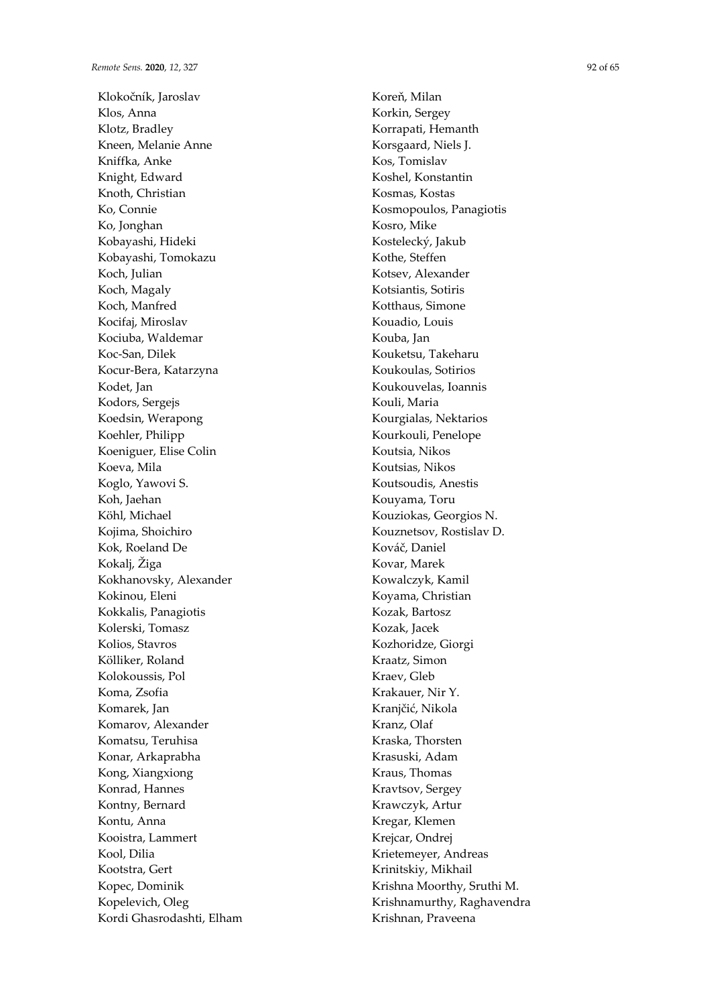Klokočník, Jaroslav Klos, Anna Klotz, Bradley Kneen, Melanie Anne Kniffka, Anke Knight, Edward Knoth, Christian Ko, Connie Ko, Jonghan Kobayashi, Hideki Kobayashi, Tomokazu Koch, Julian Koch, Magaly Koch, Manfred Kocifaj, Miroslav Kociuba, Waldemar Koc-San, Dilek Kocur-Bera, Katarzyna Kodet, Jan Kodors, Sergejs Koedsin, Werapong Koehler, Philipp Koeniguer, Elise Colin Koeva, Mila Koglo, Yawovi S. Koh, Jaehan Köhl, Michael Kojima, Shoichiro Kok, Roeland De Kokalj, Žiga Kokhanovsky, Alexander Kokinou, Eleni Kokkalis, Panagiotis Kolerski, Tomasz Kolios, Stavros Kölliker, Roland Kolokoussis, Pol Koma, Zsofia Komarek, Jan Komarov, Alexander Komatsu, Teruhisa Konar, Arkaprabha Kong, Xiangxiong Konrad, Hannes Kontny, Bernard Kontu, Anna Kooistra, Lammert Kool, Dilia Kootstra, Gert Kopec, Dominik Kopelevich, Oleg Kordi Ghasrodashti, Elham Koreň, Milan Korkin, Sergey Korrapati, Hemanth Korsgaard, Niels J. Kos, Tomislav Koshel, Konstantin Kosmas, Kostas Kosmopoulos, Panagiotis Kosro, Mike Kostelecký, Jakub Kothe, Steffen Kotsev, Alexander Kotsiantis, Sotiris Kotthaus, Simone Kouadio, Louis Kouba, Jan Kouketsu, Takeharu Koukoulas, Sotirios Koukouvelas, Ioannis Kouli, Maria Kourgialas, Nektarios Kourkouli, Penelope Koutsia, Nikos Koutsias, Nikos Koutsoudis, Anestis Kouyama, Toru Kouziokas, Georgios N. Kouznetsov, Rostislav D. Kováč, Daniel Kovar, Marek Kowalczyk, Kamil Koyama, Christian Kozak, Bartosz Kozak, Jacek Kozhoridze, Giorgi Kraatz, Simon Kraev, Gleb Krakauer, Nir Y. Kranjčić, Nikola Kranz, Olaf Kraska, Thorsten Krasuski, Adam Kraus, Thomas Kravtsov, Sergey Krawczyk, Artur Kregar, Klemen Krejcar, Ondrej Krietemeyer, Andreas Krinitskiy, Mikhail Krishna Moorthy, Sruthi M. Krishnamurthy, Raghavendra Krishnan, Praveena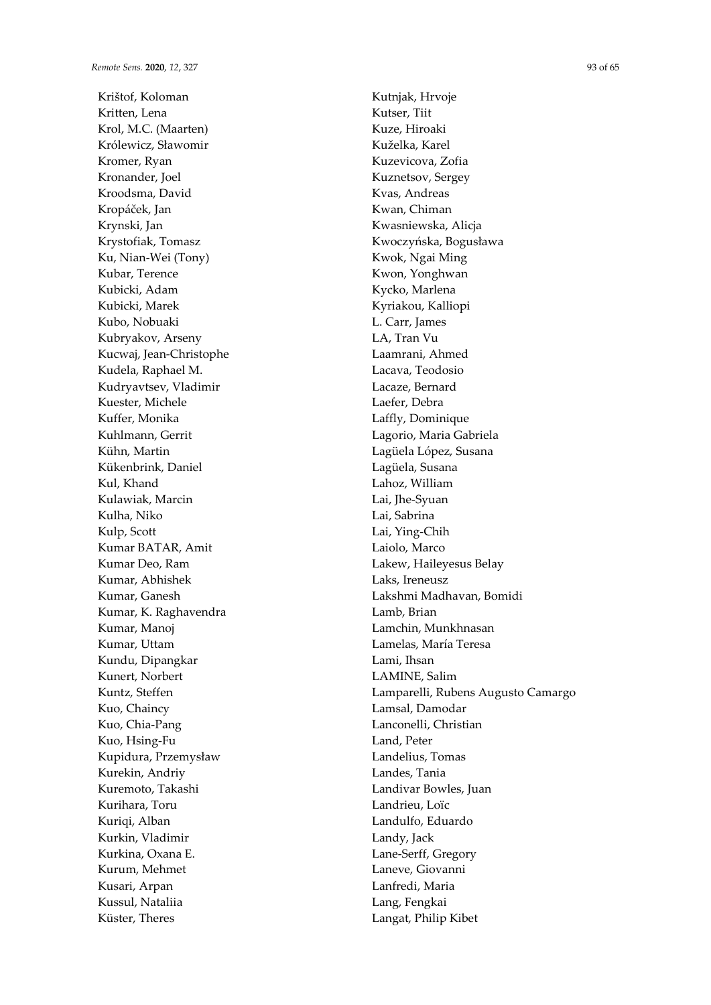Krištof, Koloman Kritten, Lena Krol, M.C. (Maarten) Królewicz, Sławomir Kromer, Ryan Kronander, Joel Kroodsma, David Kropáček, Jan Krynski, Jan Krystofiak, Tomasz Ku, Nian-Wei (Tony) Kubar, Terence Kubicki, Adam Kubicki, Marek Kubo, Nobuaki Kubryakov, Arseny Kucwaj, Jean-Christophe Kudela, Raphael M. Kudryavtsev, Vladimir Kuester, Michele Kuffer, Monika Kuhlmann, Gerrit Kühn, Martin Kükenbrink, Daniel Kul, Khand Kulawiak, Marcin Kulha, Niko Kulp, Scott Kumar BATAR, Amit Kumar Deo, Ram Kumar, Abhishek Kumar, Ganesh Kumar, K. Raghavendra Kumar, Manoj Kumar, Uttam Kundu, Dipangkar Kunert, Norbert Kuntz, Steffen Kuo, Chaincy Kuo, Chia-Pang Kuo, Hsing-Fu Kupidura, Przemysław Kurekin, Andriy Kuremoto, Takashi Kurihara, Toru Kuriqi, Alban Kurkin, Vladimir Kurkina, Oxana E. Kurum, Mehmet Kusari, Arpan Kussul, Nataliia Küster, Theres

Kutnjak, Hrvoje Kutser, Tiit Kuze, Hiroaki Kuželka, Karel Kuzevicova, Zofia Kuznetsov, Sergey Kvas, Andreas Kwan, Chiman Kwasniewska, Alicja Kwoczyńska, Bogusława Kwok, Ngai Ming Kwon, Yonghwan Kycko, Marlena Kyriakou, Kalliopi L. Carr, James LA, Tran Vu Laamrani, Ahmed Lacava, Teodosio Lacaze, Bernard Laefer, Debra Laffly, Dominique Lagorio, Maria Gabriela Lagüela López, Susana Lagüela, Susana Lahoz, William Lai, Jhe-Syuan Lai, Sabrina Lai, Ying-Chih Laiolo, Marco Lakew, Haileyesus Belay Laks, Ireneusz Lakshmi Madhavan, Bomidi Lamb, Brian Lamchin, Munkhnasan Lamelas, María Teresa Lami, Ihsan LAMINE, Salim Lamparelli, Rubens Augusto Camargo Lamsal, Damodar Lanconelli, Christian Land, Peter Landelius, Tomas Landes, Tania Landivar Bowles, Juan Landrieu, Loïc Landulfo, Eduardo Landy, Jack Lane-Serff, Gregory Laneve, Giovanni Lanfredi, Maria Lang, Fengkai Langat, Philip Kibet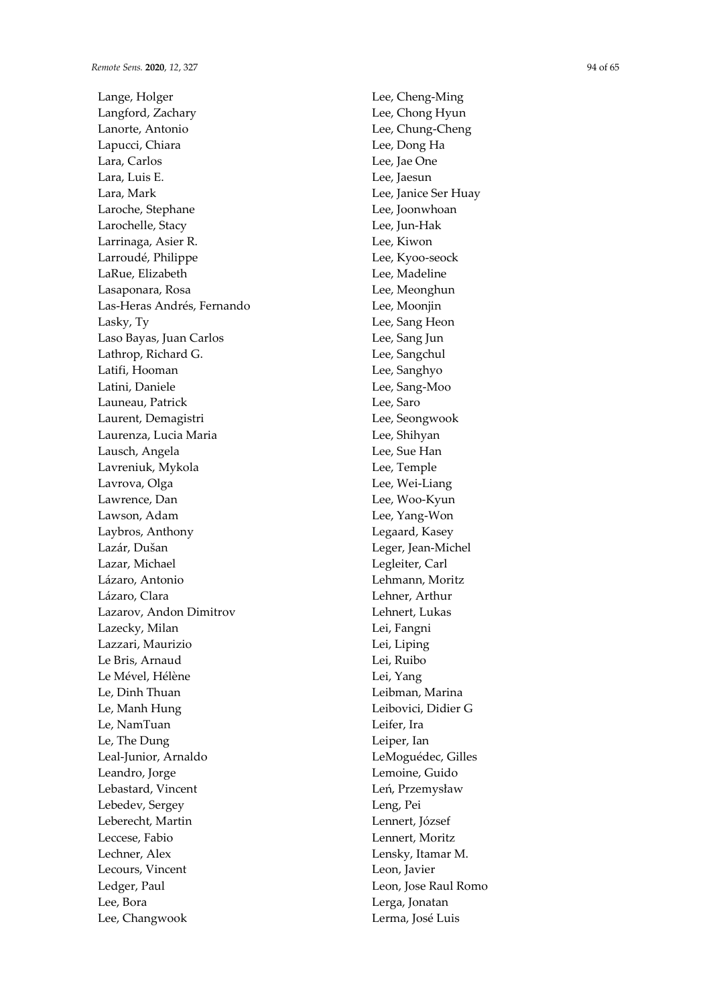Lange, Holger Langford, Zachary Lanorte, Antonio Lapucci, Chiara Lara, Carlos Lara, Luis E. Lara, Mark Laroche, Stephane Larochelle, Stacy Larrinaga, Asier R. Larroudé, Philippe LaRue, Elizabeth Lasaponara, Rosa Las-Heras Andrés, Fernando Lasky, Ty Laso Bayas, Juan Carlos Lathrop, Richard G. Latifi, Hooman Latini, Daniele Launeau, Patrick Laurent, Demagistri Laurenza, Lucia Maria Lausch, Angela Lavreniuk, Mykola Lavrova, Olga Lawrence, Dan Lawson, Adam Laybros, Anthony Lazár, Dušan Lazar, Michael Lázaro, Antonio Lázaro, Clara Lazarov, Andon Dimitrov Lazecky, Milan Lazzari, Maurizio Le Bris, Arnaud Le Mével, Hélène Le, Dinh Thuan Le, Manh Hung Le, NamTuan Le, The Dung Leal-Junior, Arnaldo Leandro, Jorge Lebastard, Vincent Lebedev, Sergey Leberecht, Martin Leccese, Fabio Lechner, Alex Lecours, Vincent Ledger, Paul Lee, Bora Lee, Changwook

Lee, Cheng-Ming Lee, Chong Hyun Lee, Chung-Cheng Lee, Dong Ha Lee, Jae One Lee, Jaesun Lee, Janice Ser Huay Lee, Joonwhoan Lee, Jun-Hak Lee, Kiwon Lee, Kyoo-seock Lee, Madeline Lee, Meonghun Lee, Moonjin Lee, Sang Heon Lee, Sang Jun Lee, Sangchul Lee, Sanghyo Lee, Sang-Moo Lee, Saro Lee, Seongwook Lee, Shihyan Lee, Sue Han Lee, Temple Lee, Wei-Liang Lee, Woo-Kyun Lee, Yang-Won Legaard, Kasey Leger, Jean-Michel Legleiter, Carl Lehmann, Moritz Lehner, Arthur Lehnert, Lukas Lei, Fangni Lei, Liping Lei, Ruibo Lei, Yang Leibman, Marina Leibovici, Didier G Leifer, Ira Leiper, Ian LeMoguédec, Gilles Lemoine, Guido Leń, Przemysław Leng, Pei Lennert, József Lennert, Moritz Lensky, Itamar M. Leon, Javier Leon, Jose Raul Romo Lerga, Jonatan Lerma, José Luis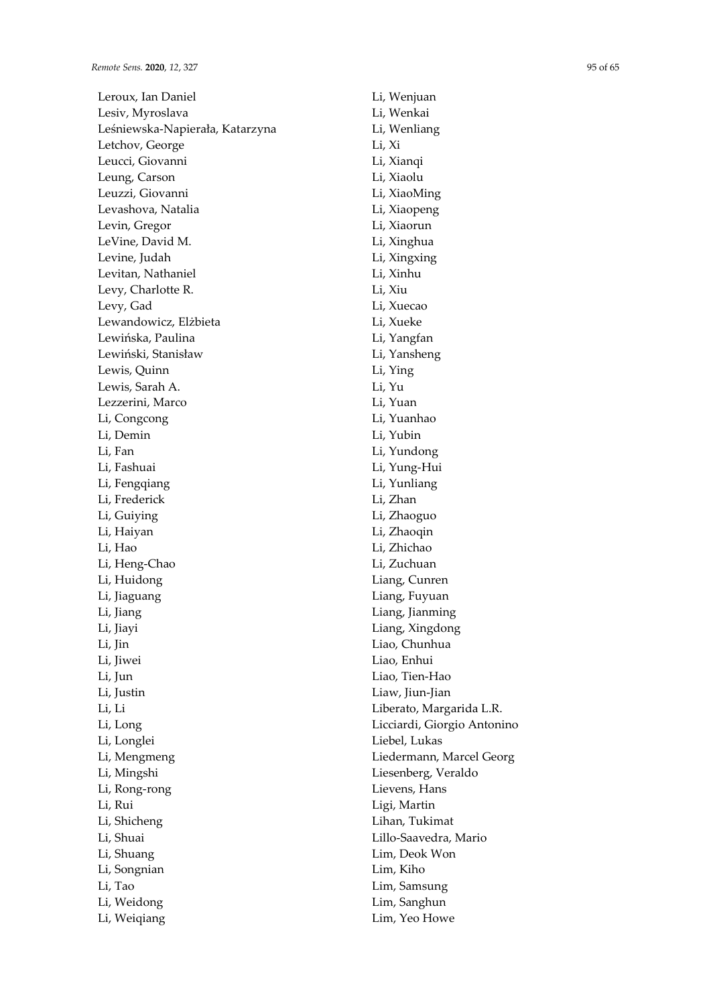Leroux, Ian Daniel Lesiv, Myroslava Leśniewska-Napierała, Katarzyna Letchov, George Leucci, Giovanni Leung, Carson Leuzzi, Giovanni Levashova, Natalia Levin, Gregor LeVine, David M. Levine, Judah Levitan, Nathaniel Levy, Charlotte R. Levy, Gad Lewandowicz, Elżbieta Lewińska, Paulina Lewiński, Stanisław Lewis, Quinn Lewis, Sarah A. Lezzerini, Marco Li, Congcong Li, Demin Li, Fan Li, Fashuai Li, Fengqiang Li, Frederick Li, Guiying Li, Haiyan Li, Hao Li, Heng-Chao Li, Huidong Li, Jiaguang Li, Jiang Li, Jiayi Li, Jin Li, Jiwei Li, Jun Li, Justin Li, Li Li, Long Li, Longlei Li, Mengmeng Li, Mingshi Li, Rong-rong Li, Rui Li, Shicheng Li, Shuai Li, Shuang Li, Songnian Li, Tao Li, Weidong Li, Weiqiang

Li, Wenjuan Li, Wenkai Li, Wenliang Li, Xi Li, Xianqi Li, Xiaolu Li, XiaoMing Li, Xiaopeng Li, Xiaorun Li, Xinghua Li, Xingxing Li, Xinhu Li, Xiu Li, Xuecao Li, Xueke Li, Yangfan Li, Yansheng Li, Ying Li, Yu Li, Yuan Li, Yuanhao Li, Yubin Li, Yundong Li, Yung-Hui Li, Yunliang Li, Zhan Li, Zhaoguo Li, Zhaoqin Li, Zhichao Li, Zuchuan Liang, Cunren Liang, Fuyuan Liang, Jianming Liang, Xingdong Liao, Chunhua Liao, Enhui Liao, Tien-Hao Liaw, Jiun-Jian Liberato, Margarida L.R. Licciardi, Giorgio Antonino Liebel, Lukas Liedermann, Marcel Georg Liesenberg, Veraldo Lievens, Hans Ligi, Martin Lihan, Tukimat Lillo-Saavedra, Mario Lim, Deok Won Lim, Kiho Lim, Samsung Lim, Sanghun Lim, Yeo Howe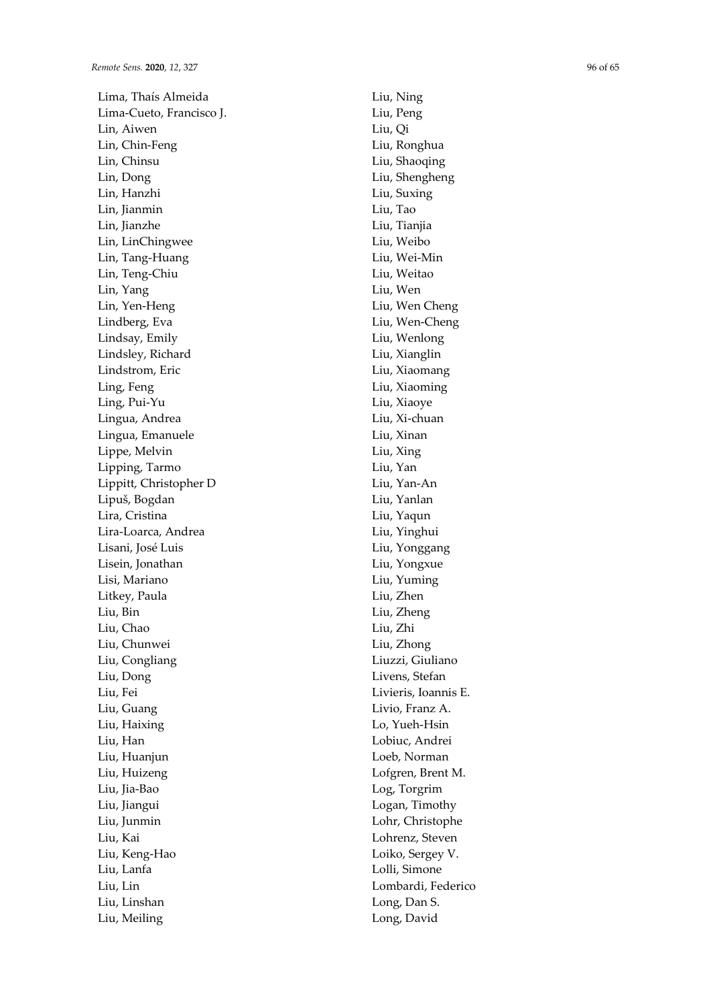Lima, Thaís Almeida Lima-Cueto, Francisco J. Lin, Aiwen Lin, Chin-Feng Lin, Chinsu Lin, Dong Lin, Hanzhi Lin, Jianmin Lin, Jianzhe Lin, LinChingwee Lin, Tang-Huang Lin, Teng-Chiu Lin, Yang Lin, Yen-Heng Lindberg, Eva Lindsay, Emily Lindsley, Richard Lindstrom, Eric Ling, Feng Ling, Pui-Yu Lingua, Andrea Lingua, Emanuele Lippe, Melvin Lipping, Tarmo Lippitt, Christopher D Lipuš, Bogdan Lira, Cristina Lira-Loarca, Andrea Lisani, José Luis Lisein, Jonathan Lisi, Mariano Litkey, Paula Liu, Bin Liu, Chao Liu, Chunwei Liu, Congliang Liu, Dong Liu, Fei Liu, Guang Liu, Haixing Liu, Han Liu, Huanjun Liu, Huizeng Liu, Jia-Bao Liu, Jiangui Liu, Junmin Liu, Kai Liu, Keng-Hao Liu, Lanfa Liu, Lin Liu, Linshan Liu, Meiling

Liu, Ning Liu, Peng Liu, Qi Liu, Ronghua Liu, Shaoqing Liu, Shengheng Liu, Suxing Liu, Tao Liu, Tianjia Liu, Weibo Liu, Wei-Min Liu, Weitao Liu, Wen Liu, Wen Cheng Liu, Wen-Cheng Liu, Wenlong Liu, Xianglin Liu, Xiaomang Liu, Xiaoming Liu, Xiaoye Liu, Xi-chuan Liu, Xinan Liu, Xing Liu, Yan Liu, Yan-An Liu, Yanlan Liu, Yaqun Liu, Yinghui Liu, Yonggang Liu, Yongxue Liu, Yuming Liu, Zhen Liu, Zheng Liu, Zhi Liu, Zhong Liuzzi, Giuliano Livens, Stefan Livieris, Ioannis E. Livio, Franz A. Lo, Yueh-Hsin Lobiuc, Andrei Loeb, Norman Lofgren, Brent M. Log, Torgrim Logan, Timothy Lohr, Christophe Lohrenz, Steven Loiko, Sergey V. Lolli, Simone Lombardi, Federico Long, Dan S. Long, David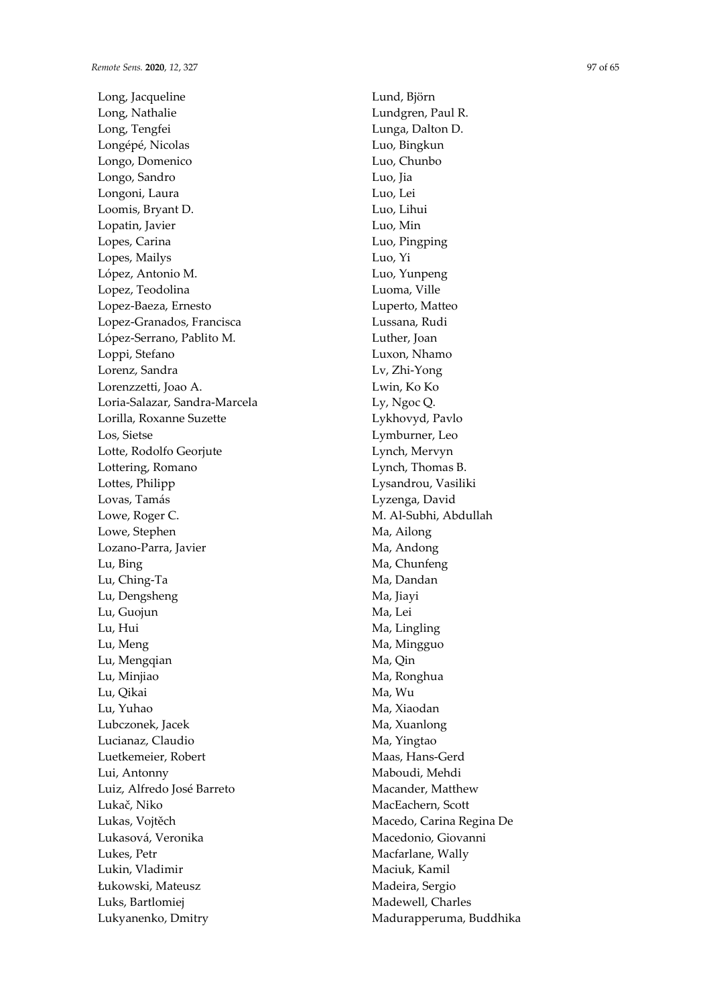Long, Jacqueline Long, Nathalie Long, Tengfei Longépé, Nicolas Longo, Domenico Longo, Sandro Longoni, Laura Loomis, Bryant D. Lopatin, Javier Lopes, Carina Lopes, Mailys López, Antonio M. Lopez, Teodolina Lopez-Baeza, Ernesto Lopez-Granados, Francisca López-Serrano, Pablito M. Loppi, Stefano Lorenz, Sandra Lorenzzetti, Joao A. Loria-Salazar, Sandra-Marcela Lorilla, Roxanne Suzette Los, Sietse Lotte, Rodolfo Georjute Lottering, Romano Lottes, Philipp Lovas, Tamás Lowe, Roger C. Lowe, Stephen Lozano-Parra, Javier Lu, Bing Lu, Ching-Ta Lu, Dengsheng Lu, Guojun Lu, Hui Lu, Meng Lu, Mengqian Lu, Minjiao Lu, Qikai Lu, Yuhao Lubczonek, Jacek Lucianaz, Claudio Luetkemeier, Robert Lui, Antonny Luiz, Alfredo José Barreto Lukač, Niko Lukas, Vojtěch Lukasová, Veronika Lukes, Petr Lukin, Vladimir Łukowski, Mateusz Luks, Bartlomiej Lukyanenko, Dmitry

Lund, Björn Lundgren, Paul R. Lunga, Dalton D. Luo, Bingkun Luo, Chunbo Luo, Jia Luo, Lei Luo, Lihui Luo, Min Luo, Pingping Luo, Yi Luo, Yunpeng Luoma, Ville Luperto, Matteo Lussana, Rudi Luther, Joan Luxon, Nhamo Lv, Zhi-Yong Lwin, Ko Ko Ly, Ngoc Q. Lykhovyd, Pavlo Lymburner, Leo Lynch, Mervyn Lynch, Thomas B. Lysandrou, Vasiliki Lyzenga, David M. Al-Subhi, Abdullah Ma, Ailong Ma, Andong Ma, Chunfeng Ma, Dandan Ma, Iiavi Ma, Lei Ma, Lingling Ma, Mingguo Ma, Qin Ma, Ronghua Ma, Wu Ma, Xiaodan Ma, Xuanlong Ma, Yingtao Maas, Hans-Gerd Maboudi, Mehdi Macander, Matthew MacEachern, Scott Macedo, Carina Regina De Macedonio, Giovanni Macfarlane, Wally Maciuk, Kamil Madeira, Sergio Madewell, Charles Madurapperuma, Buddhika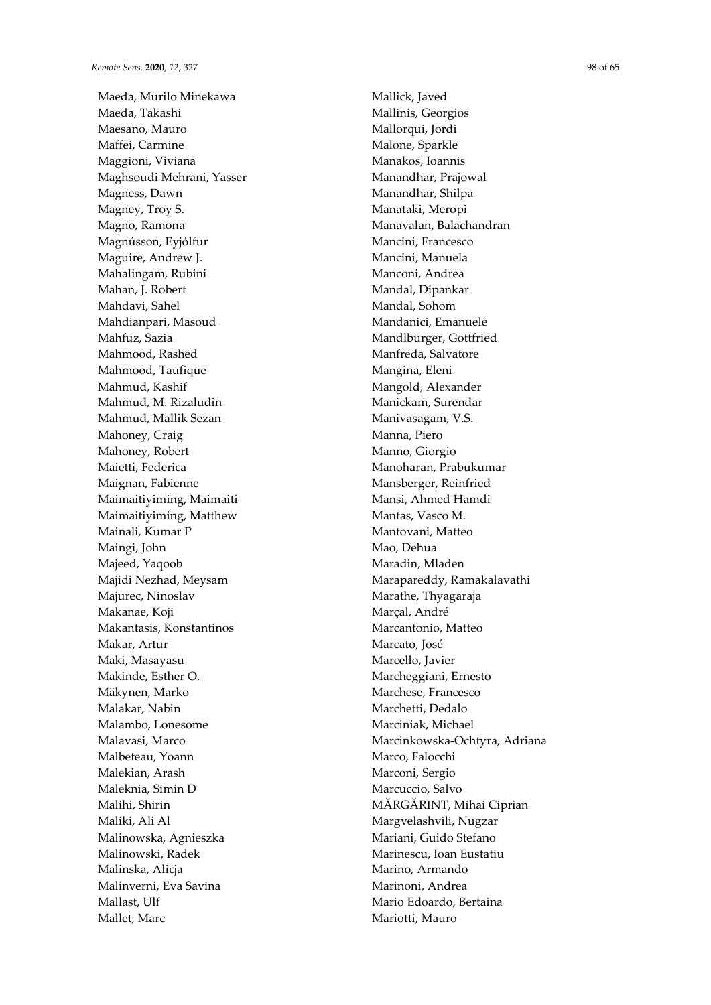Maeda, Murilo Minekawa Maeda, Takashi Maesano, Mauro Maffei, Carmine Maggioni, Viviana Maghsoudi Mehrani, Yasser Magness, Dawn Magney, Troy S. Magno, Ramona Magnússon, Eyjólfur Maguire, Andrew J. Mahalingam, Rubini Mahan, J. Robert Mahdavi, Sahel Mahdianpari, Masoud Mahfuz, Sazia Mahmood, Rashed Mahmood, Taufique Mahmud, Kashif Mahmud, M. Rizaludin Mahmud, Mallik Sezan Mahoney, Craig Mahoney, Robert Maietti, Federica Maignan, Fabienne Maimaitiyiming, Maimaiti Maimaitiyiming, Matthew Mainali, Kumar P Maingi, John Majeed, Yaqoob Majidi Nezhad, Meysam Majurec, Ninoslav Makanae, Koji Makantasis, Konstantinos Makar, Artur Maki, Masayasu Makinde, Esther O. Mäkynen, Marko Malakar, Nabin Malambo, Lonesome Malavasi, Marco Malbeteau, Yoann Malekian, Arash Maleknia, Simin D Malihi, Shirin Maliki, Ali Al Malinowska, Agnieszka Malinowski, Radek Malinska, Alicja Malinverni, Eva Savina Mallast, Ulf Mallet, Marc

Mallick, Javed Mallinis, Georgios Mallorqui, Jordi Malone, Sparkle Manakos, Ioannis Manandhar, Prajowal Manandhar, Shilpa Manataki, Meropi Manavalan, Balachandran Mancini, Francesco Mancini, Manuela Manconi, Andrea Mandal, Dipankar Mandal, Sohom Mandanici, Emanuele Mandlburger, Gottfried Manfreda, Salvatore Mangina, Eleni Mangold, Alexander Manickam, Surendar Manivasagam, V.S. Manna, Piero Manno, Giorgio Manoharan, Prabukumar Mansberger, Reinfried Mansi, Ahmed Hamdi Mantas, Vasco M. Mantovani, Matteo Mao, Dehua Maradin, Mladen Marapareddy, Ramakalavathi Marathe, Thyagaraja Marçal, André Marcantonio, Matteo Marcato, José Marcello, Javier Marcheggiani, Ernesto Marchese, Francesco Marchetti, Dedalo Marciniak, Michael Marcinkowska-Ochtyra, Adriana Marco, Falocchi Marconi, Sergio Marcuccio, Salvo MĂRGĂRINT, Mihai Ciprian Margvelashvili, Nugzar Mariani, Guido Stefano Marinescu, Ioan Eustatiu Marino, Armando Marinoni, Andrea Mario Edoardo, Bertaina Mariotti, Mauro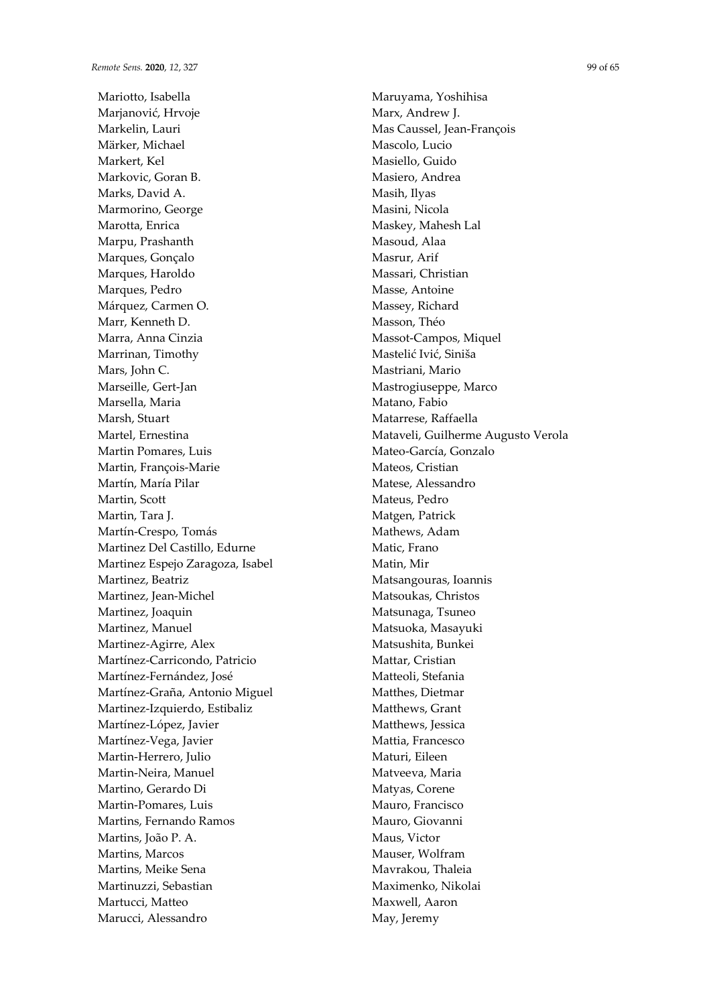Mariotto, Isabella Marjanović, Hrvoje Markelin, Lauri Märker, Michael Markert, Kel Markovic, Goran B. Marks, David A. Marmorino, George Marotta, Enrica Marpu, Prashanth Marques, Gonçalo Marques, Haroldo Marques, Pedro Márquez, Carmen O. Marr, Kenneth D. Marra, Anna Cinzia Marrinan, Timothy Mars, John C. Marseille, Gert-Jan Marsella, Maria Marsh, Stuart Martel, Ernestina Martin Pomares, Luis Martin, François-Marie Martín, María Pilar Martin, Scott Martin, Tara J. Martín-Crespo, Tomás Martinez Del Castillo, Edurne Martinez Espejo Zaragoza, Isabel Martinez, Beatriz Martinez, Jean-Michel Martinez, Joaquin Martinez, Manuel Martinez-Agirre, Alex Martínez-Carricondo, Patricio Martínez-Fernández, José Martínez-Graña, Antonio Miguel Martinez-Izquierdo, Estibaliz Martínez-López, Javier Martínez-Vega, Javier Martin-Herrero, Julio Martin-Neira, Manuel Martino, Gerardo Di Martin-Pomares, Luis Martins, Fernando Ramos Martins, João P. A. Martins, Marcos Martins, Meike Sena Martinuzzi, Sebastian Martucci, Matteo Marucci, Alessandro

Maruyama, Yoshihisa Marx, Andrew J. Mas Caussel, Jean-François Mascolo, Lucio Masiello, Guido Masiero, Andrea Masih, Ilyas Masini, Nicola Maskey, Mahesh Lal Masoud, Alaa Masrur, Arif Massari, Christian Masse, Antoine Massey, Richard Masson, Théo Massot-Campos, Miquel Mastelić Ivić, Siniša Mastriani, Mario Mastrogiuseppe, Marco Matano, Fabio Matarrese, Raffaella Mataveli, Guilherme Augusto Verola Mateo-García, Gonzalo Mateos, Cristian Matese, Alessandro Mateus, Pedro Matgen, Patrick Mathews, Adam Matic, Frano Matin, Mir Matsangouras, Ioannis Matsoukas, Christos Matsunaga, Tsuneo Matsuoka, Masayuki Matsushita, Bunkei Mattar, Cristian Matteoli, Stefania Matthes, Dietmar Matthews, Grant Matthews, Jessica Mattia, Francesco Maturi, Eileen Matveeva, Maria Matyas, Corene Mauro, Francisco Mauro, Giovanni Maus, Victor Mauser, Wolfram Mavrakou, Thaleia Maximenko, Nikolai Maxwell, Aaron May, Jeremy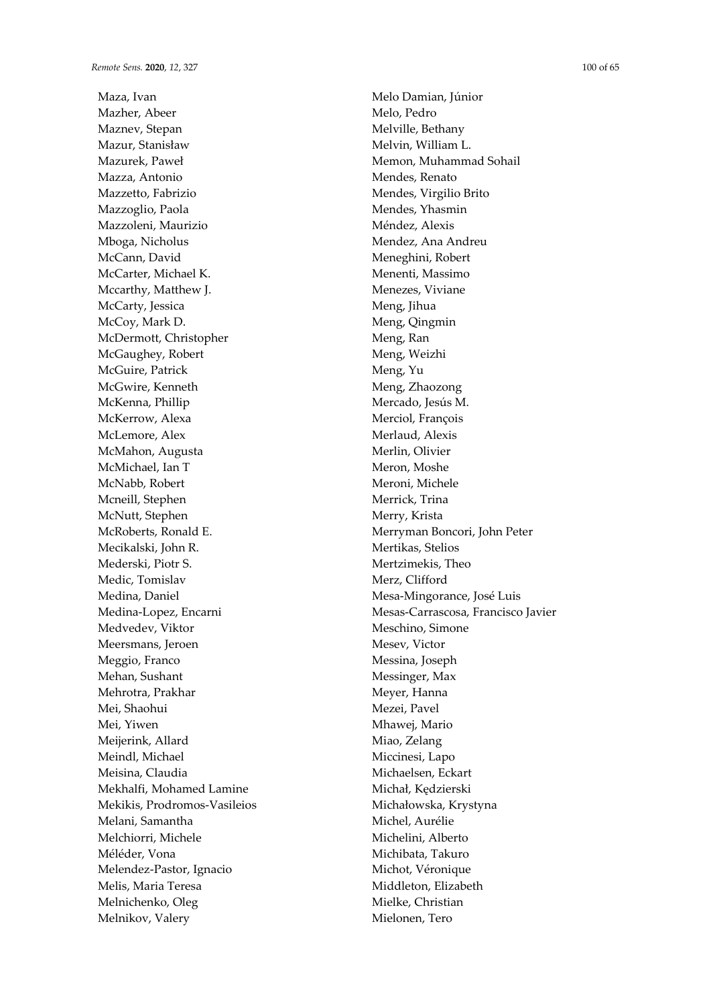Maza, Ivan Mazher, Abeer Maznev, Stepan Mazur, Stanisław Mazurek, Paweł Mazza, Antonio Mazzetto, Fabrizio Mazzoglio, Paola Mazzoleni, Maurizio Mboga, Nicholus McCann, David McCarter, Michael K. Mccarthy, Matthew J. McCarty, Jessica McCoy, Mark D. McDermott, Christopher McGaughey, Robert McGuire, Patrick McGwire, Kenneth McKenna, Phillip McKerrow, Alexa McLemore, Alex McMahon, Augusta McMichael, Ian T McNabb, Robert Mcneill, Stephen McNutt, Stephen McRoberts, Ronald E. Mecikalski, John R. Mederski, Piotr S. Medic, Tomislav Medina, Daniel Medina-Lopez, Encarni Medvedev, Viktor Meersmans, Jeroen Meggio, Franco Mehan, Sushant Mehrotra, Prakhar Mei, Shaohui Mei, Yiwen Meijerink, Allard Meindl, Michael Meisina, Claudia Mekhalfi, Mohamed Lamine Mekikis, Prodromos-Vasileios Melani, Samantha Melchiorri, Michele Méléder, Vona Melendez-Pastor, Ignacio Melis, Maria Teresa Melnichenko, Oleg Melnikov, Valery

Melo Damian, Júnior Melo, Pedro Melville, Bethany Melvin, William L. Memon, Muhammad Sohail Mendes, Renato Mendes, Virgilio Brito Mendes, Yhasmin Méndez, Alexis Mendez, Ana Andreu Meneghini, Robert Menenti, Massimo Menezes, Viviane Meng, Jihua Meng, Qingmin Meng, Ran Meng, Weizhi Meng, Yu Meng, Zhaozong Mercado, Jesús M. Merciol, François Merlaud, Alexis Merlin, Olivier Meron, Moshe Meroni, Michele Merrick, Trina Merry, Krista Merryman Boncori, John Peter Mertikas, Stelios Mertzimekis, Theo Merz, Clifford Mesa-Mingorance, José Luis Mesas-Carrascosa, Francisco Javier Meschino, Simone Mesev, Victor Messina, Joseph Messinger, Max Meyer, Hanna Mezei, Pavel Mhawej, Mario Miao, Zelang Miccinesi, Lapo Michaelsen, Eckart Michał, Kędzierski Michałowska, Krystyna Michel, Aurélie Michelini, Alberto Michibata, Takuro Michot, Véronique Middleton, Elizabeth Mielke, Christian Mielonen, Tero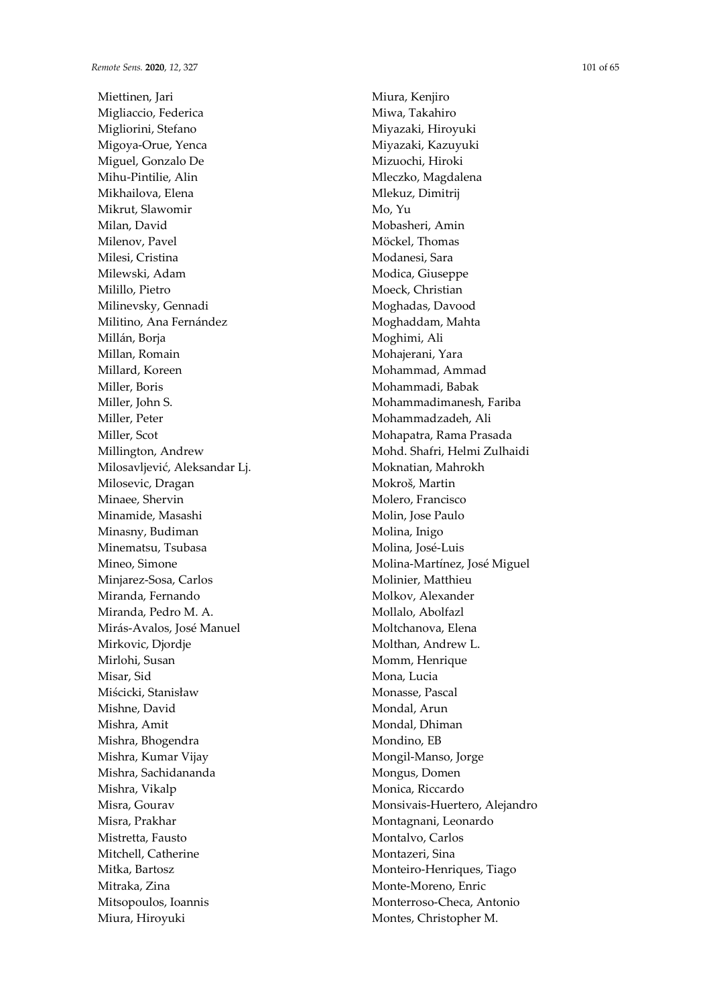Miettinen, Jari Migliaccio, Federica Migliorini, Stefano Migoya-Orue, Yenca Miguel, Gonzalo De Mihu-Pintilie, Alin Mikhailova, Elena Mikrut, Slawomir Milan, David Milenov, Pavel Milesi, Cristina Milewski, Adam Milillo, Pietro Milinevsky, Gennadi Militino, Ana Fernández Millán, Boria Millan, Romain Millard, Koreen Miller, Boris Miller, John S. Miller, Peter Miller, Scot Millington, Andrew Milosavljević, Aleksandar Lj. Milosevic, Dragan Minaee, Shervin Minamide, Masashi Minasny, Budiman Minematsu, Tsubasa Mineo, Simone Minjarez-Sosa, Carlos Miranda, Fernando Miranda, Pedro M. A. Mirás-Avalos, José Manuel Mirkovic, Djordje Mirlohi, Susan Misar, Sid Miścicki, Stanisław Mishne, David Mishra, Amit Mishra, Bhogendra Mishra, Kumar Vijay Mishra, Sachidananda Mishra, Vikalp Misra, Gourav Misra, Prakhar Mistretta, Fausto Mitchell, Catherine Mitka, Bartosz Mitraka, Zina Mitsopoulos, Ioannis Miura, Hiroyuki

Miura, Kenjiro Miwa, Takahiro Miyazaki, Hiroyuki Miyazaki, Kazuyuki Mizuochi, Hiroki Mleczko, Magdalena Mlekuz, Dimitrij Mo, Yu Mobasheri, Amin Möckel, Thomas Modanesi, Sara Modica, Giuseppe Moeck, Christian Moghadas, Davood Moghaddam, Mahta Moghimi, Ali Mohajerani, Yara Mohammad, Ammad Mohammadi, Babak Mohammadimanesh, Fariba Mohammadzadeh, Ali Mohapatra, Rama Prasada Mohd. Shafri, Helmi Zulhaidi Moknatian, Mahrokh Mokroš, Martin Molero, Francisco Molin, Jose Paulo Molina, Inigo Molina, José-Luis Molina-Martínez, José Miguel Molinier, Matthieu Molkov, Alexander Mollalo, Abolfazl Moltchanova, Elena Molthan, Andrew L. Momm, Henrique Mona, Lucia Monasse, Pascal Mondal, Arun Mondal, Dhiman Mondino, EB Mongil-Manso, Jorge Mongus, Domen Monica, Riccardo Monsivais-Huertero, Alejandro Montagnani, Leonardo Montalvo, Carlos Montazeri, Sina Monteiro-Henriques, Tiago Monte-Moreno, Enric Monterroso-Checa, Antonio Montes, Christopher M.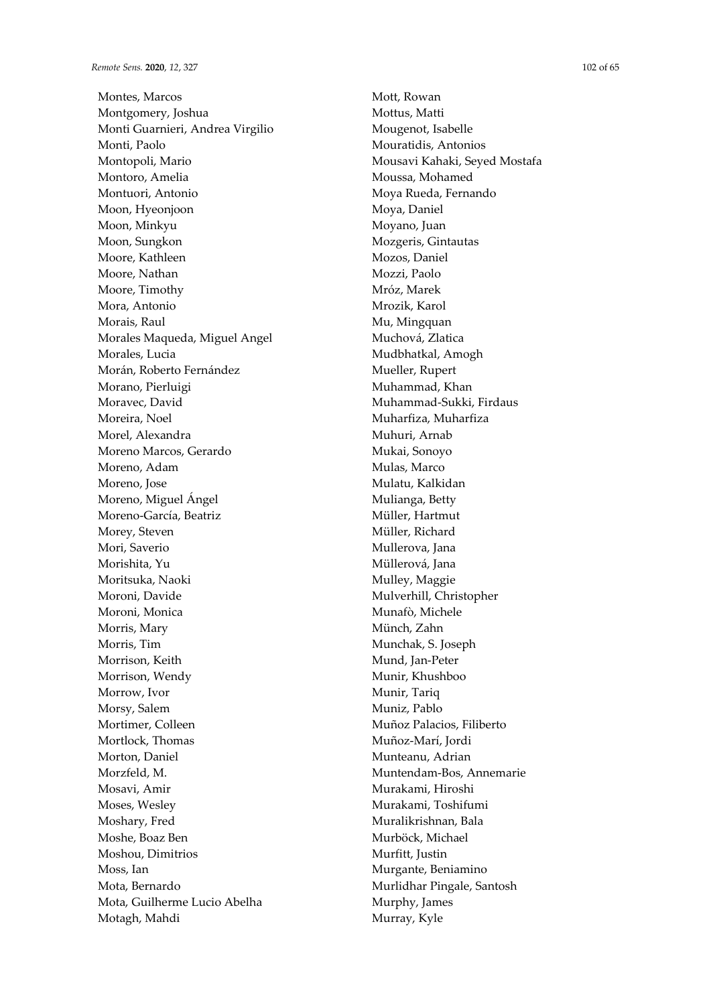Montes, Marcos Montgomery, Joshua Monti Guarnieri, Andrea Virgilio Monti, Paolo Montopoli, Mario Montoro, Amelia Montuori, Antonio Moon, Hyeonjoon Moon, Minkyu Moon, Sungkon Moore, Kathleen Moore, Nathan Moore, Timothy Mora, Antonio Morais, Raul Morales Maqueda, Miguel Angel Morales, Lucia Morán, Roberto Fernández Morano, Pierluigi Moravec, David Moreira, Noel Morel, Alexandra Moreno Marcos, Gerardo Moreno, Adam Moreno, Jose Moreno, Miguel Ángel Moreno-García, Beatriz Morey, Steven Mori, Saverio Morishita, Yu Moritsuka, Naoki Moroni, Davide Moroni, Monica Morris, Mary Morris, Tim Morrison, Keith Morrison, Wendy Morrow, Ivor Morsy, Salem Mortimer, Colleen Mortlock, Thomas Morton, Daniel Morzfeld, M. Mosavi, Amir Moses, Wesley Moshary, Fred Moshe, Boaz Ben Moshou, Dimitrios Moss, Ian Mota, Bernardo Mota, Guilherme Lucio Abelha Motagh, Mahdi

Mott, Rowan Mottus, Matti Mougenot, Isabelle Mouratidis, Antonios Mousavi Kahaki, Seyed Mostafa Moussa, Mohamed Moya Rueda, Fernando Moya, Daniel Moyano, Juan Mozgeris, Gintautas Mozos, Daniel Mozzi, Paolo Mróz, Marek Mrozik, Karol Mu, Mingquan Muchová, Zlatica Mudbhatkal, Amogh Mueller, Rupert Muhammad, Khan Muhammad-Sukki, Firdaus Muharfiza, Muharfiza Muhuri, Arnab Mukai, Sonoyo Mulas, Marco Mulatu, Kalkidan Mulianga, Betty Müller, Hartmut Müller, Richard Mullerova, Jana Müllerová, Jana Mulley, Maggie Mulverhill, Christopher Munafò, Michele Münch, Zahn Munchak, S. Joseph Mund, Jan-Peter Munir, Khushboo Munir, Tariq Muniz, Pablo Muñoz Palacios, Filiberto Muñoz-Marí, Jordi Munteanu, Adrian Muntendam-Bos, Annemarie Murakami, Hiroshi Murakami, Toshifumi Muralikrishnan, Bala Murböck, Michael Murfitt, Justin Murgante, Beniamino Murlidhar Pingale, Santosh Murphy, James Murray, Kyle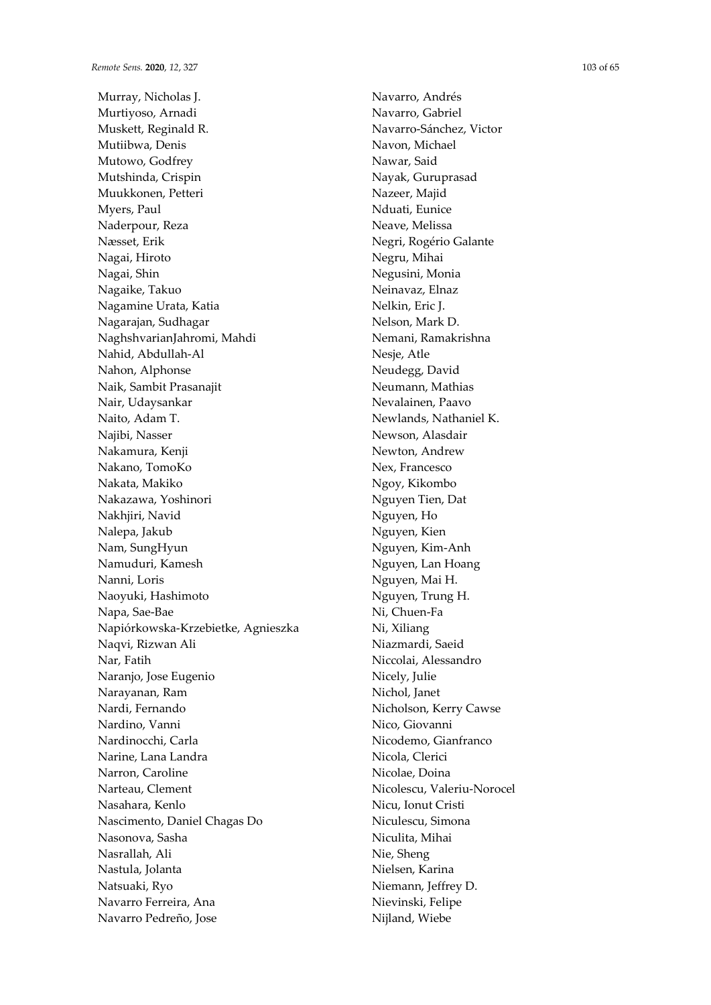Murray, Nicholas J. Murtiyoso, Arnadi Muskett, Reginald R. Mutiibwa, Denis Mutowo, Godfrey Mutshinda, Crispin Muukkonen, Petteri Myers, Paul Naderpour, Reza Næsset, Erik Nagai, Hiroto Nagai, Shin Nagaike, Takuo Nagamine Urata, Katia Nagarajan, Sudhagar NaghshvarianJahromi, Mahdi Nahid, Abdullah-Al Nahon, Alphonse Naik, Sambit Prasanajit Nair, Udaysankar Naito, Adam T. Najibi, Nasser Nakamura, Kenji Nakano, TomoKo Nakata, Makiko Nakazawa, Yoshinori Nakhjiri, Navid Nalepa, Jakub Nam, SungHyun Namuduri, Kamesh Nanni, Loris Naoyuki, Hashimoto Napa, Sae-Bae Napiórkowska-Krzebietke, Agnieszka Naqvi, Rizwan Ali Nar, Fatih Naranjo, Jose Eugenio Narayanan, Ram Nardi, Fernando Nardino, Vanni Nardinocchi, Carla Narine, Lana Landra Narron, Caroline Narteau, Clement Nasahara, Kenlo Nascimento, Daniel Chagas Do Nasonova, Sasha Nasrallah, Ali Nastula, Jolanta Natsuaki, Ryo Navarro Ferreira, Ana Navarro Pedreño, Jose

Navarro, Andrés Navarro, Gabriel Navarro-Sánchez, Victor Navon, Michael Nawar, Said Nayak, Guruprasad Nazeer, Majid Nduati, Eunice Neave, Melissa Negri, Rogério Galante Negru, Mihai Negusini, Monia Neinavaz, Elnaz Nelkin, Eric J. Nelson, Mark D. Nemani, Ramakrishna Nesje, Atle Neudegg, David Neumann, Mathias Nevalainen, Paavo Newlands, Nathaniel K. Newson, Alasdair Newton, Andrew Nex, Francesco Ngoy, Kikombo Nguyen Tien, Dat Nguyen, Ho Nguyen, Kien Nguyen, Kim-Anh Nguyen, Lan Hoang Nguyen, Mai H. Nguyen, Trung H. Ni, Chuen-Fa Ni, Xiliang Niazmardi, Saeid Niccolai, Alessandro Nicely, Julie Nichol, Janet Nicholson, Kerry Cawse Nico, Giovanni Nicodemo, Gianfranco Nicola, Clerici Nicolae, Doina Nicolescu, Valeriu-Norocel Nicu, Ionut Cristi Niculescu, Simona Niculita, Mihai Nie, Sheng Nielsen, Karina Niemann, Jeffrey D. Nievinski, Felipe Nijland, Wiebe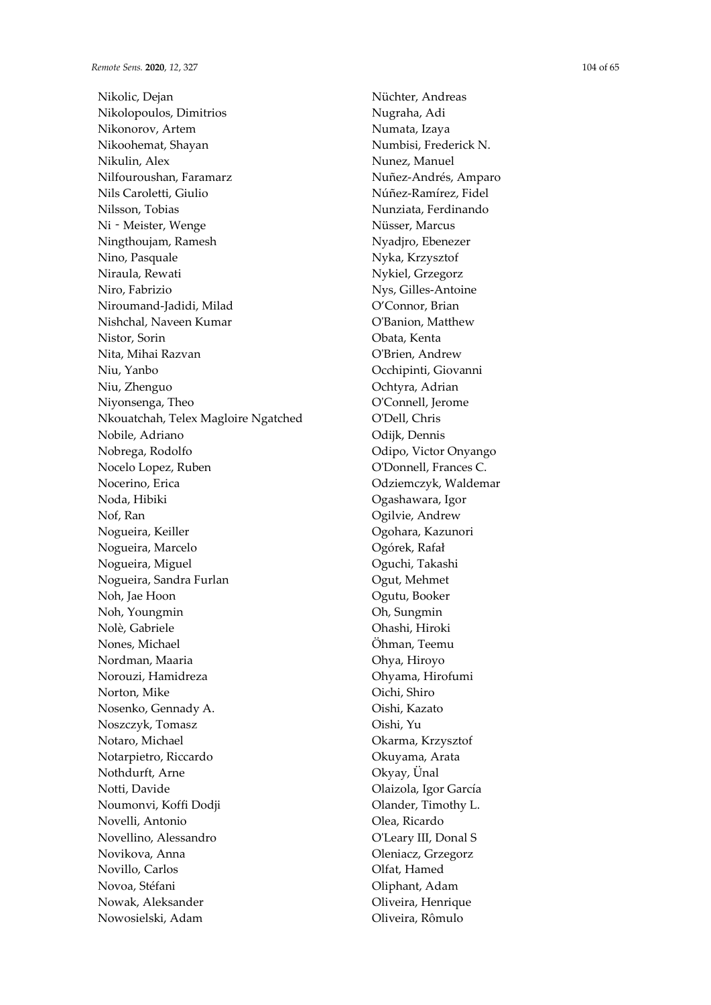Nikolic, Dejan Nikolopoulos, Dimitrios Nikonorov, Artem Nikoohemat, Shayan Nikulin, Alex Nilfouroushan, Faramarz Nils Caroletti, Giulio Nilsson, Tobias Ni‐Meister, Wenge Ningthoujam, Ramesh Nino, Pasquale Niraula, Rewati Niro, Fabrizio Niroumand-Jadidi, Milad Nishchal, Naveen Kumar Nistor, Sorin Nita, Mihai Razvan Niu, Yanbo Niu, Zhenguo Niyonsenga, Theo Nkouatchah, Telex Magloire Ngatched Nobile, Adriano Nobrega, Rodolfo Nocelo Lopez, Ruben Nocerino, Erica Noda, Hibiki Nof, Ran Nogueira, Keiller Nogueira, Marcelo Nogueira, Miguel Nogueira, Sandra Furlan Noh, Jae Hoon Noh, Youngmin Nolè, Gabriele Nones, Michael Nordman, Maaria Norouzi, Hamidreza Norton, Mike Nosenko, Gennady A. Noszczyk, Tomasz Notaro, Michael Notarpietro, Riccardo Nothdurft, Arne Notti, Davide Noumonvi, Koffi Dodji Novelli, Antonio Novellino, Alessandro Novikova, Anna Novillo, Carlos Novoa, Stéfani Nowak, Aleksander Nowosielski, Adam

Nüchter, Andreas Nugraha, Adi Numata, Izaya Numbisi, Frederick N. Nunez, Manuel Nuñez-Andrés, Amparo Núñez-Ramírez, Fidel Nunziata, Ferdinando Nüsser, Marcus Nyadjro, Ebenezer Nyka, Krzysztof Nykiel, Grzegorz Nys, Gilles-Antoine O'Connor, Brian O'Banion, Matthew Obata, Kenta O'Brien, Andrew Occhipinti, Giovanni Ochtyra, Adrian O'Connell, Jerome O'Dell, Chris Odijk, Dennis Odipo, Victor Onyango O'Donnell, Frances C. Odziemczyk, Waldemar Ogashawara, Igor Ogilvie, Andrew Ogohara, Kazunori Ogórek, Rafał Oguchi, Takashi Ogut, Mehmet Ogutu, Booker Oh, Sungmin Ohashi, Hiroki Öhman, Teemu Ohya, Hiroyo Ohyama, Hirofumi Oichi, Shiro Oishi, Kazato Oishi, Yu Okarma, Krzysztof Okuyama, Arata Okyay, Ünal Olaizola, Igor García Olander, Timothy L. Olea, Ricardo O'Leary III, Donal S Oleniacz, Grzegorz Olfat, Hamed Oliphant, Adam Oliveira, Henrique

Oliveira, Rômulo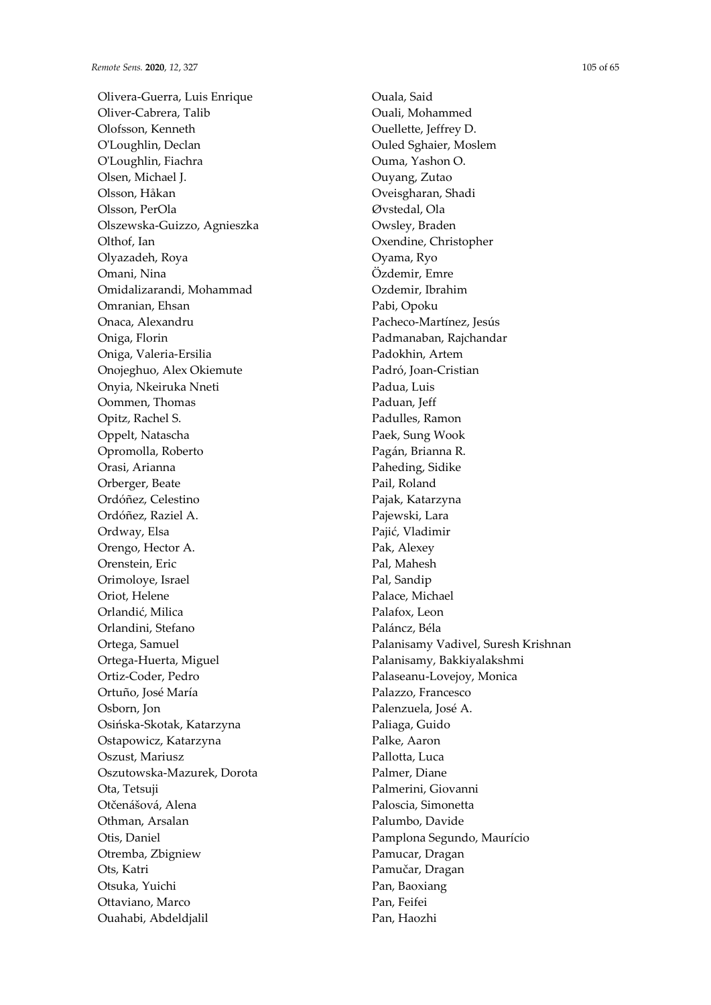Olivera-Guerra, Luis Enrique Oliver-Cabrera, Talib Olofsson, Kenneth O'Loughlin, Declan O'Loughlin, Fiachra Olsen, Michael J. Olsson, Håkan Olsson, PerOla Olszewska-Guizzo, Agnieszka Olthof, Ian Olyazadeh, Roya Omani, Nina Omidalizarandi, Mohammad Omranian, Ehsan Onaca, Alexandru Oniga, Florin Oniga, Valeria-Ersilia Onojeghuo, Alex Okiemute Onyia, Nkeiruka Nneti Oommen, Thomas Opitz, Rachel S. Oppelt, Natascha Opromolla, Roberto Orasi, Arianna Orberger, Beate Ordóñez, Celestino Ordóñez, Raziel A. Ordway, Elsa Orengo, Hector A. Orenstein, Eric Orimoloye, Israel Oriot, Helene Orlandić, Milica Orlandini, Stefano Ortega, Samuel Ortega-Huerta, Miguel Ortiz-Coder, Pedro Ortuño, José María Osborn, Jon Osińska-Skotak, Katarzyna Ostapowicz, Katarzyna Oszust, Mariusz Oszutowska-Mazurek, Dorota Ota, Tetsuji Otčenášová, Alena Othman, Arsalan Otis, Daniel Otremba, Zbigniew Ots, Katri Otsuka, Yuichi Ottaviano, Marco Ouahabi, Abdeldjalil

Ouala, Said Ouali, Mohammed Ouellette, Jeffrey D. Ouled Sghaier, Moslem Ouma, Yashon O. Ouyang, Zutao Oveisgharan, Shadi Øvstedal, Ola Owsley, Braden Oxendine, Christopher Oyama, Ryo Özdemir, Emre Ozdemir, Ibrahim Pabi, Opoku Pacheco-Martínez, Jesús Padmanaban, Rajchandar Padokhin, Artem Padró, Joan-Cristian Padua, Luis Paduan, Jeff Padulles, Ramon Paek, Sung Wook Pagán, Brianna R. Paheding, Sidike Pail, Roland Pajak, Katarzyna Pajewski, Lara Pajić, Vladimir Pak, Alexey Pal, Mahesh Pal, Sandip Palace, Michael Palafox, Leon Paláncz, Béla Palanisamy Vadivel, Suresh Krishnan Palanisamy, Bakkiyalakshmi Palaseanu-Lovejoy, Monica Palazzo, Francesco Palenzuela, José A. Paliaga, Guido Palke, Aaron Pallotta, Luca Palmer, Diane Palmerini, Giovanni Paloscia, Simonetta Palumbo, Davide Pamplona Segundo, Maurício Pamucar, Dragan Pamučar, Dragan Pan, Baoxiang Pan, Feifei Pan, Haozhi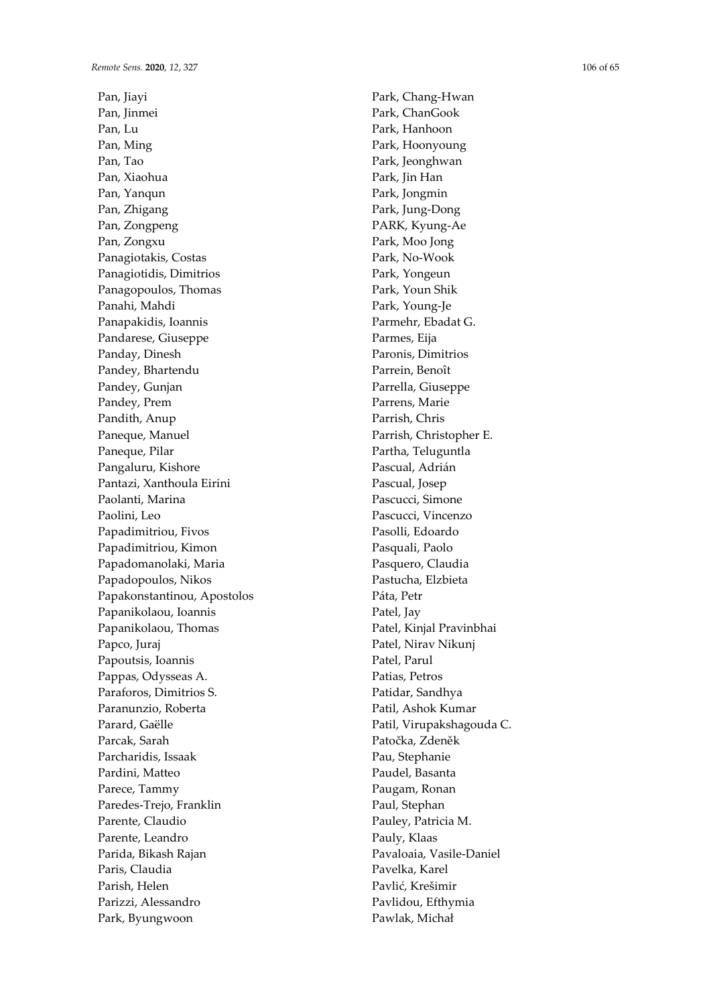Pan, Jiayi Pan, Jinmei Pan, Lu Pan, Ming Pan, Tao Pan, Xiaohua Pan, Yanqun Pan, Zhigang Pan, Zongpeng Pan, Zongxu Panagiotakis, Costas Panagiotidis, Dimitrios Panagopoulos, Thomas Panahi, Mahdi Panapakidis, Ioannis Pandarese, Giuseppe Panday, Dinesh Pandey, Bhartendu Pandey, Gunjan Pandey, Prem Pandith, Anup Paneque, Manuel Paneque, Pilar Pangaluru, Kishore Pantazi, Xanthoula Eirini Paolanti, Marina Paolini, Leo Papadimitriou, Fivos Papadimitriou, Kimon Papadomanolaki, Maria Papadopoulos, Nikos Papakonstantinou, Apostolos Papanikolaou, Ioannis Papanikolaou, Thomas Papco, Juraj Papoutsis, Ioannis Pappas, Odysseas A. Paraforos, Dimitrios S. Paranunzio, Roberta Parard, Gaëlle Parcak, Sarah Parcharidis, Issaak Pardini, Matteo Parece, Tammy Paredes-Trejo, Franklin Parente, Claudio Parente, Leandro Parida, Bikash Rajan Paris, Claudia Parish, Helen Parizzi, Alessandro Park, Byungwoon

Park, Chang-Hwan Park, ChanGook Park, Hanhoon Park, Hoonyoung Park, Jeonghwan Park, Jin Han Park, Jongmin Park, Jung-Dong PARK, Kyung-Ae Park, Moo Jong Park, No-Wook Park, Yongeun Park, Youn Shik Park, Young-Je Parmehr, Ebadat G. Parmes, Eija Paronis, Dimitrios Parrein, Benoît Parrella, Giuseppe Parrens, Marie Parrish, Chris Parrish, Christopher E. Partha, Teluguntla Pascual, Adrián Pascual, Josep Pascucci, Simone Pascucci, Vincenzo Pasolli, Edoardo Pasquali, Paolo Pasquero, Claudia Pastucha, Elzbieta Páta, Petr Patel, Jay Patel, Kinjal Pravinbhai Patel, Nirav Nikunj Patel, Parul Patias, Petros Patidar, Sandhya Patil, Ashok Kumar Patil, Virupakshagouda C. Patočka, Zdeněk Pau, Stephanie Paudel, Basanta Paugam, Ronan Paul, Stephan Pauley, Patricia M. Pauly, Klaas Pavaloaia, Vasile-Daniel Pavelka, Karel Pavlić, Krešimir Pavlidou, Efthymia Pawlak, Michał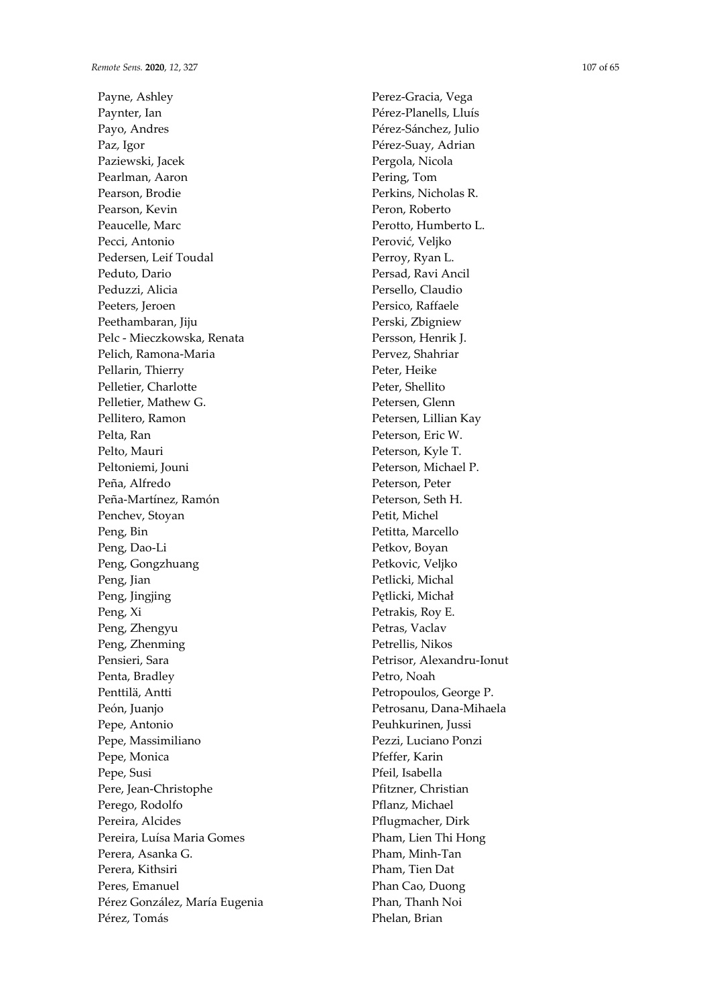Payne, Ashley Paynter, Ian Payo, Andres Paz, Igor Paziewski, Jacek Pearlman, Aaron Pearson, Brodie Pearson, Kevin Peaucelle, Marc Pecci, Antonio Pedersen, Leif Toudal Peduto, Dario Peduzzi, Alicia Peeters, Jeroen Peethambaran, Jiju Pelc - Mieczkowska, Renata Pelich, Ramona-Maria Pellarin, Thierry Pelletier, Charlotte Pelletier, Mathew G. Pellitero, Ramon Pelta, Ran Pelto, Mauri Peltoniemi, Jouni Peña, Alfredo Peña-Martínez, Ramón Penchev, Stoyan Peng, Bin Peng, Dao-Li Peng, Gongzhuang Peng, Jian Peng, Jingjing Peng, Xi Peng, Zhengyu Peng, Zhenming Pensieri, Sara Penta, Bradley Penttilä, Antti Peón, Juanjo Pepe, Antonio Pepe, Massimiliano Pepe, Monica Pepe, Susi Pere, Jean-Christophe Perego, Rodolfo Pereira, Alcides Pereira, Luísa Maria Gomes Perera, Asanka G. Perera, Kithsiri Peres, Emanuel Pérez González, María Eugenia Pérez, Tomás

Perez-Gracia, Vega Pérez-Planells, Lluís Pérez-Sánchez, Julio Pérez-Suay, Adrian Pergola, Nicola Pering, Tom Perkins, Nicholas R. Peron, Roberto Perotto, Humberto L. Perović, Veljko Perroy, Ryan L. Persad, Ravi Ancil Persello, Claudio Persico, Raffaele Perski, Zbigniew Persson, Henrik J. Pervez, Shahriar Peter, Heike Peter, Shellito Petersen, Glenn Petersen, Lillian Kay Peterson, Eric W. Peterson, Kyle T. Peterson, Michael P. Peterson, Peter Peterson, Seth H. Petit, Michel Petitta, Marcello Petkov, Boyan Petkovic, Veljko Petlicki, Michal Pętlicki, Michał Petrakis, Roy E. Petras, Vaclav Petrellis, Nikos Petrisor, Alexandru-Ionut Petro, Noah Petropoulos, George P. Petrosanu, Dana-Mihaela Peuhkurinen, Jussi Pezzi, Luciano Ponzi Pfeffer, Karin Pfeil, Isabella Pfitzner, Christian Pflanz, Michael Pflugmacher, Dirk Pham, Lien Thi Hong Pham, Minh-Tan Pham, Tien Dat Phan Cao, Duong Phan, Thanh Noi Phelan, Brian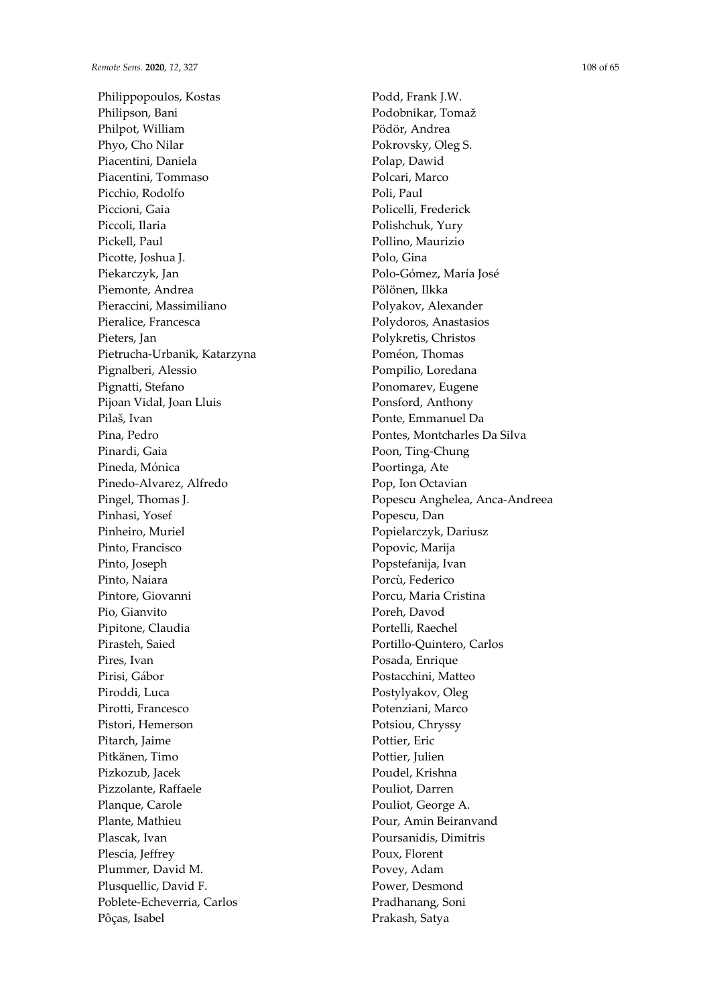Philippopoulos, Kostas Philipson, Bani Philpot, William Phyo, Cho Nilar Piacentini, Daniela Piacentini, Tommaso Picchio, Rodolfo Piccioni, Gaia Piccoli, Ilaria Pickell, Paul Picotte, Joshua J. Piekarczyk, Jan Piemonte, Andrea Pieraccini, Massimiliano Pieralice, Francesca Pieters, Jan Pietrucha-Urbanik, Katarzyna Pignalberi, Alessio Pignatti, Stefano Pijoan Vidal, Joan Lluis Pilaš, Ivan Pina, Pedro Pinardi, Gaia Pineda, Mónica Pinedo-Alvarez, Alfredo Pingel, Thomas J. Pinhasi, Yosef Pinheiro, Muriel Pinto, Francisco Pinto, Joseph Pinto, Naiara Pintore, Giovanni Pio, Gianvito Pipitone, Claudia Pirasteh, Saied Pires, Ivan Pirisi, Gábor Piroddi, Luca Pirotti, Francesco Pistori, Hemerson Pitarch, Jaime Pitkänen, Timo Pizkozub, Jacek Pizzolante, Raffaele Planque, Carole Plante, Mathieu Plascak, Ivan Plescia, Jeffrey Plummer, David M. Plusquellic, David F. Poblete-Echeverria, Carlos Pôças, Isabel

Podd, Frank J.W. Podobnikar, Tomaž Pödör, Andrea Pokrovsky, Oleg S. Polap, Dawid Polcari, Marco Poli, Paul Policelli, Frederick Polishchuk, Yury Pollino, Maurizio Polo, Gina Polo-Gómez, María José Pölönen, Ilkka Polyakov, Alexander Polydoros, Anastasios Polykretis, Christos Poméon, Thomas Pompilio, Loredana Ponomarev, Eugene Ponsford, Anthony Ponte, Emmanuel Da Pontes, Montcharles Da Silva Poon, Ting-Chung Poortinga, Ate Pop, Ion Octavian Popescu Anghelea, Anca-Andreea Popescu, Dan Popielarczyk, Dariusz Popovic, Marija Popstefanija, Ivan Porcù, Federico Porcu, Maria Cristina Poreh, Davod Portelli, Raechel Portillo-Quintero, Carlos Posada, Enrique Postacchini, Matteo Postylyakov, Oleg Potenziani, Marco Potsiou, Chryssy Pottier, Eric Pottier, Julien Poudel, Krishna Pouliot, Darren Pouliot, George A. Pour, Amin Beiranvand Poursanidis, Dimitris Poux, Florent Povey, Adam Power, Desmond Pradhanang, Soni Prakash, Satya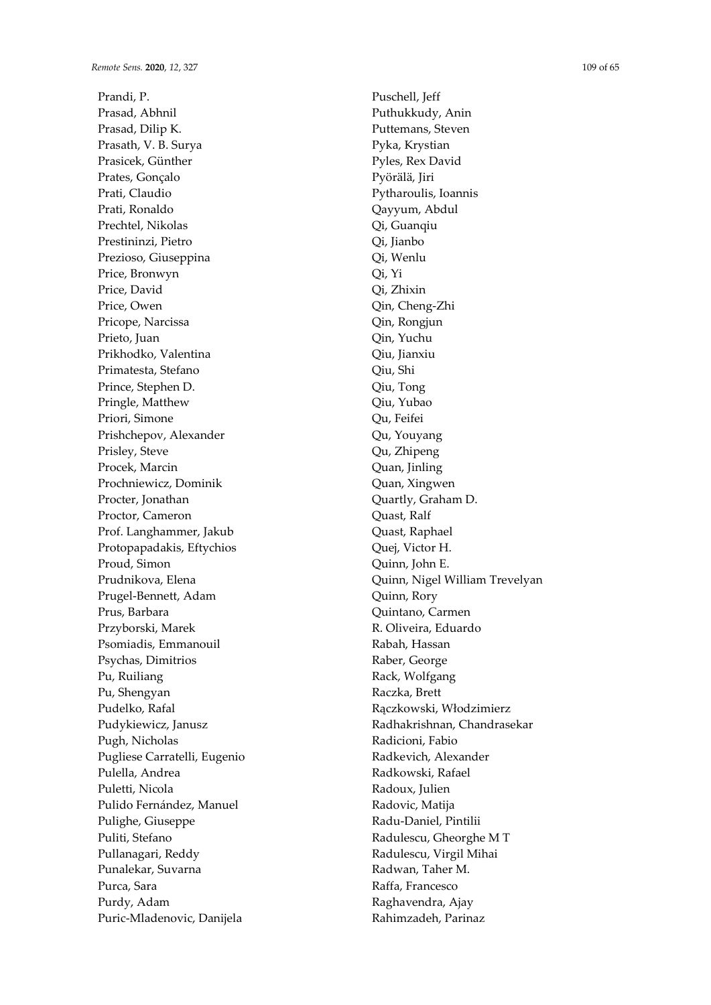Prandi, P. Prasad, Abhnil Prasad, Dilip K. Prasath, V. B. Surya Prasicek, Günther Prates, Gonçalo Prati, Claudio Prati, Ronaldo Prechtel, Nikolas Prestininzi, Pietro Prezioso, Giuseppina Price, Bronwyn Price, David Price, Owen Pricope, Narcissa Prieto, Juan Prikhodko, Valentina Primatesta, Stefano Prince, Stephen D. Pringle, Matthew Priori, Simone Prishchepov, Alexander Prisley, Steve Procek, Marcin Prochniewicz, Dominik Procter, Jonathan Proctor, Cameron Prof. Langhammer, Jakub Protopapadakis, Eftychios Proud, Simon Prudnikova, Elena Prugel-Bennett, Adam Prus, Barbara Przyborski, Marek Psomiadis, Emmanouil Psychas, Dimitrios Pu, Ruiliang Pu, Shengyan Pudelko, Rafal Pudykiewicz, Janusz Pugh, Nicholas Pugliese Carratelli, Eugenio Pulella, Andrea Puletti, Nicola Pulido Fernández, Manuel Pulighe, Giuseppe Puliti, Stefano Pullanagari, Reddy Punalekar, Suvarna Purca, Sara Purdy, Adam Puric-Mladenovic, Danijela

Puschell, Jeff Puthukkudy, Anin Puttemans, Steven Pyka, Krystian Pyles, Rex David Pyörälä, Jiri Pytharoulis, Ioannis Qayyum, Abdul Qi, Guanqiu Qi, Jianbo Qi, Wenlu Qi, Yi Qi, Zhixin Qin, Cheng-Zhi Qin, Rongjun Qin, Yuchu Qiu, Jianxiu Qiu, Shi Qiu, Tong Qiu, Yubao Qu, Feifei Qu, Youyang Qu, Zhipeng Quan, Jinling Quan, Xingwen Quartly, Graham D. Quast, Ralf Quast, Raphael Quej, Victor H. Quinn, John E. Quinn, Nigel William Trevelyan Quinn, Rory Quintano, Carmen R. Oliveira, Eduardo Rabah, Hassan Raber, George Rack, Wolfgang Raczka, Brett Rączkowski, Włodzimierz Radhakrishnan, Chandrasekar Radicioni, Fabio Radkevich, Alexander Radkowski, Rafael Radoux, Julien Radovic, Matija Radu-Daniel, Pintilii Radulescu, Gheorghe M T Radulescu, Virgil Mihai Radwan, Taher M. Raffa, Francesco Raghavendra, Ajay Rahimzadeh, Parinaz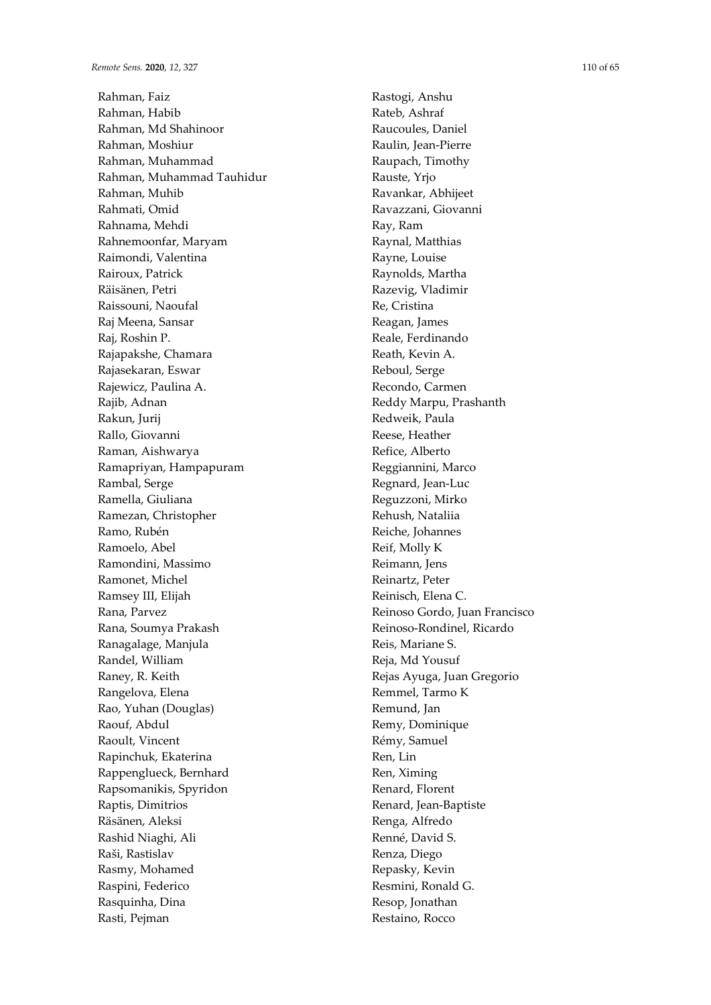Rahman, Faiz Rahman, Habib Rahman, Md Shahinoor Rahman, Moshiur Rahman, Muhammad Rahman, Muhammad Tauhidur Rahman, Muhib Rahmati, Omid Rahnama, Mehdi Rahnemoonfar, Maryam Raimondi, Valentina Rairoux, Patrick Räisänen, Petri Raissouni, Naoufal Raj Meena, Sansar Raj, Roshin P. Rajapakshe, Chamara Rajasekaran, Eswar Rajewicz, Paulina A. Rajib, Adnan Rakun, Jurij Rallo, Giovanni Raman, Aishwarya Ramapriyan, Hampapuram Rambal, Serge Ramella, Giuliana Ramezan, Christopher Ramo, Rubén Ramoelo, Abel Ramondini, Massimo Ramonet, Michel Ramsey III, Elijah Rana, Parvez Rana, Soumya Prakash Ranagalage, Manjula Randel, William Raney, R. Keith Rangelova, Elena Rao, Yuhan (Douglas) Raouf, Abdul Raoult, Vincent Rapinchuk, Ekaterina Rappenglueck, Bernhard Rapsomanikis, Spyridon Raptis, Dimitrios Räsänen, Aleksi Rashid Niaghi, Ali Raši, Rastislav Rasmy, Mohamed Raspini, Federico Rasquinha, Dina Rasti, Pejman

Rastogi, Anshu Rateb, Ashraf Raucoules, Daniel Raulin, Jean-Pierre Raupach, Timothy Rauste, Yrjo Ravankar, Abhijeet Ravazzani, Giovanni Ray, Ram Raynal, Matthias Rayne, Louise Raynolds, Martha Razevig, Vladimir Re, Cristina Reagan, James Reale, Ferdinando Reath, Kevin A. Reboul, Serge Recondo, Carmen Reddy Marpu, Prashanth Redweik, Paula Reese, Heather Refice, Alberto Reggiannini, Marco Regnard, Jean-Luc Reguzzoni, Mirko Rehush, Nataliia Reiche, Johannes Reif, Molly K Reimann, Jens Reinartz, Peter Reinisch, Elena C. Reinoso Gordo, Juan Francisco Reinoso-Rondinel, Ricardo Reis, Mariane S. Reja, Md Yousuf Rejas Ayuga, Juan Gregorio Remmel, Tarmo K Remund, Jan Remy, Dominique Rémy, Samuel Ren, Lin Ren, Ximing Renard, Florent Renard, Jean-Baptiste Renga, Alfredo Renné, David S. Renza, Diego Repasky, Kevin Resmini, Ronald G. Resop, Jonathan Restaino, Rocco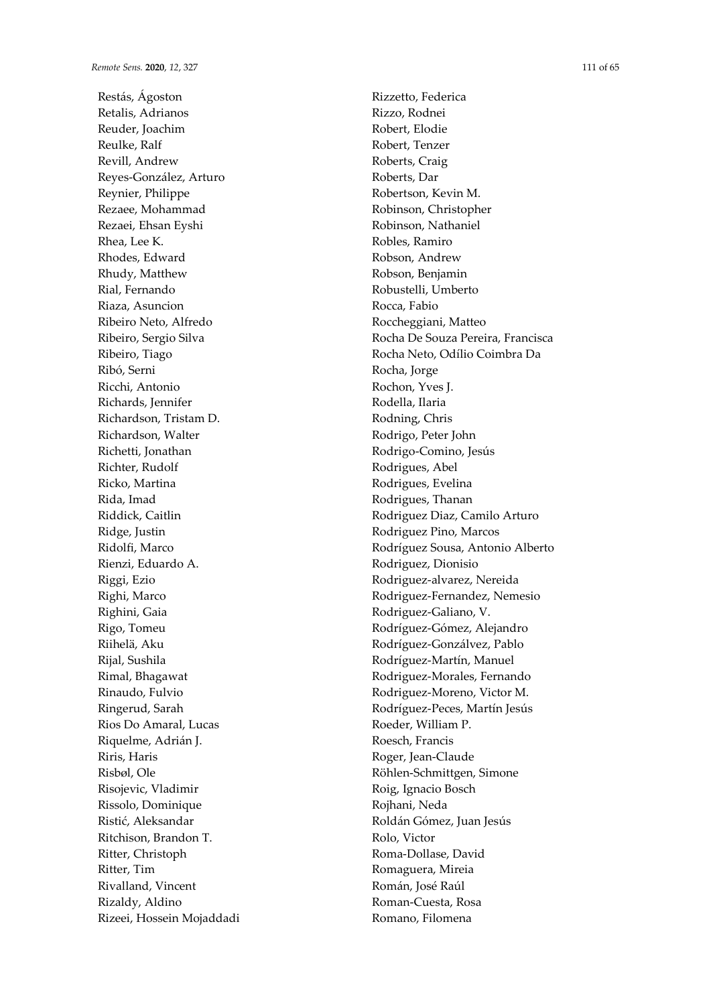Restás, Ágoston Retalis, Adrianos Reuder, Joachim Reulke, Ralf Revill, Andrew Reyes-González, Arturo Reynier, Philippe Rezaee, Mohammad Rezaei, Ehsan Eyshi Rhea, Lee K. Rhodes, Edward Rhudy, Matthew Rial, Fernando Riaza, Asuncion Ribeiro Neto, Alfredo Ribeiro, Sergio Silva Ribeiro, Tiago Ribó, Serni Ricchi, Antonio Richards, Jennifer Richardson, Tristam D. Richardson, Walter Richetti, Jonathan Richter, Rudolf Ricko, Martina Rida, Imad Riddick, Caitlin Ridge, Justin Ridolfi, Marco Rienzi, Eduardo A. Riggi, Ezio Righi, Marco Righini, Gaia Rigo, Tomeu Riihelä, Aku Rijal, Sushila Rimal, Bhagawat Rinaudo, Fulvio Ringerud, Sarah Rios Do Amaral, Lucas Riquelme, Adrián J. Riris, Haris Risbøl, Ole Risojevic, Vladimir Rissolo, Dominique Ristić, Aleksandar Ritchison, Brandon T. Ritter, Christoph Ritter, Tim Rivalland, Vincent Rizaldy, Aldino Rizeei, Hossein Mojaddadi Rizzetto, Federica Rizzo, Rodnei Robert, Elodie Robert, Tenzer Roberts, Craig Roberts, Dar Robertson, Kevin M. Robinson, Christopher Robinson, Nathaniel Robles, Ramiro Robson, Andrew Robson, Benjamin Robustelli, Umberto Rocca, Fabio Roccheggiani, Matteo Rocha De Souza Pereira, Francisca Rocha Neto, Odílio Coimbra Da Rocha, Jorge Rochon, Yves J. Rodella, Ilaria Rodning, Chris Rodrigo, Peter John Rodrigo-Comino, Jesús Rodrigues, Abel Rodrigues, Evelina Rodrigues, Thanan Rodriguez Diaz, Camilo Arturo Rodriguez Pino, Marcos Rodríguez Sousa, Antonio Alberto Rodriguez, Dionisio Rodriguez-alvarez, Nereida Rodriguez-Fernandez, Nemesio Rodriguez-Galiano, V. Rodríguez-Gómez, Alejandro Rodríguez-Gonzálvez, Pablo Rodríguez-Martín, Manuel Rodriguez-Morales, Fernando Rodriguez-Moreno, Victor M. Rodríguez-Peces, Martín Jesús Roeder, William P. Roesch, Francis Roger, Jean-Claude Röhlen-Schmittgen, Simone Roig, Ignacio Bosch Rojhani, Neda Roldán Gómez, Juan Jesús Rolo, Victor Roma-Dollase, David Romaguera, Mireia Román, José Raúl Roman-Cuesta, Rosa Romano, Filomena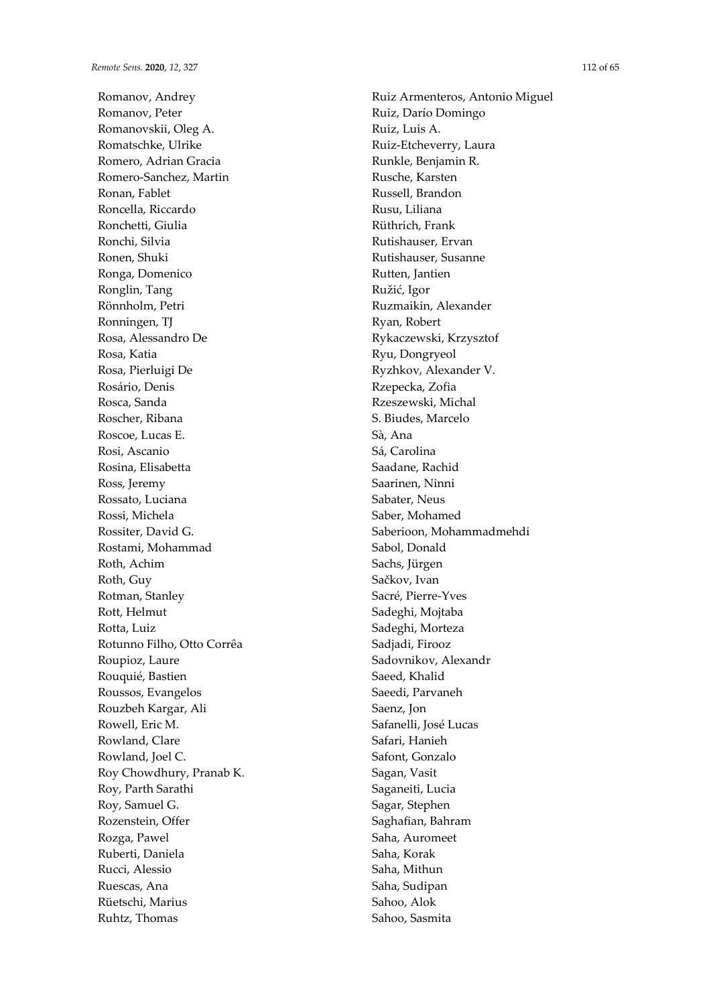Romanov, Andrey Romanov, Peter Romanovskii, Oleg A. Romatschke, Ulrike Romero, Adrian Gracia Romero-Sanchez, Martin Ronan, Fablet Roncella, Riccardo Ronchetti, Giulia Ronchi, Silvia Ronen, Shuki Ronga, Domenico Ronglin, Tang Rönnholm, Petri Ronningen, TJ Rosa, Alessandro De Rosa, Katia Rosa, Pierluigi De Rosário, Denis Rosca, Sanda Roscher, Ribana Roscoe, Lucas E. Rosi, Ascanio Rosina, Elisabetta Ross, Jeremy Rossato, Luciana Rossi, Michela Rossiter, David G. Rostami, Mohammad Roth, Achim Roth, Guy Rotman, Stanley Rott, Helmut Rotta, Luiz Rotunno Filho, Otto Corrêa Roupioz, Laure Rouquié, Bastien Roussos, Evangelos Rouzbeh Kargar, Ali Rowell, Eric M. Rowland, Clare Rowland, Joel C. Roy Chowdhury, Pranab K. Roy, Parth Sarathi Roy, Samuel G. Rozenstein, Offer Rozga, Pawel Ruberti, Daniela Rucci, Alessio Ruescas, Ana Rüetschi, Marius Ruhtz, Thomas

Ruiz Armenteros, Antonio Miguel Ruiz, Darío Domingo Ruiz, Luis A. Ruiz-Etcheverry, Laura Runkle, Benjamin R. Rusche, Karsten Russell, Brandon Rusu, Liliana Rüthrich, Frank Rutishauser, Ervan Rutishauser, Susanne Rutten, Jantien Ružić, Igor Ruzmaikin, Alexander Ryan, Robert Rykaczewski, Krzysztof Ryu, Dongryeol Ryzhkov, Alexander V. Rzepecka, Zofia Rzeszewski, Michal S. Biudes, Marcelo Sà, Ana Sá, Carolina Saadane, Rachid Saarinen, Ninni Sabater, Neus Saber, Mohamed Saberioon, Mohammadmehdi Sabol, Donald Sachs, Jürgen Sačkov, Ivan Sacré, Pierre-Yves Sadeghi, Mojtaba Sadeghi, Morteza Sadjadi, Firooz Sadovnikov, Alexandr Saeed, Khalid Saeedi, Parvaneh Saenz, Jon Safanelli, José Lucas Safari, Hanieh Safont, Gonzalo Sagan, Vasit Saganeiti, Lucia Sagar, Stephen Saghafian, Bahram Saha, Auromeet Saha, Korak Saha, Mithun Saha, Sudipan Sahoo, Alok

Sahoo, Sasmita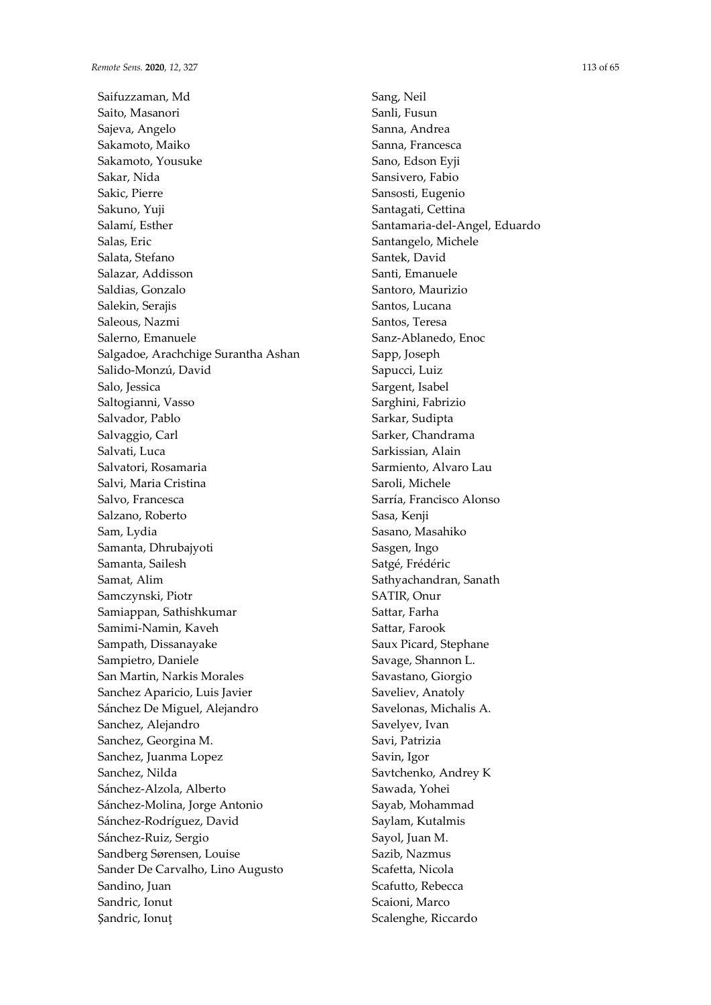Saifuzzaman, Md Saito, Masanori Sajeva, Angelo Sakamoto, Maiko Sakamoto, Yousuke Sakar, Nida Sakic, Pierre Sakuno, Yuji Salamí, Esther Salas, Eric Salata, Stefano Salazar, Addisson Saldias, Gonzalo Salekin, Serajis Saleous, Nazmi Salerno, Emanuele Salgadoe, Arachchige Surantha Ashan Salido-Monzú, David Salo, Jessica Saltogianni, Vasso Salvador, Pablo Salvaggio, Carl Salvati, Luca Salvatori, Rosamaria Salvi, Maria Cristina Salvo, Francesca Salzano, Roberto Sam, Lydia Samanta, Dhrubajyoti Samanta, Sailesh Samat, Alim Samczynski, Piotr Samiappan, Sathishkumar Samimi-Namin, Kaveh Sampath, Dissanayake Sampietro, Daniele San Martin, Narkis Morales Sanchez Aparicio, Luis Javier Sánchez De Miguel, Alejandro Sanchez, Alejandro Sanchez, Georgina M. Sanchez, Juanma Lopez Sanchez, Nilda Sánchez-Alzola, Alberto Sánchez-Molina, Jorge Antonio Sánchez-Rodríguez, David Sánchez-Ruiz, Sergio Sandberg Sørensen, Louise Sander De Carvalho, Lino Augusto Sandino, Juan Sandric, Ionut Şandric, Ionuţ

Sang, Neil Sanli, Fusun Sanna, Andrea Sanna, Francesca Sano, Edson Eyji Sansivero, Fabio Sansosti, Eugenio Santagati, Cettina Santamaria-del-Angel, Eduardo Santangelo, Michele Santek, David Santi, Emanuele Santoro, Maurizio Santos, Lucana Santos, Teresa Sanz-Ablanedo, Enoc Sapp, Joseph Sapucci, Luiz Sargent, Isabel Sarghini, Fabrizio Sarkar, Sudipta Sarker, Chandrama Sarkissian, Alain Sarmiento, Alvaro Lau Saroli, Michele Sarría, Francisco Alonso Sasa, Kenji Sasano, Masahiko Sasgen, Ingo Satgé, Frédéric Sathyachandran, Sanath SATIR, Onur Sattar, Farha Sattar, Farook Saux Picard, Stephane Savage, Shannon L. Savastano, Giorgio Saveliev, Anatoly Savelonas, Michalis A. Savelyev, Ivan Savi, Patrizia Savin, Igor Savtchenko, Andrey K Sawada, Yohei Sayab, Mohammad Saylam, Kutalmis Sayol, Juan M. Sazib, Nazmus Scafetta, Nicola Scafutto, Rebecca Scaioni, Marco Scalenghe, Riccardo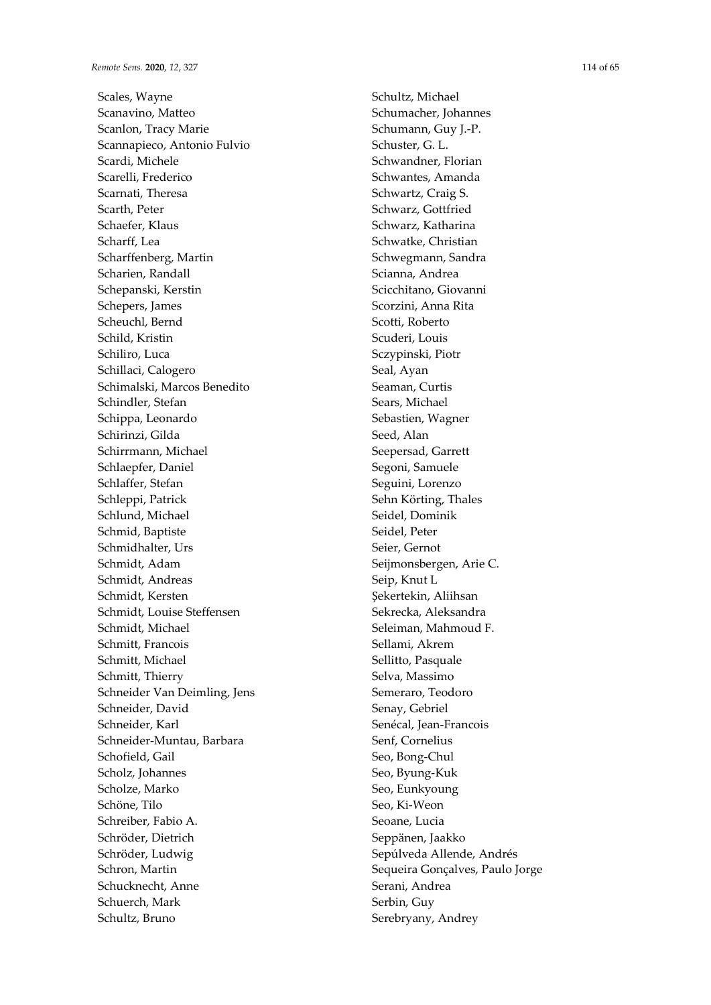Scales, Wayne Scanavino, Matteo Scanlon, Tracy Marie Scannapieco, Antonio Fulvio Scardi, Michele Scarelli, Frederico Scarnati, Theresa Scarth, Peter Schaefer, Klaus Scharff, Lea Scharffenberg, Martin Scharien, Randall Schepanski, Kerstin Schepers, James Scheuchl, Bernd Schild, Kristin Schiliro, Luca Schillaci, Calogero Schimalski, Marcos Benedito Schindler, Stefan Schippa, Leonardo Schirinzi, Gilda Schirrmann, Michael Schlaepfer, Daniel Schlaffer, Stefan Schleppi, Patrick Schlund, Michael Schmid, Baptiste Schmidhalter, Urs Schmidt, Adam Schmidt, Andreas Schmidt, Kersten Schmidt, Louise Steffensen Schmidt, Michael Schmitt, Francois Schmitt, Michael Schmitt, Thierry Schneider Van Deimling, Jens Schneider, David Schneider, Karl Schneider-Muntau, Barbara Schofield, Gail Scholz, Johannes Scholze, Marko Schöne, Tilo Schreiber, Fabio A. Schröder, Dietrich Schröder, Ludwig Schron, Martin Schucknecht, Anne Schuerch, Mark Schultz, Bruno

Schultz, Michael Schumacher, Johannes Schumann, Guy J.-P. Schuster, G. L. Schwandner, Florian Schwantes, Amanda Schwartz, Craig S. Schwarz, Gottfried Schwarz, Katharina Schwatke, Christian Schwegmann, Sandra Scianna, Andrea Scicchitano, Giovanni Scorzini, Anna Rita Scotti, Roberto Scuderi, Louis Sczypinski, Piotr Seal, Ayan Seaman, Curtis Sears, Michael Sebastien, Wagner Seed, Alan Seepersad, Garrett Segoni, Samuele Seguini, Lorenzo Sehn Körting, Thales Seidel, Dominik Seidel, Peter Seier, Gernot Seijmonsbergen, Arie C. Seip, Knut L Şekertekin, Aliihsan Sekrecka, Aleksandra Seleiman, Mahmoud F. Sellami, Akrem Sellitto, Pasquale Selva, Massimo Semeraro, Teodoro Senay, Gebriel Senécal, Jean-Francois Senf, Cornelius Seo, Bong-Chul Seo, Byung-Kuk Seo, Eunkyoung Seo, Ki-Weon Seoane, Lucia Seppänen, Jaakko Sepúlveda Allende, Andrés Sequeira Gonçalves, Paulo Jorge Serani, Andrea Serbin, Guy Serebryany, Andrey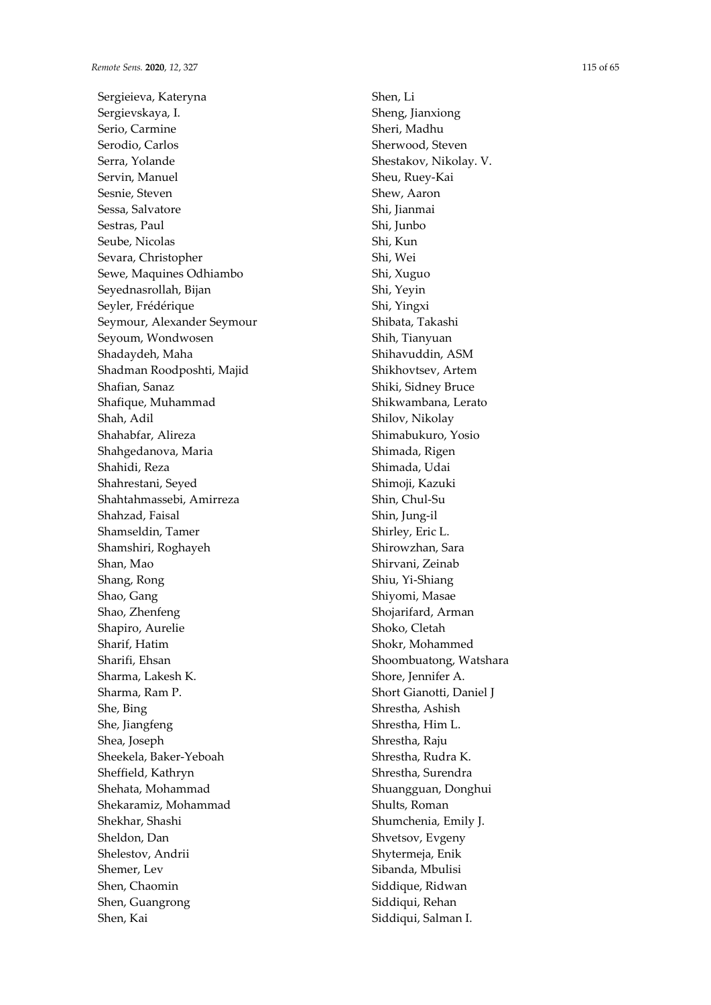Sergieieva, Kateryna Sergievskaya, I. Serio, Carmine Serodio, Carlos Serra, Yolande Servin, Manuel Sesnie, Steven Sessa, Salvatore Sestras, Paul Seube, Nicolas Sevara, Christopher Sewe, Maquines Odhiambo Seyednasrollah, Bijan Seyler, Frédérique Seymour, Alexander Seymour Seyoum, Wondwosen Shadaydeh, Maha Shadman Roodposhti, Majid Shafian, Sanaz Shafique, Muhammad Shah, Adil Shahabfar, Alireza Shahgedanova, Maria Shahidi, Reza Shahrestani, Seyed Shahtahmassebi, Amirreza Shahzad, Faisal Shamseldin, Tamer Shamshiri, Roghayeh Shan, Mao Shang, Rong Shao, Gang Shao, Zhenfeng Shapiro, Aurelie Sharif, Hatim Sharifi, Ehsan Sharma, Lakesh K. Sharma, Ram P. She, Bing She, Jiangfeng Shea, Joseph Sheekela, Baker-Yeboah Sheffield, Kathryn Shehata, Mohammad Shekaramiz, Mohammad Shekhar, Shashi Sheldon, Dan Shelestov, Andrii Shemer, Lev Shen, Chaomin Shen, Guangrong Shen, Kai

Shen, Li Sheng, Jianxiong Sheri, Madhu Sherwood, Steven Shestakov, Nikolay. V. Sheu, Ruey-Kai Shew, Aaron Shi, Jianmai Shi, Junbo Shi, Kun Shi, Wei Shi, Xuguo Shi, Yeyin Shi, Yingxi Shibata, Takashi Shih, Tianyuan Shihavuddin, ASM Shikhovtsev, Artem Shiki, Sidney Bruce Shikwambana, Lerato Shilov, Nikolay Shimabukuro, Yosio Shimada, Rigen Shimada, Udai Shimoji, Kazuki Shin, Chul-Su Shin, Jung-il Shirley, Eric L. Shirowzhan, Sara Shirvani, Zeinab Shiu, Yi-Shiang Shiyomi, Masae Shojarifard, Arman Shoko, Cletah Shokr, Mohammed Shoombuatong, Watshara Shore, Jennifer A. Short Gianotti, Daniel J Shrestha, Ashish Shrestha, Him L. Shrestha, Raju Shrestha, Rudra K. Shrestha, Surendra Shuangguan, Donghui Shults, Roman Shumchenia, Emily J. Shvetsov, Evgeny Shytermeja, Enik Sibanda, Mbulisi Siddique, Ridwan Siddiqui, Rehan Siddiqui, Salman I.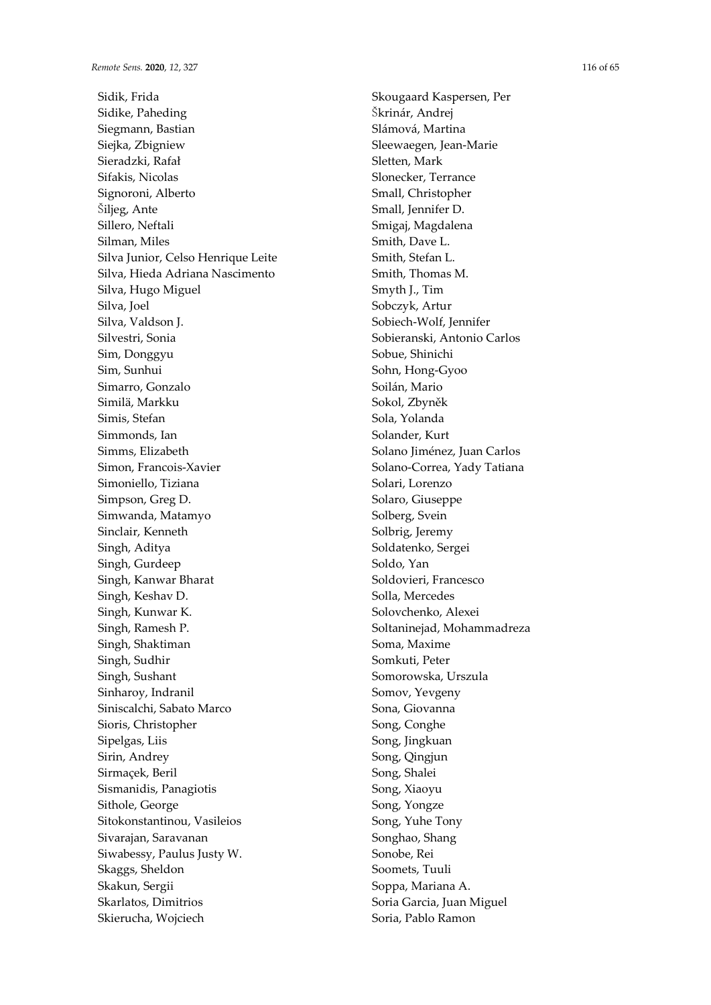Sidik, Frida Sidike, Paheding Siegmann, Bastian Siejka, Zbigniew Sieradzki, Rafał Sifakis, Nicolas Signoroni, Alberto Šiljeg, Ante Sillero, Neftali Silman, Miles Silva Junior, Celso Henrique Leite Silva, Hieda Adriana Nascimento Silva, Hugo Miguel Silva, Joel Silva, Valdson J. Silvestri, Sonia Sim, Donggyu Sim, Sunhui Simarro, Gonzalo Similä, Markku Simis, Stefan Simmonds, Ian Simms, Elizabeth Simon, Francois-Xavier Simoniello, Tiziana Simpson, Greg D. Simwanda, Matamyo Sinclair, Kenneth Singh, Aditya Singh, Gurdeep Singh, Kanwar Bharat Singh, Keshav D. Singh, Kunwar K. Singh, Ramesh P. Singh, Shaktiman Singh, Sudhir Singh, Sushant Sinharoy, Indranil Siniscalchi, Sabato Marco Sioris, Christopher Sipelgas, Liis Sirin, Andrey Sirmaçek, Beril Sismanidis, Panagiotis Sithole, George Sitokonstantinou, Vasileios Sivarajan, Saravanan Siwabessy, Paulus Justy W. Skaggs, Sheldon Skakun, Sergii Skarlatos, Dimitrios Skierucha, Wojciech

Skougaard Kaspersen, Per Škrinár, Andrej Slámová, Martina Sleewaegen, Jean-Marie Sletten, Mark Slonecker, Terrance Small, Christopher Small, Jennifer D. Smigaj, Magdalena Smith, Dave L. Smith, Stefan L. Smith, Thomas M. Smyth J., Tim Sobczyk, Artur Sobiech-Wolf, Jennifer Sobieranski, Antonio Carlos Sobue, Shinichi Sohn, Hong-Gyoo Soilán, Mario Sokol, Zbyněk Sola, Yolanda Solander, Kurt Solano Jiménez, Juan Carlos Solano-Correa, Yady Tatiana Solari, Lorenzo Solaro, Giuseppe Solberg, Svein Solbrig, Jeremy Soldatenko, Sergei Soldo, Yan Soldovieri, Francesco Solla, Mercedes Solovchenko, Alexei Soltaninejad, Mohammadreza Soma, Maxime Somkuti, Peter Somorowska, Urszula Somov, Yevgeny Sona, Giovanna Song, Conghe Song, Jingkuan Song, Qingjun Song, Shalei Song, Xiaoyu Song, Yongze Song, Yuhe Tony Songhao, Shang Sonobe, Rei Soomets, Tuuli Soppa, Mariana A. Soria Garcia, Juan Miguel Soria, Pablo Ramon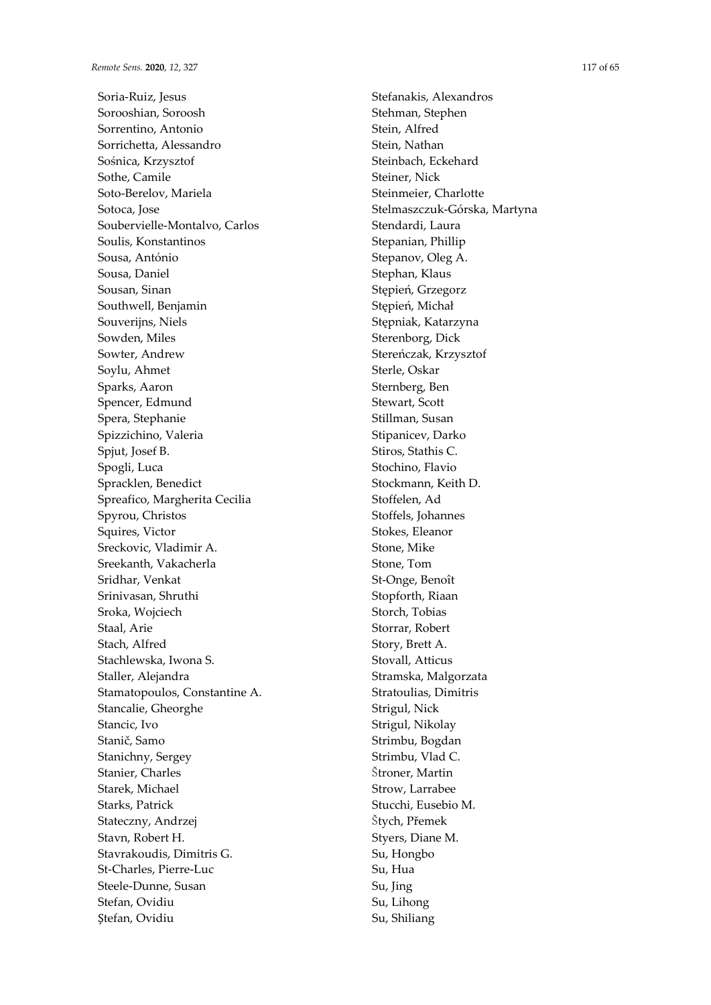Soria-Ruiz, Jesus Sorooshian, Soroosh Sorrentino, Antonio Sorrichetta, Alessandro Sośnica, Krzysztof Sothe, Camile Soto-Berelov, Mariela Sotoca, Jose Soubervielle-Montalvo, Carlos Soulis, Konstantinos Sousa, António Sousa, Daniel Sousan, Sinan Southwell, Benjamin Souverijns, Niels Sowden, Miles Sowter, Andrew Soylu, Ahmet Sparks, Aaron Spencer, Edmund Spera, Stephanie Spizzichino, Valeria Spjut, Josef B. Spogli, Luca Spracklen, Benedict Spreafico, Margherita Cecilia Spyrou, Christos Squires, Victor Sreckovic, Vladimir A. Sreekanth, Vakacherla Sridhar, Venkat Srinivasan, Shruthi Sroka, Wojciech Staal, Arie Stach, Alfred Stachlewska, Iwona S. Staller, Alejandra Stamatopoulos, Constantine A. Stancalie, Gheorghe Stancic, Ivo Stanič, Samo Stanichny, Sergey Stanier, Charles Starek, Michael Starks, Patrick Stateczny, Andrzej Stavn, Robert H. Stavrakoudis, Dimitris G. St-Charles, Pierre-Luc Steele-Dunne, Susan Stefan, Ovidiu Ştefan, Ovidiu

Stefanakis, Alexandros Stehman, Stephen Stein, Alfred Stein, Nathan Steinbach, Eckehard Steiner, Nick Steinmeier, Charlotte Stelmaszczuk-Górska, Martyna Stendardi, Laura Stepanian, Phillip Stepanov, Oleg A. Stephan, Klaus Stępień, Grzegorz Stępień, Michał Stępniak, Katarzyna Sterenborg, Dick Stereńczak, Krzysztof Sterle, Oskar Sternberg, Ben Stewart, Scott Stillman, Susan Stipanicev, Darko Stiros, Stathis C. Stochino, Flavio Stockmann, Keith D. Stoffelen, Ad Stoffels, Johannes Stokes, Eleanor Stone, Mike Stone, Tom St-Onge, Benoît Stopforth, Riaan Storch, Tobias Storrar, Robert Story, Brett A. Stovall, Atticus Stramska, Malgorzata Stratoulias, Dimitris Strigul, Nick Strigul, Nikolay Strimbu, Bogdan Strimbu, Vlad C. Štroner, Martin Strow, Larrabee Stucchi, Eusebio M. Štych, Přemek Styers, Diane M. Su, Hongbo Su, Hua Su, Jing Su, Lihong Su, Shiliang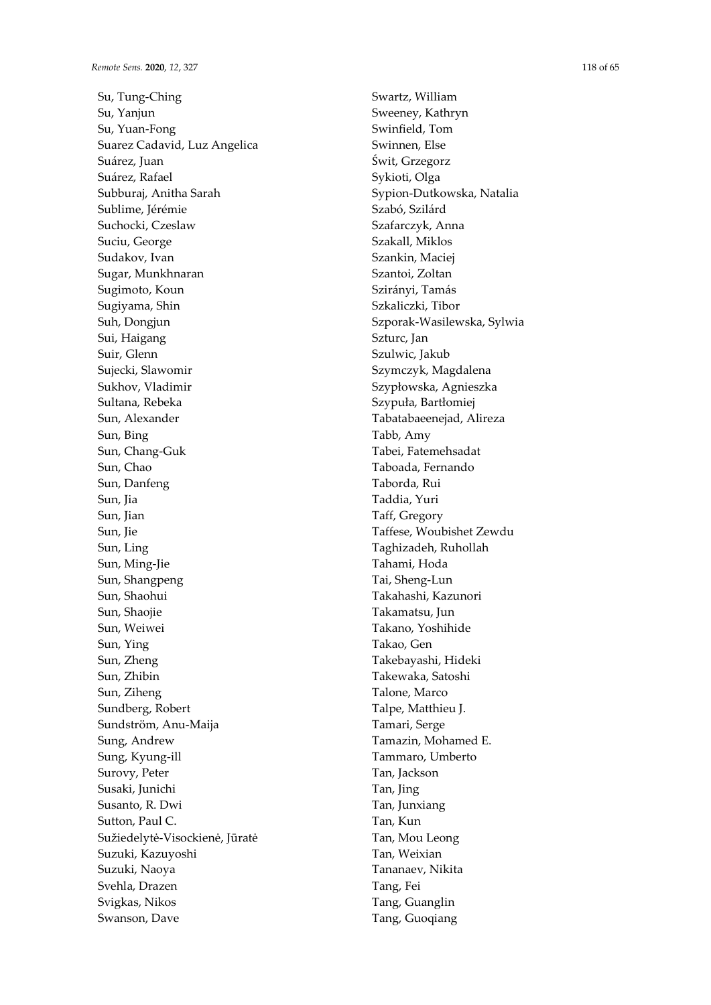Sun, Bing

Sun, Jia Sun, Jian Sun, Jie Sun, Ling

Sun, Ying

Susanto, R. Dwi Sutton, Paul C.

Suzuki, Kazuyoshi Suzuki, Naoya Svehla, Drazen Svigkas, Nikos Swanson, Dave

Sužiedelytė-Visockienė, Jūratė

Su, Tung-Ching Su, Yanjun Su, Yuan-Fong Suarez Cadavid, Luz Angelica Suárez, Juan Suárez, Rafael Subburaj, Anitha Sarah Sublime, Jérémie Suchocki, Czeslaw Suciu, George Sudakov, Ivan Sugar, Munkhnaran Sugimoto, Koun Sugiyama, Shin Suh, Dongjun Sui, Haigang Suir, Glenn Sujecki, Slawomir Sukhov, Vladimir Sultana, Rebeka Sun, Alexander Sun, Chang-Guk Sun, Chao Sun, Danfeng Sun, Ming-Jie Sun, Shangpeng Sun, Shaohui Sun, Shaojie Sun, Weiwei Sun, Zheng Sun, Zhibin Sun, Ziheng Sundberg, Robert Sundström, Anu-Maija Sung, Andrew Sung, Kyung-ill Surovy, Peter Susaki, Junichi

Swartz, William Sweeney, Kathryn Swinfield, Tom Swinnen, Else Świt, Grzegorz Sykioti, Olga Sypion-Dutkowska, Natalia Szabó, Szilárd Szafarczyk, Anna Szakall, Miklos Szankin, Maciej Szantoi, Zoltan Szirányi, Tamás Szkaliczki, Tibor Szporak-Wasilewska, Sylwia Szturc, Jan Szulwic, Jakub Szymczyk, Magdalena Szypłowska, Agnieszka Szypuła, Bartłomiej Tabatabaeenejad, Alireza Tabb, Amy Tabei, Fatemehsadat Taboada, Fernando Taborda, Rui Taddia, Yuri Taff, Gregory Taffese, Woubishet Zewdu Taghizadeh, Ruhollah Tahami, Hoda Tai, Sheng-Lun Takahashi, Kazunori Takamatsu, Jun Takano, Yoshihide Takao, Gen Takebayashi, Hideki Takewaka, Satoshi Talone, Marco Talpe, Matthieu J. Tamari, Serge Tamazin, Mohamed E. Tammaro, Umberto Tan, Jackson Tan, Jing Tan, Junxiang Tan, Kun Tan, Mou Leong Tan, Weixian Tananaev, Nikita Tang, Fei Tang, Guanglin Tang, Guoqiang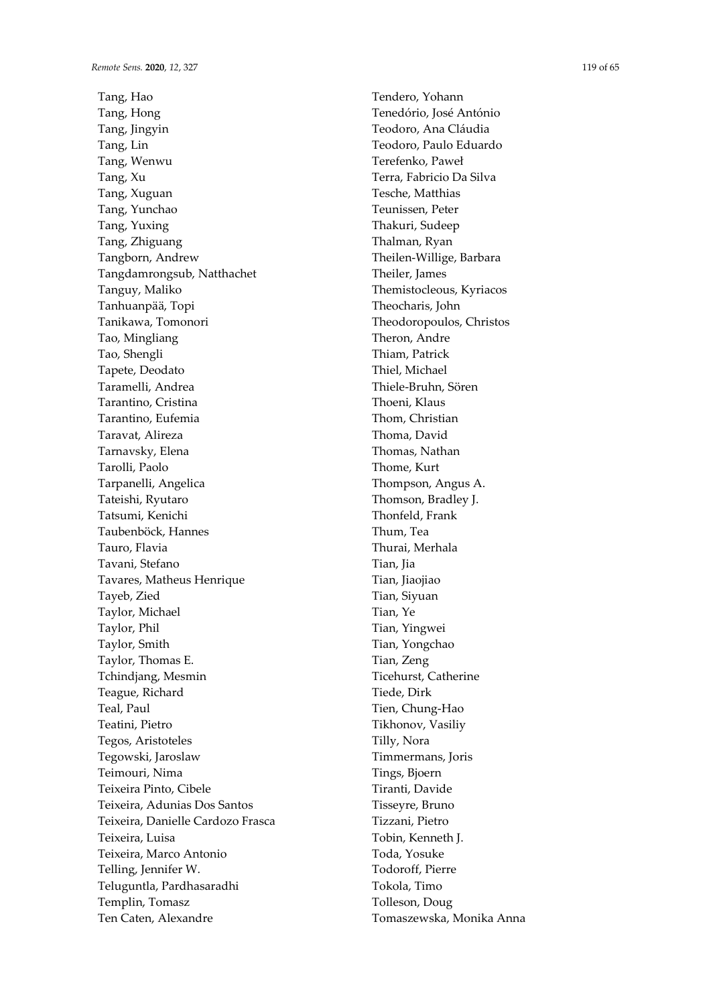Tang, Hao Tang, Hong Tang, Jingyin Tang, Lin Tang, Wenwu Tang, Xu Tang, Xuguan Tang, Yunchao Tang, Yuxing Tang, Zhiguang Tangborn, Andrew Tangdamrongsub, Natthachet Tanguy, Maliko Tanhuanpää, Topi Tanikawa, Tomonori Tao, Mingliang Tao, Shengli Tapete, Deodato Taramelli, Andrea Tarantino, Cristina Tarantino, Eufemia Taravat, Alireza Tarnavsky, Elena Tarolli, Paolo Tarpanelli, Angelica Tateishi, Ryutaro Tatsumi, Kenichi Taubenböck, Hannes Tauro, Flavia Tavani, Stefano Tavares, Matheus Henrique Tayeb, Zied Taylor, Michael Taylor, Phil Taylor, Smith Taylor, Thomas E. Tchindjang, Mesmin Teague, Richard Teal, Paul Teatini, Pietro Tegos, Aristoteles Tegowski, Jaroslaw Teimouri, Nima Teixeira Pinto, Cibele Teixeira, Adunias Dos Santos Teixeira, Danielle Cardozo Frasca Teixeira, Luisa Teixeira, Marco Antonio Telling, Jennifer W. Teluguntla, Pardhasaradhi Templin, Tomasz Ten Caten, Alexandre

Tendero, Yohann Tenedório, José António Teodoro, Ana Cláudia Teodoro, Paulo Eduardo Terefenko, Paweł Terra, Fabricio Da Silva Tesche, Matthias Teunissen, Peter Thakuri, Sudeep Thalman, Ryan Theilen-Willige, Barbara Theiler, James Themistocleous, Kyriacos Theocharis, John Theodoropoulos, Christos Theron, Andre Thiam, Patrick Thiel, Michael Thiele-Bruhn, Sören Thoeni, Klaus Thom, Christian Thoma, David Thomas, Nathan Thome, Kurt Thompson, Angus A. Thomson, Bradley J. Thonfeld, Frank Thum, Tea Thurai, Merhala Tian, Iia Tian, Jiaojiao Tian, Siyuan Tian, Ye Tian, Yingwei Tian, Yongchao Tian, Zeng Ticehurst, Catherine Tiede, Dirk Tien, Chung-Hao Tikhonov, Vasiliy Tilly, Nora Timmermans, Joris Tings, Bjoern Tiranti, Davide Tisseyre, Bruno Tizzani, Pietro Tobin, Kenneth J. Toda, Yosuke Todoroff, Pierre Tokola, Timo Tolleson, Doug Tomaszewska, Monika Anna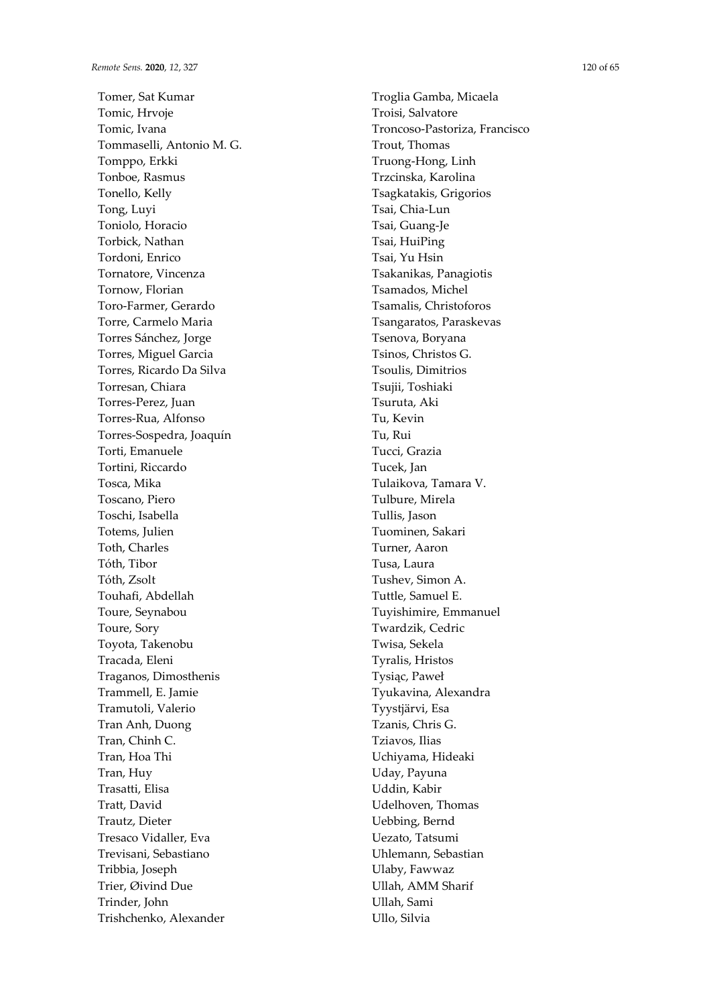Tomer, Sat Kumar Tomic, Hrvoje Tomic, Ivana Tommaselli, Antonio M. G. Tomppo, Erkki Tonboe, Rasmus Tonello, Kelly Tong, Luyi Toniolo, Horacio Torbick, Nathan Tordoni, Enrico Tornatore, Vincenza Tornow, Florian Toro-Farmer, Gerardo Torre, Carmelo Maria Torres Sánchez, Jorge Torres, Miguel Garcia Torres, Ricardo Da Silva Torresan, Chiara Torres-Perez, Juan Torres-Rua, Alfonso Torres-Sospedra, Joaquín Torti, Emanuele Tortini, Riccardo Tosca, Mika Toscano, Piero Toschi, Isabella Totems, Julien Toth, Charles Tóth, Tibor Tóth, Zsolt Touhafi, Abdellah Toure, Seynabou Toure, Sory Toyota, Takenobu Tracada, Eleni Traganos, Dimosthenis Trammell, E. Jamie Tramutoli, Valerio Tran Anh, Duong Tran, Chinh C. Tran, Hoa Thi Tran, Huy Trasatti, Elisa Tratt, David Trautz, Dieter Tresaco Vidaller, Eva Trevisani, Sebastiano Tribbia, Joseph Trier, Øivind Due Trinder, John Trishchenko, Alexander

Troglia Gamba, Micaela Troisi, Salvatore Troncoso-Pastoriza, Francisco Trout, Thomas Truong-Hong, Linh Trzcinska, Karolina Tsagkatakis, Grigorios Tsai, Chia-Lun Tsai, Guang-Je Tsai, HuiPing Tsai, Yu Hsin Tsakanikas, Panagiotis Tsamados, Michel Tsamalis, Christoforos Tsangaratos, Paraskevas Tsenova, Boryana Tsinos, Christos G. Tsoulis, Dimitrios Tsujii, Toshiaki Tsuruta, Aki Tu, Kevin Tu, Rui Tucci, Grazia Tucek, Jan Tulaikova, Tamara V. Tulbure, Mirela Tullis, Jason Tuominen, Sakari Turner, Aaron Tusa, Laura Tushev, Simon A. Tuttle, Samuel E. Tuyishimire, Emmanuel Twardzik, Cedric Twisa, Sekela Tyralis, Hristos Tysiąc, Paweł Tyukavina, Alexandra Tyystjärvi, Esa Tzanis, Chris G. Tziavos, Ilias Uchiyama, Hideaki Uday, Payuna Uddin, Kabir Udelhoven, Thomas Uebbing, Bernd Uezato, Tatsumi Uhlemann, Sebastian Ulaby, Fawwaz Ullah, AMM Sharif Ullah, Sami Ullo, Silvia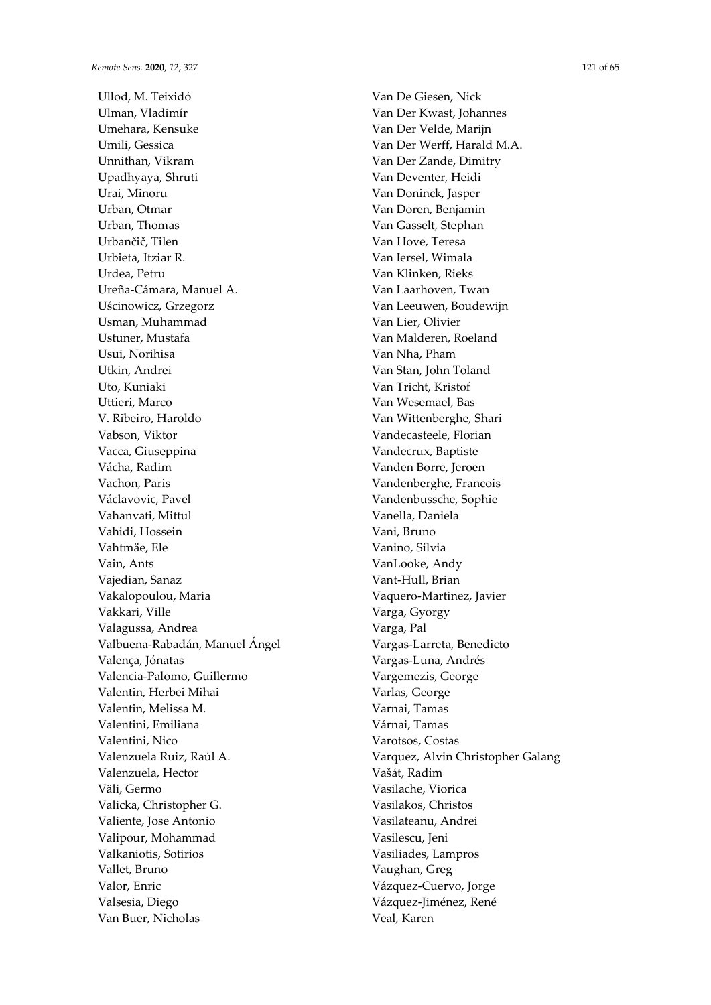Ullod, M. Teixidó Ulman, Vladimír Umehara, Kensuke Umili, Gessica Unnithan, Vikram Upadhyaya, Shruti Urai, Minoru Urban, Otmar Urban, Thomas Urbančič, Tilen Urbieta, Itziar R. Urdea, Petru Ureña-Cámara, Manuel A. Uścinowicz, Grzegorz Usman, Muhammad Ustuner, Mustafa Usui, Norihisa Utkin, Andrei Uto, Kuniaki Uttieri, Marco V. Ribeiro, Haroldo Vabson, Viktor Vacca, Giuseppina Vácha, Radim Vachon, Paris Václavovic, Pavel Vahanvati, Mittul Vahidi, Hossein Vahtmäe, Ele Vain, Ants Vajedian, Sanaz Vakalopoulou, Maria Vakkari, Ville Valagussa, Andrea Valbuena-Rabadán, Manuel Ángel Valença, Jónatas Valencia-Palomo, Guillermo Valentin, Herbei Mihai Valentin, Melissa M. Valentini, Emiliana Valentini, Nico Valenzuela Ruiz, Raúl A. Valenzuela, Hector Väli, Germo Valicka, Christopher G. Valiente, Jose Antonio Valipour, Mohammad Valkaniotis, Sotirios Vallet, Bruno Valor, Enric Valsesia, Diego Van Buer, Nicholas

Van De Giesen, Nick Van Der Kwast, Johannes Van Der Velde, Marijn Van Der Werff, Harald M.A. Van Der Zande, Dimitry Van Deventer, Heidi Van Doninck, Jasper Van Doren, Benjamin Van Gasselt, Stephan Van Hove, Teresa Van Iersel, Wimala Van Klinken, Rieks Van Laarhoven, Twan Van Leeuwen, Boudewijn Van Lier, Olivier Van Malderen, Roeland Van Nha, Pham Van Stan, John Toland Van Tricht, Kristof Van Wesemael, Bas Van Wittenberghe, Shari Vandecasteele, Florian Vandecrux, Baptiste Vanden Borre, Jeroen Vandenberghe, Francois Vandenbussche, Sophie Vanella, Daniela Vani, Bruno Vanino, Silvia VanLooke, Andy Vant-Hull, Brian Vaquero-Martinez, Javier Varga, Gyorgy Varga, Pal Vargas-Larreta, Benedicto Vargas-Luna, Andrés Vargemezis, George Varlas, George Varnai, Tamas Várnai, Tamas Varotsos, Costas Varquez, Alvin Christopher Galang Vašát, Radim Vasilache, Viorica Vasilakos, Christos Vasilateanu, Andrei Vasilescu, Jeni Vasiliades, Lampros Vaughan, Greg Vázquez-Cuervo, Jorge Vázquez-Jiménez, René Veal, Karen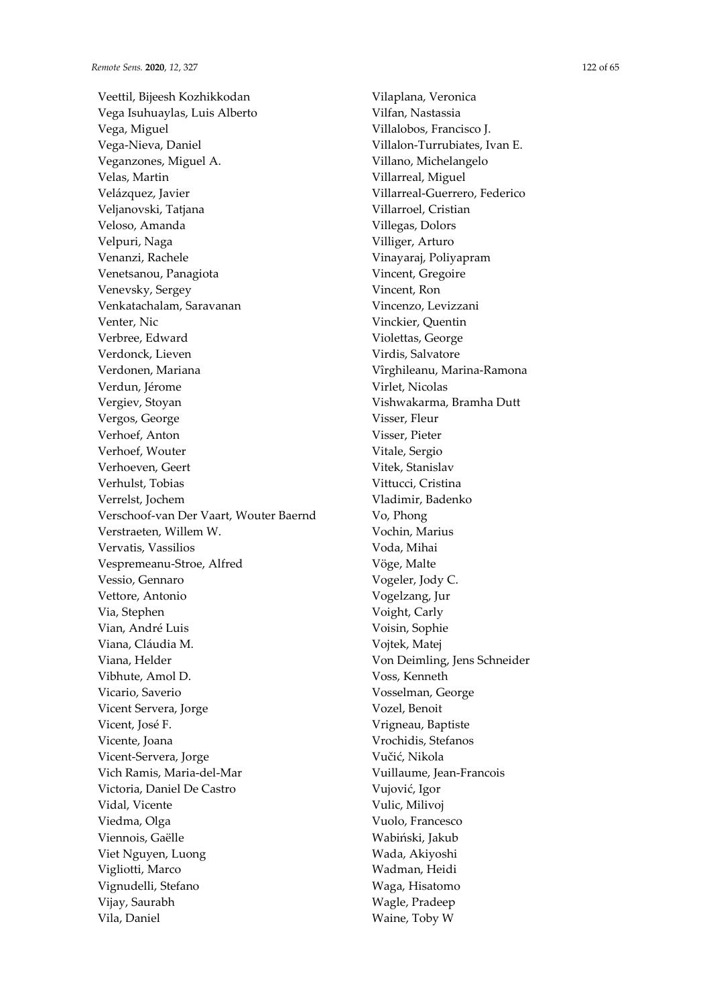Veettil, Bijeesh Kozhikkodan Vega Isuhuaylas, Luis Alberto Vega, Miguel Vega-Nieva, Daniel Veganzones, Miguel A. Velas, Martin Velázquez, Javier Veljanovski, Tatjana Veloso, Amanda Velpuri, Naga Venanzi, Rachele Venetsanou, Panagiota Venevsky, Sergey Venkatachalam, Saravanan Venter, Nic Verbree, Edward Verdonck, Lieven Verdonen, Mariana Verdun, Jérome Vergiev, Stoyan Vergos, George Verhoef, Anton Verhoef, Wouter Verhoeven, Geert Verhulst, Tobias Verrelst, Jochem Verschoof-van Der Vaart, Wouter Baernd Verstraeten, Willem W. Vervatis, Vassilios Vespremeanu-Stroe, Alfred Vessio, Gennaro Vettore, Antonio Via, Stephen Vian, André Luis Viana, Cláudia M. Viana, Helder Vibhute, Amol D. Vicario, Saverio Vicent Servera, Jorge Vicent, José F. Vicente, Joana Vicent-Servera, Jorge Vich Ramis, Maria-del-Mar Victoria, Daniel De Castro Vidal, Vicente Viedma, Olga Viennois, Gaëlle Viet Nguyen, Luong Vigliotti, Marco Vignudelli, Stefano Vijay, Saurabh Vila, Daniel

Vilaplana, Veronica Vilfan, Nastassia Villalobos, Francisco J. Villalon-Turrubiates, Ivan E. Villano, Michelangelo Villarreal, Miguel Villarreal-Guerrero, Federico Villarroel, Cristian Villegas, Dolors Villiger, Arturo Vinayaraj, Poliyapram Vincent, Gregoire Vincent, Ron Vincenzo, Levizzani Vinckier, Quentin Violettas, George Virdis, Salvatore Vîrghileanu, Marina-Ramona Virlet, Nicolas Vishwakarma, Bramha Dutt Visser, Fleur Visser, Pieter Vitale, Sergio Vitek, Stanislav Vittucci, Cristina Vladimir, Badenko Vo, Phong Vochin, Marius Voda, Mihai Vöge, Malte Vogeler, Jody C. Vogelzang, Jur Voight, Carly Voisin, Sophie Vojtek, Matej Von Deimling, Jens Schneider Voss, Kenneth Vosselman, George Vozel, Benoit Vrigneau, Baptiste Vrochidis, Stefanos Vučić, Nikola Vuillaume, Jean-Francois Vujović, Igor Vulic, Milivoj Vuolo, Francesco Wabiński, Jakub Wada, Akiyoshi Wadman, Heidi Waga, Hisatomo Wagle, Pradeep Waine, Toby W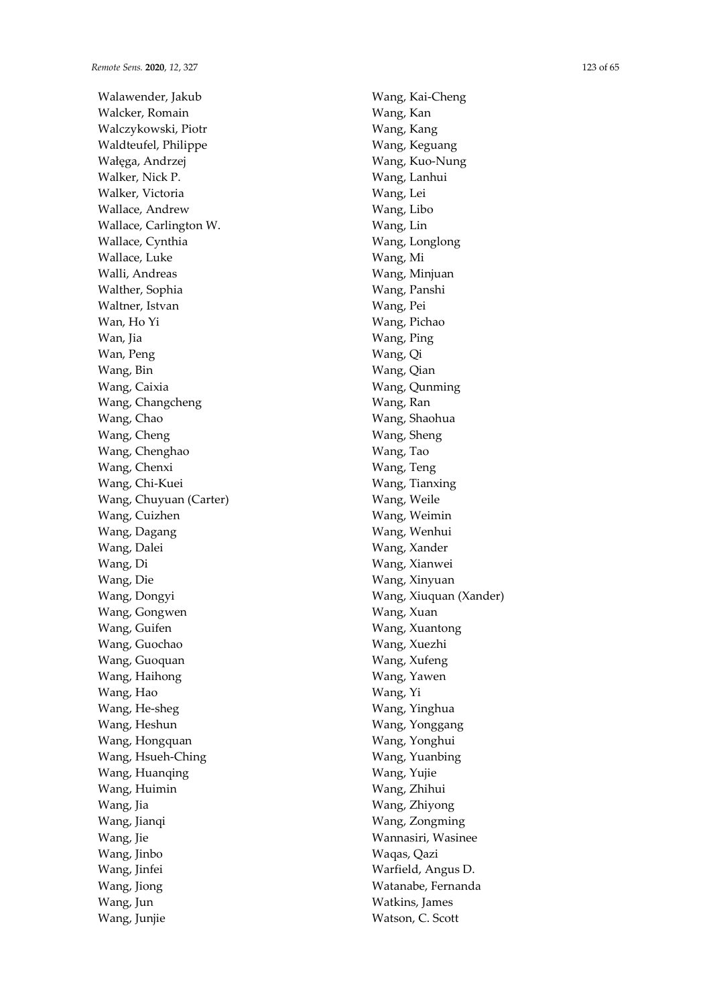Walawender, Jakub Walcker, Romain Walczykowski, Piotr Waldteufel, Philippe Wałęga, Andrzej Walker, Nick P. Walker, Victoria Wallace, Andrew Wallace, Carlington W. Wallace, Cynthia Wallace, Luke Walli, Andreas Walther, Sophia Waltner, Istvan Wan, Ho Yi Wan, Iia Wan, Peng Wang, Bin Wang, Caixia Wang, Changcheng Wang, Chao Wang, Cheng Wang, Chenghao Wang, Chenxi Wang, Chi-Kuei Wang, Chuyuan (Carter) Wang, Cuizhen Wang, Dagang Wang, Dalei Wang, Di Wang, Die Wang, Dongyi Wang, Gongwen Wang, Guifen Wang, Guochao Wang, Guoquan Wang, Haihong Wang, Hao Wang, He-sheg Wang, Heshun Wang, Hongquan Wang, Hsueh-Ching Wang, Huanqing Wang, Huimin Wang, Jia Wang, Jianqi Wang, Jie Wang, Jinbo Wang, Jinfei Wang, Jiong Wang, Jun Wang, Junjie

Wang, Kai-Cheng Wang, Kan Wang, Kang Wang, Keguang Wang, Kuo-Nung Wang, Lanhui Wang, Lei Wang, Libo Wang, Lin Wang, Longlong Wang, Mi Wang, Minjuan Wang, Panshi Wang, Pei Wang, Pichao Wang, Ping Wang, Qi Wang, Qian Wang, Qunming Wang, Ran Wang, Shaohua Wang, Sheng Wang, Tao Wang, Teng Wang, Tianxing Wang, Weile Wang, Weimin Wang, Wenhui Wang, Xander Wang, Xianwei Wang, Xinyuan Wang, Xiuquan (Xander) Wang, Xuan Wang, Xuantong Wang, Xuezhi Wang, Xufeng Wang, Yawen Wang, Yi Wang, Yinghua Wang, Yonggang Wang, Yonghui Wang, Yuanbing Wang, Yujie Wang, Zhihui Wang, Zhiyong Wang, Zongming Wannasiri, Wasinee Waqas, Qazi Warfield, Angus D. Watanabe, Fernanda Watkins, James

Watson, C. Scott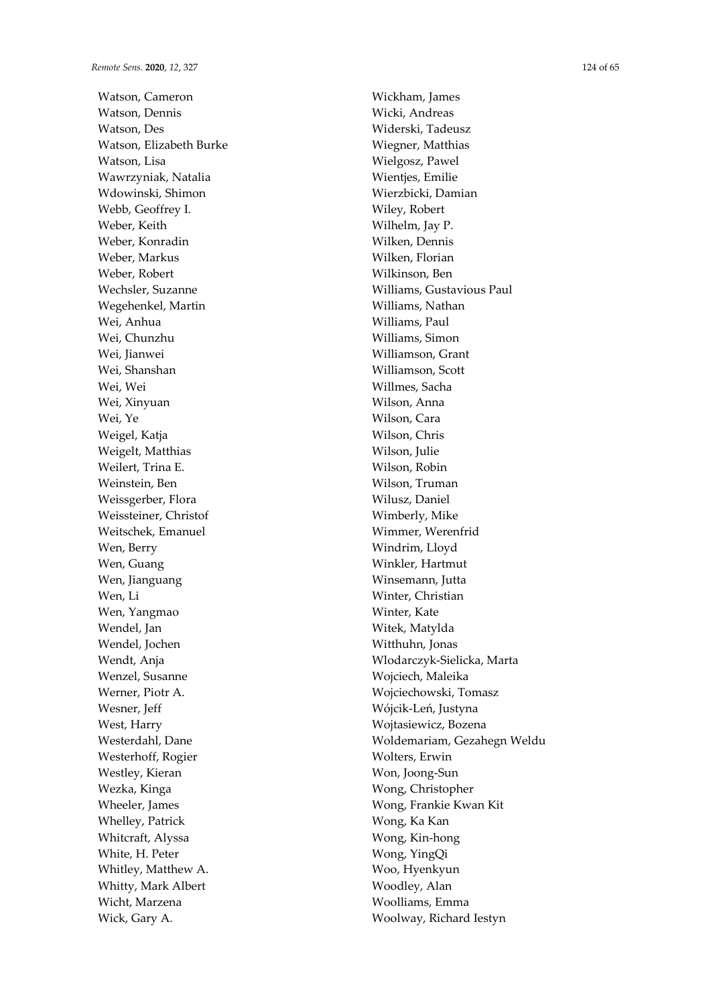Watson, Cameron Watson, Dennis Watson, Des Watson, Elizabeth Burke Watson, Lisa Wawrzyniak, Natalia Wdowinski, Shimon Webb, Geoffrey I. Weber, Keith Weber, Konradin Weber, Markus Weber, Robert Wechsler, Suzanne Wegehenkel, Martin Wei, Anhua Wei, Chunzhu Wei, Jianwei Wei, Shanshan Wei, Wei Wei, Xinyuan Wei, Ye Weigel, Katja Weigelt, Matthias Weilert, Trina E. Weinstein, Ben Weissgerber, Flora Weissteiner, Christof Weitschek, Emanuel Wen, Berry Wen, Guang Wen, Jianguang Wen, Li Wen, Yangmao Wendel, Jan Wendel, Jochen Wendt, Anja Wenzel, Susanne Werner, Piotr A. Wesner, Jeff West, Harry Westerdahl, Dane Westerhoff, Rogier Westley, Kieran Wezka, Kinga Wheeler, James Whelley, Patrick Whitcraft, Alyssa White, H. Peter Whitley, Matthew A. Whitty, Mark Albert Wicht, Marzena Wick, Gary A.

Wickham, James Wicki, Andreas Widerski, Tadeusz Wiegner, Matthias Wielgosz, Pawel Wientjes, Emilie Wierzbicki, Damian Wiley, Robert Wilhelm, Jay P. Wilken, Dennis Wilken, Florian Wilkinson, Ben Williams, Gustavious Paul Williams, Nathan Williams, Paul Williams, Simon Williamson, Grant Williamson, Scott Willmes, Sacha Wilson, Anna Wilson, Cara Wilson, Chris Wilson, Julie Wilson, Robin Wilson, Truman Wilusz, Daniel Wimberly, Mike Wimmer, Werenfrid Windrim, Lloyd Winkler, Hartmut Winsemann, Jutta Winter, Christian Winter, Kate Witek, Matylda Witthuhn, Jonas Wlodarczyk-Sielicka, Marta Wojciech, Maleika Wojciechowski, Tomasz Wójcik-Leń, Justyna Wojtasiewicz, Bozena Woldemariam, Gezahegn Weldu Wolters, Erwin Won, Joong-Sun Wong, Christopher Wong, Frankie Kwan Kit Wong, Ka Kan Wong, Kin-hong Wong, YingQi Woo, Hyenkyun Woodley, Alan Woolliams, Emma Woolway, Richard Iestyn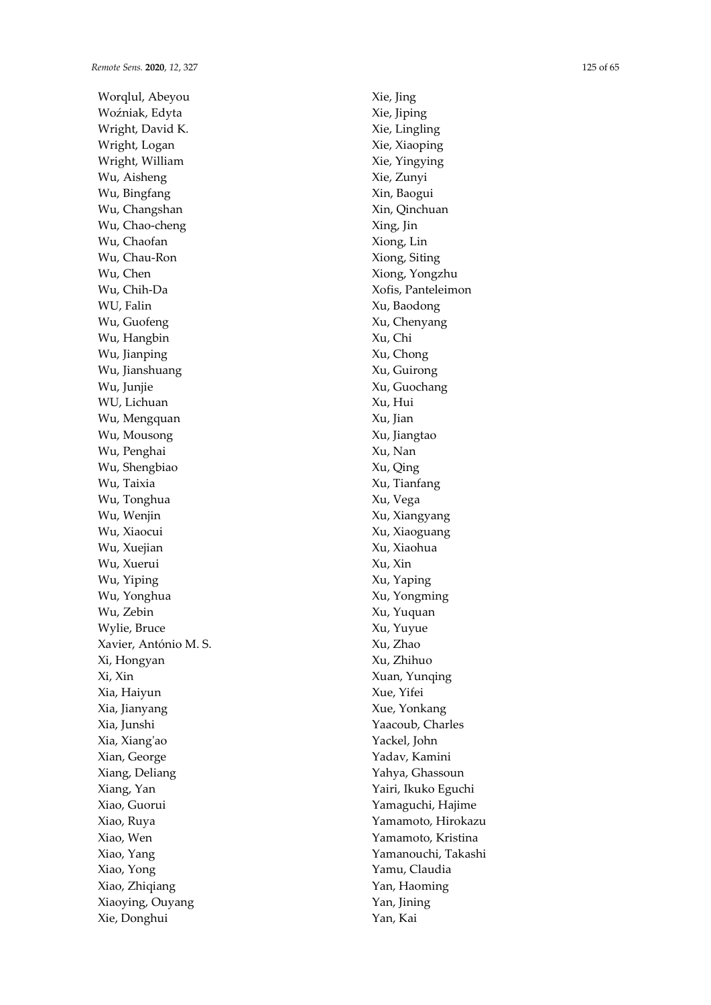Worqlul, Abeyou Woźniak, Edyta Wright, David K. Wright, Logan Wright, William Wu, Aisheng Wu, Bingfang Wu, Changshan Wu, Chao-cheng Wu, Chaofan Wu, Chau-Ron Wu, Chen Wu, Chih-Da WU, Falin Wu, Guofeng Wu, Hangbin Wu, Jianping Wu, Jianshuang Wu, Junjie WU, Lichuan Wu, Mengquan Wu, Mousong Wu, Penghai Wu, Shengbiao Wu, Taixia Wu, Tonghua Wu, Wenjin Wu, Xiaocui Wu, Xuejian Wu, Xuerui Wu, Yiping Wu, Yonghua Wu, Zebin Wylie, Bruce Xavier, António M. S. Xi, Hongyan Xi, Xin Xia, Haiyun Xia, Jianyang Xia, Junshi Xia, Xiang'ao Xian, George Xiang, Deliang Xiang, Yan Xiao, Guorui Xiao, Ruya Xiao, Wen Xiao, Yang Xiao, Yong Xiao, Zhiqiang Xiaoying, Ouyang Xie, Donghui

Xie, Jing Xie, Jiping Xie, Lingling Xie, Xiaoping Xie, Yingying Xie, Zunyi Xin, Baogui Xin, Qinchuan Xing, Jin Xiong, Lin Xiong, Siting Xiong, Yongzhu Xofis, Panteleimon Xu, Baodong Xu, Chenyang Xu, Chi Xu, Chong Xu, Guirong Xu, Guochang Xu, Hui Xu, Jian Xu, Jiangtao Xu, Nan Xu, Qing Xu, Tianfang Xu, Vega Xu, Xiangyang Xu, Xiaoguang Xu, Xiaohua Xu, Xin Xu, Yaping Xu, Yongming Xu, Yuquan Xu, Yuyue Xu, Zhao Xu, Zhihuo Xuan, Yunqing Xue, Yifei Xue, Yonkang Yaacoub, Charles Yackel, John Yadav, Kamini Yahya, Ghassoun Yairi, Ikuko Eguchi Yamaguchi, Hajime Yamamoto, Hirokazu Yamamoto, Kristina Yamanouchi, Takashi Yamu, Claudia Yan, Haoming Yan, Jining Yan, Kai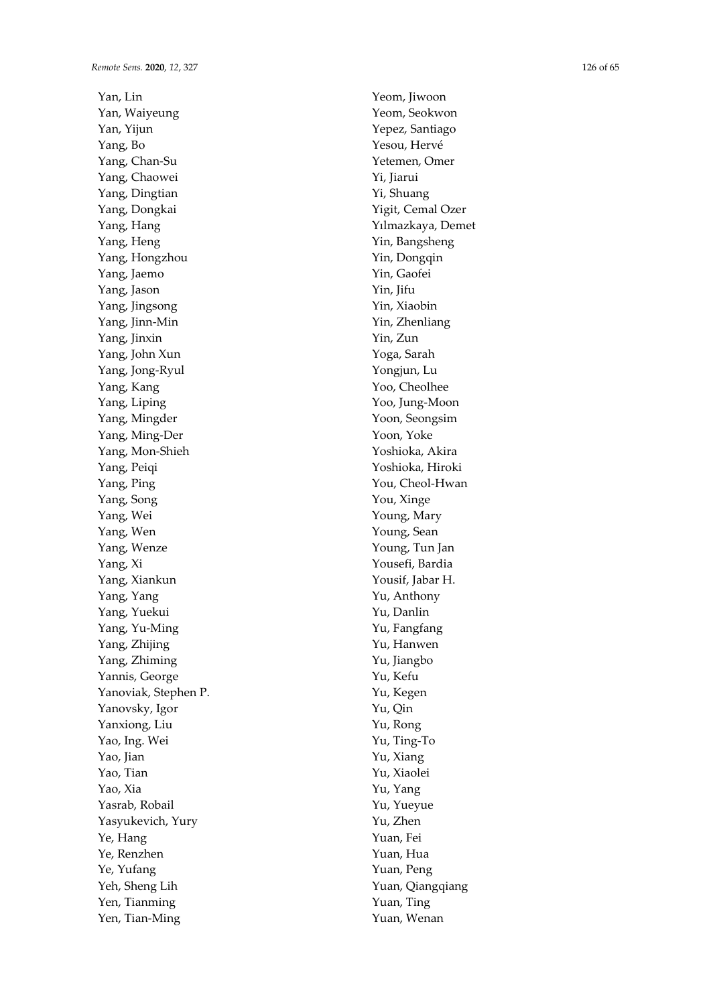Yan, Lin Yan, Waiyeung Yan, Yijun Yang, Bo Yang, Chan-Su Yang, Chaowei Yang, Dingtian Yang, Dongkai Yang, Hang Yang, Heng Yang, Hongzhou Yang, Jaemo Yang, Jason Yang, Jingsong Yang, Jinn-Min Yang, Jinxin Yang, John Xun Yang, Jong-Ryul Yang, Kang Yang, Liping Yang, Mingder Yang, Ming-Der Yang, Mon-Shieh Yang, Peiqi Yang, Ping Yang, Song Yang, Wei Yang, Wen Yang, Wenze Yang, Xi Yang, Xiankun Yang, Yang Yang, Yuekui Yang, Yu-Ming Yang, Zhijing Yang, Zhiming Yannis, George Yanoviak, Stephen P. Yanovsky, Igor Yanxiong, Liu Yao, Ing. Wei Yao, Jian Yao, Tian Yao, Xia Yasrab, Robail Yasyukevich, Yury Ye, Hang Ye, Renzhen Ye, Yufang Yeh, Sheng Lih Yen, Tianming Yen, Tian-Ming

Yeom, Jiwoon Yeom, Seokwon Yepez, Santiago Yesou, Hervé Yetemen, Omer Yi, Jiarui Yi, Shuang Yigit, Cemal Ozer Yılmazkaya, Demet Yin, Bangsheng Yin, Dongqin Yin, Gaofei Yin, Jifu Yin, Xiaobin Yin, Zhenliang Yin, Zun Yoga, Sarah Yongjun, Lu Yoo, Cheolhee Yoo, Jung-Moon Yoon, Seongsim Yoon, Yoke Yoshioka, Akira Yoshioka, Hiroki You, Cheol-Hwan You, Xinge Young, Mary Young, Sean Young, Tun Jan Yousefi, Bardia Yousif, Jabar H. Yu, Anthony Yu, Danlin Yu, Fangfang Yu, Hanwen Yu, Jiangbo Yu, Kefu Yu, Kegen Yu, Qin Yu, Rong Yu, Ting-To Yu, Xiang Yu, Xiaolei Yu, Yang Yu, Yueyue Yu, Zhen Yuan, Fei Yuan, Hua Yuan, Peng Yuan, Qiangqiang Yuan, Ting Yuan, Wenan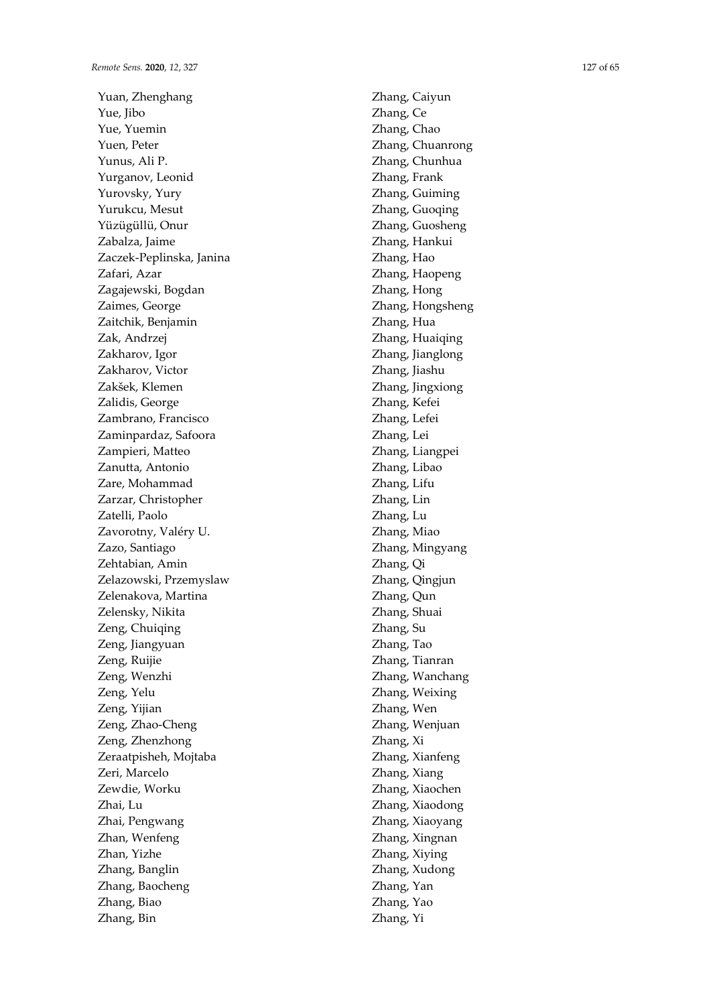Yuan, Zhenghang Yue, Jibo Yue, Yuemin Yuen, Peter Yunus, Ali P. Yurganov, Leonid Yurovsky, Yury Yurukcu, Mesut Yüzügüllü, Onur Zabalza, Jaime Zaczek-Peplinska, Janina Zafari, Azar Zagajewski, Bogdan Zaimes, George Zaitchik, Benjamin Zak, Andrzej Zakharov, Igor Zakharov, Victor Zakšek, Klemen Zalidis, George Zambrano, Francisco Zaminpardaz, Safoora Zampieri, Matteo Zanutta, Antonio Zare, Mohammad Zarzar, Christopher Zatelli, Paolo Zavorotny, Valéry U. Zazo, Santiago Zehtabian, Amin Zelazowski, Przemyslaw Zelenakova, Martina Zelensky, Nikita Zeng, Chuiqing Zeng, Jiangyuan Zeng, Ruijie Zeng, Wenzhi Zeng, Yelu Zeng, Yijian Zeng, Zhao-Cheng Zeng, Zhenzhong Zeraatpisheh, Mojtaba Zeri, Marcelo Zewdie, Worku Zhai, Lu Zhai, Pengwang Zhan, Wenfeng Zhan, Yizhe Zhang, Banglin Zhang, Baocheng Zhang, Biao Zhang, Bin

Zhang, Caiyun Zhang, Ce Zhang, Chao Zhang, Chuanrong Zhang, Chunhua Zhang, Frank Zhang, Guiming Zhang, Guoqing Zhang, Guosheng Zhang, Hankui Zhang, Hao Zhang, Haopeng Zhang, Hong Zhang, Hongsheng Zhang, Hua Zhang, Huaiqing Zhang, Jianglong Zhang, Jiashu Zhang, Jingxiong Zhang, Kefei Zhang, Lefei Zhang, Lei Zhang, Liangpei Zhang, Libao Zhang, Lifu Zhang, Lin Zhang, Lu Zhang, Miao Zhang, Mingyang Zhang, Qi Zhang, Qingjun Zhang, Qun Zhang, Shuai Zhang, Su Zhang, Tao Zhang, Tianran Zhang, Wanchang Zhang, Weixing Zhang, Wen Zhang, Wenjuan Zhang, Xi Zhang, Xianfeng Zhang, Xiang Zhang, Xiaochen Zhang, Xiaodong Zhang, Xiaoyang Zhang, Xingnan Zhang, Xiying Zhang, Xudong Zhang, Yan Zhang, Yao Zhang, Yi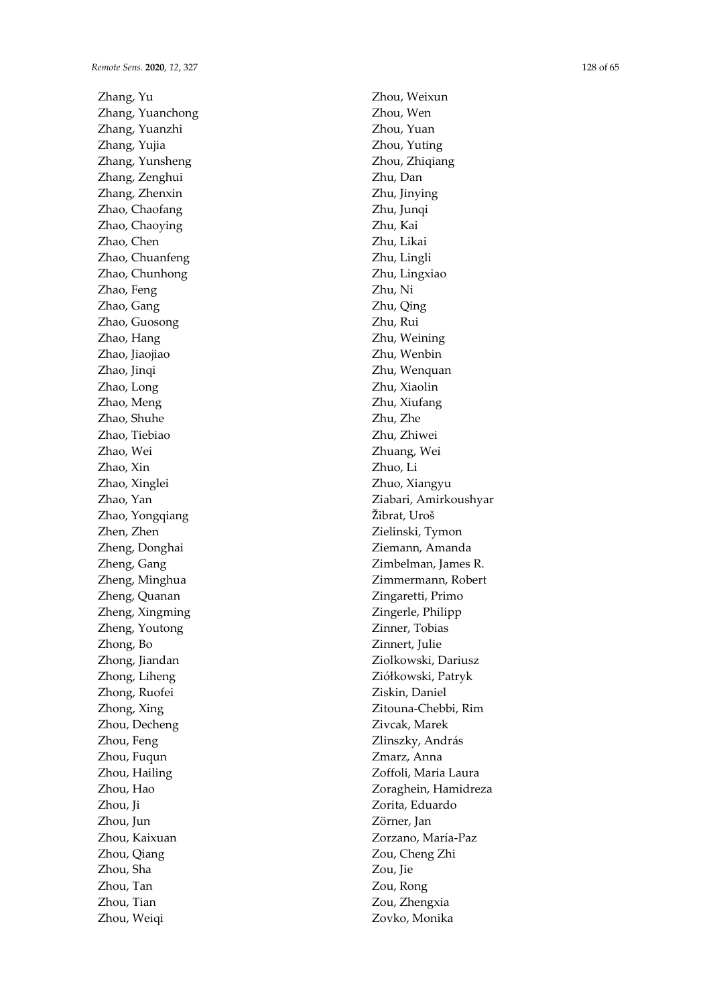Zhang, Yu Zhang, Yuanchong Zhang, Yuanzhi Zhang, Yujia Zhang, Yunsheng Zhang, Zenghui Zhang, Zhenxin Zhao, Chaofang Zhao, Chaoying Zhao, Chen Zhao, Chuanfeng Zhao, Chunhong Zhao, Feng Zhao, Gang Zhao, Guosong Zhao, Hang Zhao, Jiaojiao Zhao, Jinqi Zhao, Long Zhao, Meng Zhao, Shuhe Zhao, Tiebiao Zhao, Wei Zhao, Xin Zhao, Xinglei Zhao, Yan Zhao, Yongqiang Zhen, Zhen Zheng, Donghai Zheng, Gang Zheng, Minghua Zheng, Quanan Zheng, Xingming Zheng, Youtong Zhong, Bo Zhong, Jiandan Zhong, Liheng Zhong, Ruofei Zhong, Xing Zhou, Decheng Zhou, Feng Zhou, Fuqun Zhou, Hailing Zhou, Hao Zhou, Ji Zhou, Jun Zhou, Kaixuan Zhou, Qiang Zhou, Sha Zhou, Tan Zhou, Tian Zhou, Weiqi

Zhou, Weixun Zhou, Wen Zhou, Yuan Zhou, Yuting Zhou, Zhiqiang Zhu, Dan Zhu, Jinying Zhu, Junqi Zhu, Kai Zhu, Likai Zhu, Lingli Zhu, Lingxiao Zhu, Ni Zhu, Qing Zhu, Rui Zhu, Weining Zhu, Wenbin Zhu, Wenquan Zhu, Xiaolin Zhu, Xiufang Zhu, Zhe Zhu, Zhiwei Zhuang, Wei Zhuo, Li Zhuo, Xiangyu Ziabari, Amirkoushyar Žibrat, Uroš Zielinski, Tymon Ziemann, Amanda Zimbelman, James R. Zimmermann, Robert Zingaretti, Primo Zingerle, Philipp Zinner, Tobias Zinnert, Julie Ziolkowski, Dariusz Ziółkowski, Patryk Ziskin, Daniel Zitouna-Chebbi, Rim Zivcak, Marek Zlinszky, András Zmarz, Anna Zoffoli, Maria Laura Zoraghein, Hamidreza Zorita, Eduardo Zörner, Jan Zorzano, María-Paz Zou, Cheng Zhi Zou, Jie Zou, Rong Zou, Zhengxia

Zovko, Monika